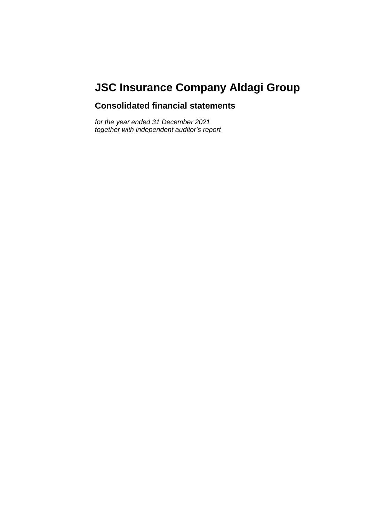# **JSC Insurance Company Aldagi Group**

# **Consolidated financial statements**

*for the year ended 31 December 2021 together with independent auditor's report*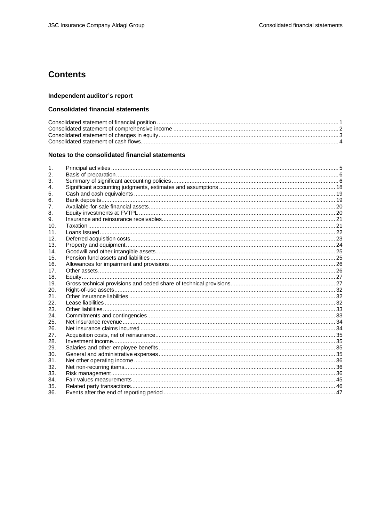# **Contents**

# Independent auditor's report

### **Consolidated financial statements**

### Notes to the consolidated financial statements

| 1.  |  |
|-----|--|
| 2.  |  |
| 3.  |  |
| 4.  |  |
| 5.  |  |
| 6.  |  |
| 7.  |  |
| 8.  |  |
| 9.  |  |
| 10. |  |
| 11. |  |
| 12. |  |
| 13. |  |
| 14. |  |
| 15. |  |
| 16. |  |
| 17. |  |
| 18. |  |
| 19. |  |
| 20. |  |
| 21. |  |
| 22. |  |
| 23. |  |
| 24. |  |
| 25. |  |
| 26. |  |
| 27. |  |
| 28. |  |
| 29. |  |
| 30. |  |
| 31. |  |
| 32. |  |
| 33. |  |
| 34. |  |
| 35. |  |
| 36. |  |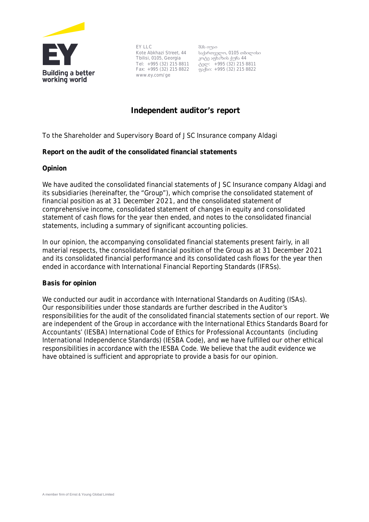

EY LLC Kote Abkhazi Street, 44 Tbilisi, 0105, Georgia Tel: +995 (32) 215 8811 Fax: +995 (32) 215 8822 www.ey.com/ge

შპს იუაი საქართველო, 0105 თბილისი კოტე აფხაზის ქუჩა 44 ტელ: +995 (32) 215 8811 ფაქსი: +995 (32) 215 8822

# **Independent auditor's report**

To the Shareholder and Supervisory Board of JSC Insurance company Aldagi

**Report on the audit of the consolidated financial statements**

# *Opinion*

We have audited the consolidated financial statements of JSC Insurance company Aldagi and its subsidiaries (hereinafter, the "Group"), which comprise the consolidated statement of financial position as at 31 December 2021, and the consolidated statement of comprehensive income, consolidated statement of changes in equity and consolidated statement of cash flows for the year then ended, and notes to the consolidated financial statements, including a summary of significant accounting policies.

In our opinion, the accompanying consolidated financial statements present fairly, in all material respects, the consolidated financial position of the Group as at 31 December 2021 and its consolidated financial performance and its consolidated cash flows for the year then ended in accordance with International Financial Reporting Standards (IFRSs).

# *Basis for opinion*

We conducted our audit in accordance with International Standards on Auditing (ISAs). Our responsibilities under those standards are further described in the *Auditor's responsibilities for the audit of the consolidated financial statements* section of our report. We are independent of the Group in accordance with the International Ethics Standards Board for Accountants' (IESBA) International Code of Ethics for Professional Accountants (including International Independence Standards) (IESBA Code), and we have fulfilled our other ethical responsibilities in accordance with the IESBA Code. We believe that the audit evidence we have obtained is sufficient and appropriate to provide a basis for our opinion.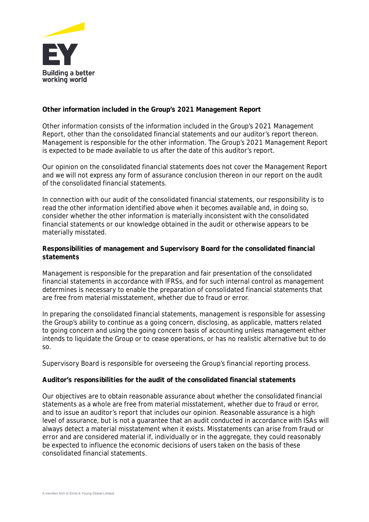

# *Other information included in the Group's 2021 Management Report*

Other information consists of the information included in the Group's 2021 Management Report, other than the consolidated financial statements and our auditor's report thereon. Management is responsible for the other information. The Group's 2021 Management Report is expected to be made available to us after the date of this auditor's report.

Our opinion on the consolidated financial statements does not cover the Management Report and we will not express any form of assurance conclusion thereon in our report on the audit of the consolidated financial statements.

In connection with our audit of the consolidated financial statements, our responsibility is to read the other information identified above when it becomes available and, in doing so, consider whether the other information is materially inconsistent with the consolidated financial statements or our knowledge obtained in the audit or otherwise appears to be materially misstated.

# *Responsibilities of management and Supervisory Board for the consolidated financial statements*

Management is responsible for the preparation and fair presentation of the consolidated financial statements in accordance with IFRSs, and for such internal control as management determines is necessary to enable the preparation of consolidated financial statements that are free from material misstatement, whether due to fraud or error.

In preparing the consolidated financial statements, management is responsible for assessing the Group's ability to continue as a going concern, disclosing, as applicable, matters related to going concern and using the going concern basis of accounting unless management either intends to liquidate the Group or to cease operations, or has no realistic alternative but to do so.

Supervisory Board is responsible for overseeing the Group's financial reporting process.

# *Auditor's responsibilities for the audit of the consolidated financial statements*

Our objectives are to obtain reasonable assurance about whether the consolidated financial statements as a whole are free from material misstatement, whether due to fraud or error, and to issue an auditor's report that includes our opinion. Reasonable assurance is a high level of assurance, but is not a guarantee that an audit conducted in accordance with ISAs will always detect a material misstatement when it exists. Misstatements can arise from fraud or error and are considered material if, individually or in the aggregate, they could reasonably be expected to influence the economic decisions of users taken on the basis of these consolidated financial statements.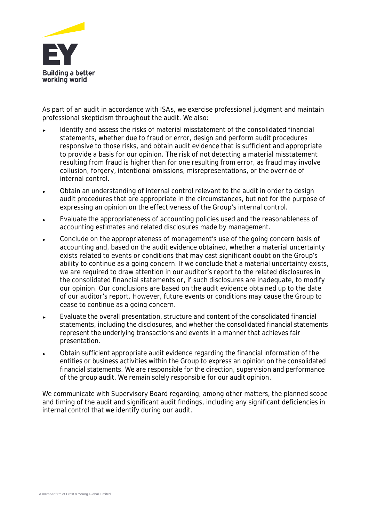

As part of an audit in accordance with ISAs, we exercise professional judgment and maintain professional skepticism throughout the audit. We also:

- Identify and assess the risks of material misstatement of the consolidated financial statements, whether due to fraud or error, design and perform audit procedures responsive to those risks, and obtain audit evidence that is sufficient and appropriate to provide a basis for our opinion. The risk of not detecting a material misstatement resulting from fraud is higher than for one resulting from error, as fraud may involve collusion, forgery, intentional omissions, misrepresentations, or the override of internal control.
- ► Obtain an understanding of internal control relevant to the audit in order to design audit procedures that are appropriate in the circumstances, but not for the purpose of expressing an opinion on the effectiveness of the Group's internal control.
- Evaluate the appropriateness of accounting policies used and the reasonableness of accounting estimates and related disclosures made by management.
- Conclude on the appropriateness of management's use of the going concern basis of accounting and, based on the audit evidence obtained, whether a material uncertainty exists related to events or conditions that may cast significant doubt on the Group's ability to continue as a going concern. If we conclude that a material uncertainty exists, we are required to draw attention in our auditor's report to the related disclosures in the consolidated financial statements or, if such disclosures are inadequate, to modify our opinion. Our conclusions are based on the audit evidence obtained up to the date of our auditor's report. However, future events or conditions may cause the Group to cease to continue as a going concern.
- ► Evaluate the overall presentation, structure and content of the consolidated financial statements, including the disclosures, and whether the consolidated financial statements represent the underlying transactions and events in a manner that achieves fair presentation.
- ► Obtain sufficient appropriate audit evidence regarding the financial information of the entities or business activities within the Group to express an opinion on the consolidated financial statements. We are responsible for the direction, supervision and performance of the group audit. We remain solely responsible for our audit opinion.

We communicate with Supervisory Board regarding, among other matters, the planned scope and timing of the audit and significant audit findings, including any significant deficiencies in internal control that we identify during our audit.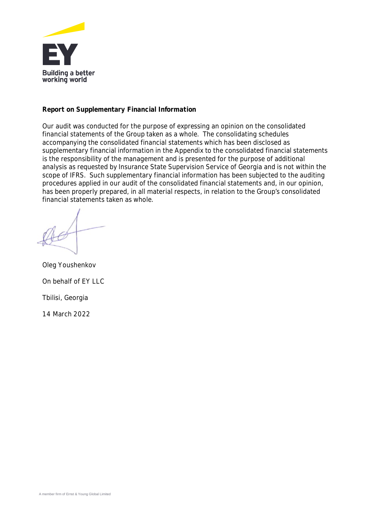

**Report on Supplementary Financial Information**

Our audit was conducted for the purpose of expressing an opinion on the consolidated financial statements of the Group taken as a whole. The consolidating schedules accompanying the consolidated financial statements which has been disclosed as supplementary financial information in the Appendix to the consolidated financial statements is the responsibility of the management and is presented for the purpose of additional analysis as requested by Insurance State Supervision Service of Georgia and is not within the scope of IFRS. Such supplementary financial information has been subjected to the auditing procedures applied in our audit of the consolidated financial statements and, in our opinion, has been properly prepared, in all material respects, in relation to the Group's consolidated financial statements taken as whole.

Oleg Youshenkov On behalf of EY LLC Tbilisi, Georgia 14 March 2022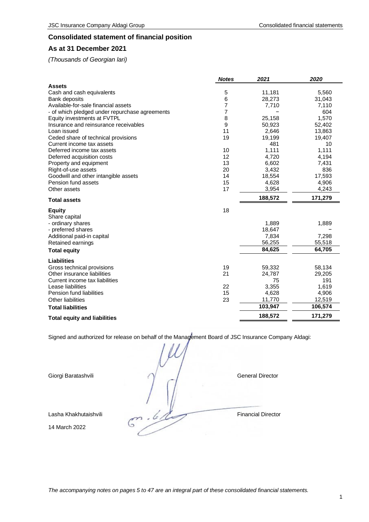# **Consolidated statement of financial position**

# **As at 31 December 2021**

*(Thousands of Georgian lari)*

|                                                | <b>Notes</b> | 2021    | 2020    |
|------------------------------------------------|--------------|---------|---------|
| <b>Assets</b>                                  |              |         |         |
| Cash and cash equivalents                      | 5            | 11,181  | 5,560   |
| <b>Bank deposits</b>                           | 6            | 28,273  | 31,043  |
| Available-for-sale financial assets            | 7            | 7,710   | 7,110   |
| - of which pledged under repurchase agreements | 7            |         | 604     |
| Equity investments at FVTPL                    | 8            | 25,158  | 1,570   |
| Insurance and reinsurance receivables          | 9            | 50,923  | 52,402  |
| Loan issued                                    | 11           | 2,646   | 13,863  |
| Ceded share of technical provisions            | 19           | 19,199  | 19,407  |
| Current income tax assets                      |              | 481     | 10      |
| Deferred income tax assets                     | 10           | 1,111   | 1,111   |
| Deferred acquisition costs                     | 12           | 4,720   | 4,194   |
| Property and equipment                         | 13           | 6,602   | 7,431   |
| Right-of-use assets                            | 20           | 3,432   | 836     |
| Goodwill and other intangible assets           | 14           | 18,554  | 17,593  |
| Pension fund assets                            | 15           | 4,628   | 4,906   |
| Other assets                                   | 17           | 3,954   | 4,243   |
| <b>Total assets</b>                            |              | 188,572 | 171,279 |
| <b>Equity</b>                                  | 18           |         |         |
| Share capital                                  |              |         |         |
| - ordinary shares                              |              | 1,889   | 1,889   |
| - preferred shares                             |              | 18,647  |         |
| Additional paid-in capital                     |              | 7,834   | 7,298   |
| Retained earnings                              |              | 56,255  | 55,518  |
| <b>Total equity</b>                            |              | 84,625  | 64,705  |
| <b>Liabilities</b>                             |              |         |         |
| Gross technical provisions                     | 19           | 59,332  | 58,134  |
| Other insurance liabilities                    | 21           | 24,787  | 29,205  |
| Current income tax liabilities                 |              | 75      | 191     |
| Lease liabilities                              | 22           | 3,355   | 1,619   |
| <b>Pension fund liabilities</b>                | 15           | 4,628   | 4,906   |
| <b>Other liabilities</b>                       | 23           | 11,770  | 12,519  |
| <b>Total liabilities</b>                       |              | 103,947 | 106,574 |
|                                                |              | 188,572 | 171,279 |
| <b>Total equity and liabilities</b>            |              |         |         |

Signed and authorized for release on behalf of the Management Board of JSC Insurance Company Aldagi:

| <b>General Director</b>   |
|---------------------------|
| <b>Financial Director</b> |

Giorgi Baratashvili

Lasha Khakhutaishvili

14 March 2022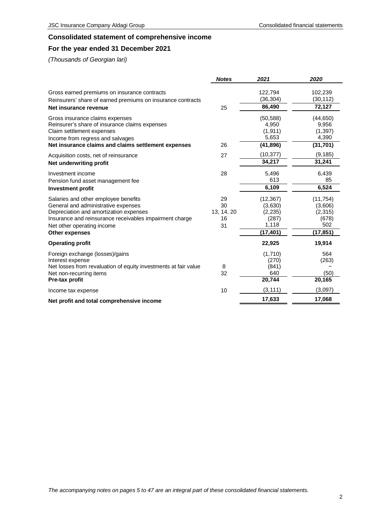# **Consolidated statement of comprehensive income**

# **For the year ended 31 December 2021**

*(Thousands of Georgian lari)*

|                                                                 | <b>Notes</b> | 2021      | 2020      |
|-----------------------------------------------------------------|--------------|-----------|-----------|
| Gross earned premiums on insurance contracts                    |              | 122,794   | 102,239   |
| Reinsurers' share of earned premiums on insurance contracts     |              | (36, 304) | (30, 112) |
| Net insurance revenue                                           | 25           | 86,490    | 72,127    |
| Gross insurance claims expenses                                 |              | (50, 588) | (44, 650) |
| Reinsurer's share of insurance claims expenses                  |              | 4,950     | 9,956     |
| Claim settlement expenses                                       |              | (1, 911)  | (1, 397)  |
| Income from regress and salvages                                |              | 5,653     | 4,390     |
| Net insurance claims and claims settlement expenses             | 26           | (41, 896) | (31, 701) |
| Acquisition costs, net of reinsurance                           | 27           | (10, 377) | (9, 185)  |
| Net underwriting profit                                         |              | 34,217    | 31,241    |
| Investment income                                               | 28           | 5,496     | 6,439     |
| Pension fund asset management fee                               |              | 613       | 85        |
| <b>Investment profit</b>                                        |              | 6,109     | 6,524     |
| Salaries and other employee benefits                            | 29           | (12, 367) | (11, 754) |
| General and administrative expenses                             | 30           | (3,630)   | (3,606)   |
| Depreciation and amortization expenses                          | 13, 14, 20   | (2,235)   | (2,315)   |
| Insurance and reinsurance receivables impairment charge         | 16           | (287)     | (678)     |
| Net other operating income                                      | 31           | 1,118     | 502       |
| <b>Other expenses</b>                                           |              | (17, 401) | (17, 851) |
| <b>Operating profit</b>                                         |              | 22,925    | 19,914    |
| Foreign exchange (losses)/gains                                 |              | (1,710)   | 564       |
| Interest expense                                                |              | (270)     | (263)     |
| Net losses from revaluation of equity investments at fair value | 8            | (841)     |           |
| Net non-recurring items                                         | 32           | 640       | (50)      |
| Pre-tax profit                                                  |              | 20,744    | 20,165    |
| Income tax expense                                              | 10           | (3, 111)  | (3,097)   |
| Net profit and total comprehensive income                       |              | 17,633    | 17,068    |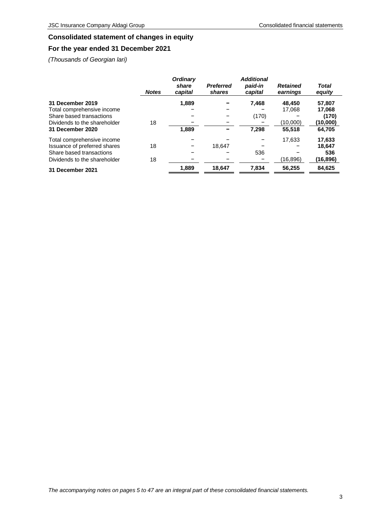# **Consolidated statement of changes in equity**

# **For the year ended 31 December 2021**

*(Thousands of Georgian lari)*

|                              | <b>Notes</b> | <b>Ordinary</b><br>share<br>capital | <b>Preferred</b><br>shares | <b>Additional</b><br>paid-in<br>capital | <b>Retained</b><br>earnings | <b>Total</b><br>equity |
|------------------------------|--------------|-------------------------------------|----------------------------|-----------------------------------------|-----------------------------|------------------------|
| 31 December 2019             |              | 1,889                               |                            | 7,468                                   | 48.450                      | 57,807                 |
| Total comprehensive income   |              |                                     |                            |                                         | 17.068                      | 17,068                 |
| Share based transactions     |              |                                     |                            | (170)                                   |                             | (170)                  |
| Dividends to the shareholder | 18           |                                     |                            |                                         | (10.000)                    | (10,000)               |
| 31 December 2020             |              | 1,889                               |                            | 7,298                                   | 55,518                      | 64,705                 |
| Total comprehensive income   |              |                                     |                            |                                         | 17.633                      | 17,633                 |
| Issuance of preferred shares | 18           |                                     | 18.647                     |                                         |                             | 18,647                 |
| Share based transactions     |              |                                     |                            | 536                                     |                             | 536                    |
| Dividends to the shareholder | 18           |                                     |                            |                                         | (16,896)                    | (16,896)               |
| 31 December 2021             |              | 1,889                               | 18,647                     | 7,834                                   | 56,255                      | 84,625                 |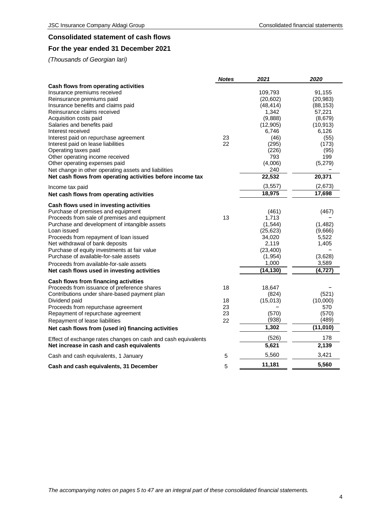# **Consolidated statement of cash flows**

# **For the year ended 31 December 2021**

*(Thousands of Georgian lari)*

|                                                               | Notes | 2021      | 2020      |
|---------------------------------------------------------------|-------|-----------|-----------|
| Cash flows from operating activities                          |       |           |           |
| Insurance premiums received                                   |       | 109,793   | 91,155    |
| Reinsurance premiums paid                                     |       | (20, 602) | (20, 983) |
| Insurance benefits and claims paid                            |       | (48, 414) | (88, 153) |
| Reinsurance claims received                                   |       | 1,342     | 57,221    |
| Acquisition costs paid                                        |       | (9,888)   | (8,679)   |
| Salaries and benefits paid                                    |       | (12, 905) | (10, 913) |
| Interest received                                             |       | 6,746     | 6,126     |
| Interest paid on repurchase agreement                         | 23    | (46)      | (55)      |
| Interest paid on lease liabilities                            | 22    | (295)     | (173)     |
| Operating taxes paid                                          |       | (226)     | (95)      |
| Other operating income received                               |       | 793       | 199       |
| Other operating expenses paid                                 |       | (4,006)   | (5,279)   |
| Net change in other operating assets and liabilities          |       | 240       |           |
| Net cash flows from operating activities before income tax    |       | 22,532    | 20,371    |
| Income tax paid                                               |       | (3, 557)  | (2,673)   |
| Net cash flows from operating activities                      |       | 18,975    | 17,698    |
| Cash flows used in investing activities                       |       |           |           |
| Purchase of premises and equipment                            |       | (461)     | (467)     |
| Proceeds from sale of premises and equipment                  | 13    | 1,713     |           |
| Purchase and development of intangible assets                 |       | (1, 544)  | (1, 482)  |
| Loan issued                                                   |       | (25, 623) | (9,666)   |
| Proceeds from repayment of loan issued                        |       | 34,020    | 5,522     |
| Net withdrawal of bank deposits                               |       | 2,119     | 1,405     |
| Purchase of equity investments at fair value                  |       | (23, 400) |           |
| Purchase of available-for-sale assets                         |       | (1, 954)  | (3,628)   |
| Proceeds from available-for-sale assets                       |       | 1,000     | 3,589     |
| Net cash flows used in investing activities                   |       | (14, 130) | (4, 727)  |
| Cash flows from financing activities                          |       |           |           |
| Proceeds from issuance of preference shares                   | 18    | 18.647    |           |
| Contributions under share-based payment plan                  |       | (824)     | (521)     |
| Dividend paid                                                 | 18    | (15, 013) | (10,000)  |
| Proceeds from repurchase agreement                            | 23    |           | 570       |
| Repayment of repurchase agreement                             | 23    | (570)     | (570)     |
| Repayment of lease liabilities                                | 22    | (938)     | (489)     |
| Net cash flows from (used in) financing activities            |       | 1,302     | (11, 010) |
|                                                               |       |           |           |
| Effect of exchange rates changes on cash and cash equivalents |       | (526)     | 178       |
| Net increase in cash and cash equivalents                     |       | 5,621     | 2,139     |
| Cash and cash equivalents, 1 January                          | 5     | 5,560     | 3,421     |
| Cash and cash equivalents, 31 December                        | 5     | 11,181    | 5,560     |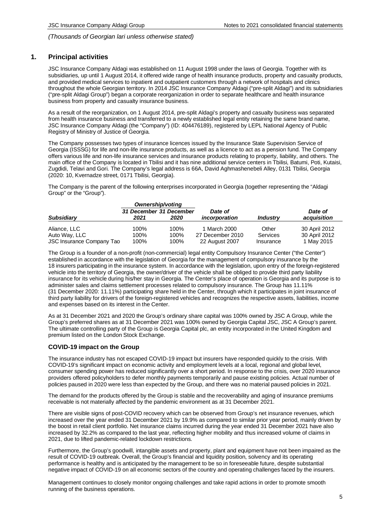### **1. Principal activities**

JSC Insurance Company Aldagi was established on 11 August 1998 under the laws of Georgia. Together with its subsidiaries, up until 1 August 2014, it offered wide range of health insurance products, property and casualty products, and provided medical services to inpatient and outpatient customers through a network of hospitals and clinics throughout the whole Georgian territory. In 2014 JSC Insurance Company Aldagi ("pre-split Aldagi") and its subsidiaries ("pre-split Aldagi Group") began a corporate reorganization in order to separate healthcare and health insurance business from property and casualty insurance business.

As a result of the reorganization, on 1 August 2014, pre-split Aldagi's property and casualty business was separated from health insurance business and transferred to a newly established legal entity retaining the same brand name, JSC Insurance Company Aldagi (the "Company") (ID: 404476189), registered by LEPL National Agency of Public Registry of Ministry of Justice of Georgia.

The Company possesses two types of insurance licences issued by the Insurance State Supervision Service of Georgia (ISSSG) for life and non-life insurance products, as well as a licence to act as a pension fund. The Company offers various life and non-life insurance services and insurance products relating to property, liability, and others. The main office of the Company is located in Tbilisi and it has nine additional service centers in Tbilisi, Batumi, Poti, Kutaisi, Zugdidi, Telavi and Gori. The Company's legal address is 66A, David Aghmashenebeli Alley, 0131 Tbilisi, Georgia (2020: 10, Kvernadze street, 0171 Tbilisi, Georgia).

The Company is the parent of the following enterprises incorporated in Georgia (together representing the "Aldagi Group" or the "Group").

|                                  | Ownership/voting                |      |                          |                        |                        |
|----------------------------------|---------------------------------|------|--------------------------|------------------------|------------------------|
| <b>Subsidiary</b>                | 31 December 31 December<br>2021 | 2020 | Date of<br>incorporation | <i><b>Industry</b></i> | Date of<br>acquisition |
| Aliance, LLC                     | 100%                            | 100% | 1 March 2000             | Other                  | 30 April 2012          |
| Auto Way, LLC                    | 100%                            | 100% | 27 December 2010         | Services               | 30 April 2012          |
| <b>JSC Insurance Company Tao</b> | 100%                            | 100% | 22 August 2007           | Insurance              | 1 May 2015             |

The Group is a founder of a non-profit (non-commercial) legal entity Compulsory Insurance Center ("the Center") established in accordance with the legislation of Georgia for the management of compulsory insurance by the 18 insurers participating in the insurance system. In accordance with the legislation, upon entry of the foreign-registered vehicle into the territory of Georgia, the owner/driver of the vehicle shall be obliged to provide third party liability insurance for its vehicle during his/her stay in Georgia. The Center's place of operation is Georgia and its purpose is to administer sales and claims settlement processes related to compulsory insurance. The Group has 11.11% (31 December 2020: 11.11%) participating share held in the Center, through which it participates in joint insurance of third party liability for drivers of the foreign-registered vehicles and recognizes the respective assets, liabilities, income and expenses based on its interest in the Center.

As at 31 December 2021 and 2020 the Group's ordinary share capital was 100% owned by JSC A Group, while the Group's preferred shares as at 31 December 2021 was 100% owned by Georgia Capital JSC, JSC A Group's parent. The ultimate controlling party of the Group is Georgia Capital plc, an entity incorporated in the United Kingdom and premium listed on the London Stock Exchange.

### **COVID-19 impact on the Group**

The insurance industry has not escaped COVID-19 impact but insurers have responded quickly to the crisis. With COVID-19's significant impact on economic activity and employment levels at a local, regional and global level, consumer spending power has reduced significantly over a short period. In response to the crisis, over 2020 insurance providers offered policyholders to defer monthly payments temporarily and pause existing policies. Actual number of policies paused in 2020 were less than expected by the Group, and there was no material paused policies in 2021.

The demand for the products offered by the Group is stable and the recoverability and aging of insurance premiums receivable is not materially affected by the pandemic environment as at 31 December 2021.

There are visible signs of post-COVID recovery which can be observed from Group's net insurance revenues, which increased over the year ended 31 December 2021 by 19.9% as compared to similar prior year period, mainly driven by the boost in retail client portfolio. Net insurance claims incurred during the year ended 31 December 2021 have also increased by 32.2% as compared to the last year, reflecting higher mobility and thus increased volume of claims in 2021, due to lifted pandemic-related lockdown restrictions.

Furthermore, the Group's goodwill, intangible assets and property, plant and equipment have not been impaired as the result of COVID-19 outbreak. Overall, the Group's financial and liquidity position, solvency and its operating performance is healthy and is anticipated by the management to be so in foreseeable future, despite substantial negative impact of COVID-19 on all economic sectors of the country and operating challenges faced by the insurers.

Management continues to closely monitor ongoing challenges and take rapid actions in order to promote smooth running of the business operations.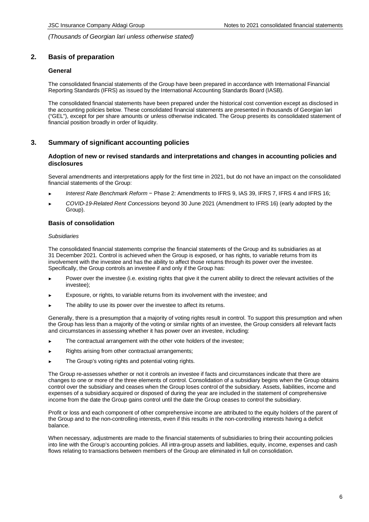# **2. Basis of preparation**

### **General**

The consolidated financial statements of the Group have been prepared in accordance with International Financial Reporting Standards (IFRS) as issued by the International Accounting Standards Board (IASB).

The consolidated financial statements have been prepared under the historical cost convention except as disclosed in the accounting policies below. These consolidated financial statements are presented in thousands of Georgian lari ("GEL"), except for per share amounts or unless otherwise indicated. The Group presents its consolidated statement of financial position broadly in order of liquidity.

# **3. Summary of significant accounting policies**

### **Adoption of new or revised standards and interpretations and changes in accounting policies and disclosures**

Several amendments and interpretations apply for the first time in 2021, but do not have an impact on the consolidated financial statements of the Group:

- ► *Interest Rate Benchmark Reform* − Phase 2: Amendments to IFRS 9, IAS 39, IFRS 7, IFRS 4 and IFRS 16;
- ► *COVID-19-Related Rent Concessions* beyond 30 June 2021 (Amendment to IFRS 16) (early adopted by the Group).

### **Basis of consolidation**

#### *Subsidiaries*

The consolidated financial statements comprise the financial statements of the Group and its subsidiaries as at 31 December 2021. Control is achieved when the Group is exposed, or has rights, to variable returns from its involvement with the investee and has the ability to affect those returns through its power over the investee. Specifically, the Group controls an investee if and only if the Group has:

- Power over the investee (i.e. existing rights that give it the current ability to direct the relevant activities of the investee);
- Exposure, or rights, to variable returns from its involvement with the investee; and
- The ability to use its power over the investee to affect its returns.

Generally, there is a presumption that a majority of voting rights result in control. To support this presumption and when the Group has less than a majority of the voting or similar rights of an investee, the Group considers all relevant facts and circumstances in assessing whether it has power over an investee, including:

- The contractual arrangement with the other vote holders of the investee;
- Rights arising from other contractual arrangements;
- The Group's voting rights and potential voting rights.

The Group re-assesses whether or not it controls an investee if facts and circumstances indicate that there are changes to one or more of the three elements of control. Consolidation of a subsidiary begins when the Group obtains control over the subsidiary and ceases when the Group loses control of the subsidiary. Assets, liabilities, income and expenses of a subsidiary acquired or disposed of during the year are included in the statement of comprehensive income from the date the Group gains control until the date the Group ceases to control the subsidiary.

Profit or loss and each component of other comprehensive income are attributed to the equity holders of the parent of the Group and to the non-controlling interests, even if this results in the non-controlling interests having a deficit balance.

When necessary, adjustments are made to the financial statements of subsidiaries to bring their accounting policies into line with the Group's accounting policies. All intra-group assets and liabilities, equity, income, expenses and cash flows relating to transactions between members of the Group are eliminated in full on consolidation.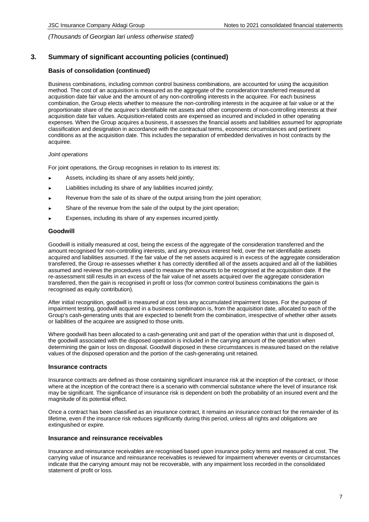# **3. Summary of significant accounting policies (continued)**

### **Basis of consolidation (continued)**

Business combinations, including common control business combinations, are accounted for using the acquisition method. The cost of an acquisition is measured as the aggregate of the consideration transferred measured at acquisition date fair value and the amount of any non-controlling interests in the acquiree. For each business combination, the Group elects whether to measure the non-controlling interests in the acquiree at fair value or at the proportionate share of the acquiree's identifiable net assets and other components of non-controlling interests at their acquisition date fair values. Acquisition-related costs are expensed as incurred and included in other operating expenses. When the Group acquires a business, it assesses the financial assets and liabilities assumed for appropriate classification and designation in accordance with the contractual terms, economic circumstances and pertinent conditions as at the acquisition date. This includes the separation of embedded derivatives in host contracts by the acquiree.

#### *Joint operations*

For joint operations, the Group recognises in relation to its interest its:

- Assets, including its share of any assets held jointly:
- Liabilities including its share of any liabilities incurred jointly;
- Revenue from the sale of its share of the output arising from the joint operation;
- Share of the revenue from the sale of the output by the joint operation;
- Expenses, including its share of any expenses incurred jointly.

#### **Goodwill**

Goodwill is initially measured at cost, being the excess of the aggregate of the consideration transferred and the amount recognised for non-controlling interests, and any previous interest held, over the net identifiable assets acquired and liabilities assumed. If the fair value of the net assets acquired is in excess of the aggregate consideration transferred, the Group re-assesses whether it has correctly identified all of the assets acquired and all of the liabilities assumed and reviews the procedures used to measure the amounts to be recognised at the acquisition date. If the re-assessment still results in an excess of the fair value of net assets acquired over the aggregate consideration transferred, then the gain is recognised in profit or loss (for common control business combinations the gain is recognised as equity contribution).

After initial recognition, goodwill is measured at cost less any accumulated impairment losses. For the purpose of impairment testing, goodwill acquired in a business combination is, from the acquisition date, allocated to each of the Group's cash-generating units that are expected to benefit from the combination, irrespective of whether other assets or liabilities of the acquiree are assigned to those units.

Where goodwill has been allocated to a cash-generating unit and part of the operation within that unit is disposed of, the goodwill associated with the disposed operation is included in the carrying amount of the operation when determining the gain or loss on disposal. Goodwill disposed in these circumstances is measured based on the relative values of the disposed operation and the portion of the cash-generating unit retained.

### **Insurance contracts**

Insurance contracts are defined as those containing significant insurance risk at the inception of the contract, or those where at the inception of the contract there is a scenario with commercial substance where the level of insurance risk may be significant. The significance of insurance risk is dependent on both the probability of an insured event and the magnitude of its potential effect.

Once a contract has been classified as an insurance contract, it remains an insurance contract for the remainder of its lifetime, even if the insurance risk reduces significantly during this period, unless all rights and obligations are extinguished or expire.

#### **Insurance and reinsurance receivables**

Insurance and reinsurance receivables are recognised based upon insurance policy terms and measured at cost. The carrying value of insurance and reinsurance receivables is reviewed for impairment whenever events or circumstances indicate that the carrying amount may not be recoverable, with any impairment loss recorded in the consolidated statement of profit or loss.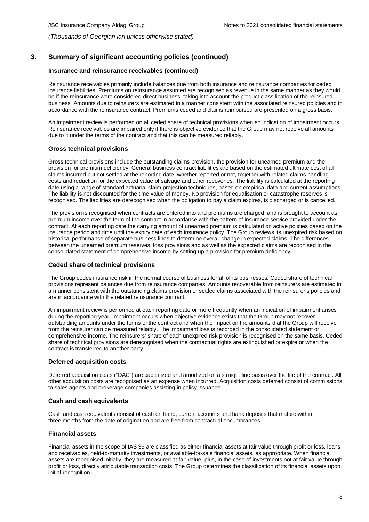# **3. Summary of significant accounting policies (continued)**

### **Insurance and reinsurance receivables (continued)**

Reinsurance receivables primarily include balances due from both insurance and reinsurance companies for ceded insurance liabilities. Premiums on reinsurance assumed are recognised as revenue in the same manner as they would be if the reinsurance were considered direct business, taking into account the product classification of the reinsured business. Amounts due to reinsurers are estimated in a manner consistent with the associated reinsured policies and in accordance with the reinsurance contract. Premiums ceded and claims reimbursed are presented on a gross basis.

An impairment review is performed on all ceded share of technical provisions when an indication of impairment occurs. Reinsurance receivables are impaired only if there is objective evidence that the Group may not receive all amounts due to it under the terms of the contract and that this can be measured reliably.

### **Gross technical provisions**

Gross technical provisions include the outstanding claims provision, the provision for unearned premium and the provision for premium deficiency. General business contract liabilities are based on the estimated ultimate cost of all claims incurred but not settled at the reporting date, whether reported or not, together with related claims handling costs and reduction for the expected value of salvage and other recoveries. The liability is calculated at the reporting date using a range of standard actuarial claim projection techniques, based on empirical data and current assumptions. The liability is not discounted for the time value of money. No provision for equalisation or catastrophe reserves is recognised. The liabilities are derecognised when the obligation to pay a claim expires, is discharged or is cancelled.

The provision is recognised when contracts are entered into and premiums are charged, and is brought to account as premium income over the term of the contract in accordance with the pattern of insurance service provided under the contract. At each reporting date the carrying amount of unearned premium is calculated on active policies based on the insurance period and time until the expiry date of each insurance policy. The Group reviews its unexpired risk based on historical performance of separate business lines to determine overall change in expected claims. The differences between the unearned premium reserves, loss provisions and as well as the expected claims are recognised in the consolidated statement of comprehensive income by setting up a provision for premium deficiency.

#### **Ceded share of technical provisions**

The Group cedes insurance risk in the normal course of business for all of its businesses. Ceded share of technical provisions represent balances due from reinsurance companies. Amounts recoverable from reinsurers are estimated in a manner consistent with the outstanding claims provision or settled claims associated with the reinsurer's policies and are in accordance with the related reinsurance contract.

An impairment review is performed at each reporting date or more frequently when an indication of impairment arises during the reporting year. Impairment occurs when objective evidence exists that the Group may not recover outstanding amounts under the terms of the contract and when the impact on the amounts that the Group will receive from the reinsurer can be measured reliably. The impairment loss is recorded in the consolidated statement of comprehensive income. The reinsurers' share of each unexpired risk provision is recognised on the same basis. Ceded share of technical provisions are derecognised when the contractual rights are extinguished or expire or when the contract is transferred to another party.

#### **Deferred acquisition costs**

Deferred acquisition costs ("DAC") are capitalized and amortized on a straight line basis over the life of the contract. All other acquisition costs are recognised as an expense when incurred. Acquisition costs deferred consist of commissions to sales agents and brokerage companies assisting in policy issuance.

#### **Cash and cash equivalents**

Cash and cash equivalents consist of cash on hand, current accounts and bank deposits that mature within three months from the date of origination and are free from contractual encumbrances.

### **Financial assets**

Financial assets in the scope of IAS 39 are classified as either financial assets at fair value through profit or loss, loans and receivables, held-to-maturity investments, or available-for-sale financial assets, as appropriate. When financial assets are recognised initially, they are measured at fair value, plus, in the case of investments not at fair value through profit or loss, directly attributable transaction costs. The Group determines the classification of its financial assets upon initial recognition.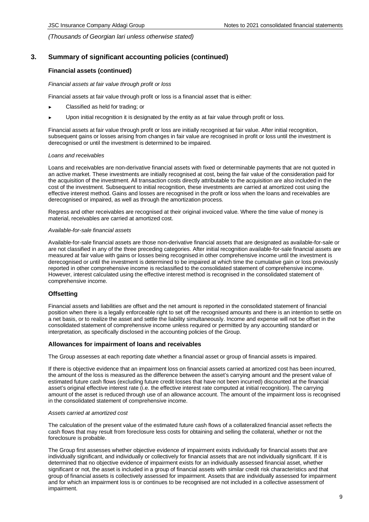# **3. Summary of significant accounting policies (continued)**

### **Financial assets (continued)**

#### *Financial assets at fair value through profit or loss*

Financial assets at fair value through profit or loss is a financial asset that is either:

- Classified as held for trading; or
- Upon initial recognition it is designated by the entity as at fair value through profit or loss.

Financial assets at fair value through profit or loss are initially recognised at fair value. After initial recognition, subsequent gains or losses arising from changes in fair value are recognised in profit or loss until the investment is derecognised or until the investment is determined to be impaired.

#### *Loans and receivables*

Loans and receivables are non-derivative financial assets with fixed or determinable payments that are not quoted in an active market. These investments are initially recognised at cost, being the fair value of the consideration paid for the acquisition of the investment. All transaction costs directly attributable to the acquisition are also included in the cost of the investment. Subsequent to initial recognition, these investments are carried at amortized cost using the effective interest method. Gains and losses are recognised in the profit or loss when the loans and receivables are derecognised or impaired, as well as through the amortization process.

Regress and other receivables are recognised at their original invoiced value. Where the time value of money is material, receivables are carried at amortized cost.

#### *Available-for-sale financial assets*

Available-for-sale financial assets are those non-derivative financial assets that are designated as available-for-sale or are not classified in any of the three preceding categories. After initial recognition available-for-sale financial assets are measured at fair value with gains or losses being recognised in other comprehensive income until the investment is derecognised or until the investment is determined to be impaired at which time the cumulative gain or loss previously reported in other comprehensive income is reclassified to the consolidated statement of comprehensive income. However, interest calculated using the effective interest method is recognised in the consolidated statement of comprehensive income.

### **Offsetting**

Financial assets and liabilities are offset and the net amount is reported in the consolidated statement of financial position when there is a legally enforceable right to set off the recognised amounts and there is an intention to settle on a net basis, or to realize the asset and settle the liability simultaneously. Income and expense will not be offset in the consolidated statement of comprehensive income unless required or permitted by any accounting standard or interpretation, as specifically disclosed in the accounting policies of the Group.

#### **Allowances for impairment of loans and receivables**

The Group assesses at each reporting date whether a financial asset or group of financial assets is impaired.

If there is objective evidence that an impairment loss on financial assets carried at amortized cost has been incurred, the amount of the loss is measured as the difference between the asset's carrying amount and the present value of estimated future cash flows (excluding future credit losses that have not been incurred) discounted at the financial asset's original effective interest rate (i.e. the effective interest rate computed at initial recognition). The carrying amount of the asset is reduced through use of an allowance account. The amount of the impairment loss is recognised in the consolidated statement of comprehensive income.

#### *Assets carried at amortized cost*

The calculation of the present value of the estimated future cash flows of a collateralized financial asset reflects the cash flows that may result from foreclosure less costs for obtaining and selling the collateral, whether or not the foreclosure is probable.

The Group first assesses whether objective evidence of impairment exists individually for financial assets that are individually significant, and individually or collectively for financial assets that are not individually significant. If it is determined that no objective evidence of impairment exists for an individually assessed financial asset, whether significant or not, the asset is included in a group of financial assets with similar credit risk characteristics and that group of financial assets is collectively assessed for impairment. Assets that are individually assessed for impairment and for which an impairment loss is or continues to be recognised are not included in a collective assessment of impairment.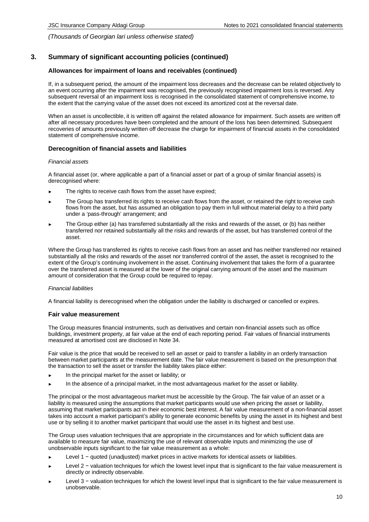# **3. Summary of significant accounting policies (continued)**

### **Allowances for impairment of loans and receivables (continued)**

If, in a subsequent period, the amount of the impairment loss decreases and the decrease can be related objectively to an event occurring after the impairment was recognised, the previously recognised impairment loss is reversed. Any subsequent reversal of an impairment loss is recognised in the consolidated statement of comprehensive income, to the extent that the carrying value of the asset does not exceed its amortized cost at the reversal date.

When an asset is uncollectible, it is written off against the related allowance for impairment. Such assets are written off after all necessary procedures have been completed and the amount of the loss has been determined. Subsequent recoveries of amounts previously written off decrease the charge for impairment of financial assets in the consolidated statement of comprehensive income.

### **Derecognition of financial assets and liabilities**

#### *Financial assets*

A financial asset (or, where applicable a part of a financial asset or part of a group of similar financial assets) is derecognised where:

- The rights to receive cash flows from the asset have expired;
- The Group has transferred its rights to receive cash flows from the asset, or retained the right to receive cash flows from the asset, but has assumed an obligation to pay them in full without material delay to a third party under a 'pass-through' arrangement; and
- The Group either (a) has transferred substantially all the risks and rewards of the asset, or (b) has neither transferred nor retained substantially all the risks and rewards of the asset, but has transferred control of the asset.

Where the Group has transferred its rights to receive cash flows from an asset and has neither transferred nor retained substantially all the risks and rewards of the asset nor transferred control of the asset, the asset is recognised to the extent of the Group's continuing involvement in the asset. Continuing involvement that takes the form of a guarantee over the transferred asset is measured at the lower of the original carrying amount of the asset and the maximum amount of consideration that the Group could be required to repay.

#### *Financial liabilities*

A financial liability is derecognised when the obligation under the liability is discharged or cancelled or expires.

#### **Fair value measurement**

The Group measures financial instruments, such as derivatives and certain non-financial assets such as office buildings, investment property, at fair value at the end of each reporting period. Fair values of financial instruments measured at amortised cost are disclosed in Note 34.

Fair value is the price that would be received to sell an asset or paid to transfer a liability in an orderly transaction between market participants at the measurement date. The fair value measurement is based on the presumption that the transaction to sell the asset or transfer the liability takes place either:

- In the principal market for the asset or liability; or
- In the absence of a principal market, in the most advantageous market for the asset or liability.

The principal or the most advantageous market must be accessible by the Group. The fair value of an asset or a liability is measured using the assumptions that market participants would use when pricing the asset or liability, assuming that market participants act in their economic best interest. A fair value measurement of a non-financial asset takes into account a market participant's ability to generate economic benefits by using the asset in its highest and best use or by selling it to another market participant that would use the asset in its highest and best use.

The Group uses valuation techniques that are appropriate in the circumstances and for which sufficient data are available to measure fair value, maximizing the use of relevant observable inputs and minimizing the use of unobservable inputs significant to the fair value measurement as a whole:

- Level 1 − quoted (unadjusted) market prices in active markets for identical assets or liabilities.
- Level 2 − valuation techniques for which the lowest level input that is significant to the fair value measurement is directly or indirectly observable.
- Level 3 valuation techniques for which the lowest level input that is significant to the fair value measurement is unobservable.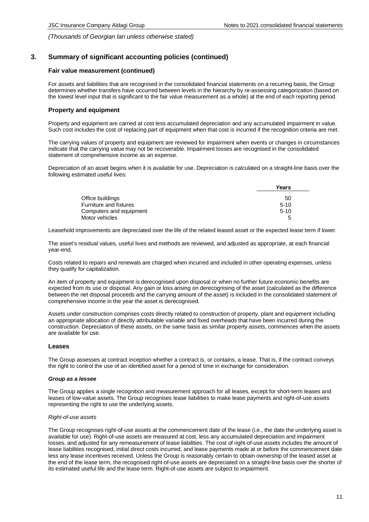# **3. Summary of significant accounting policies (continued)**

### **Fair value measurement (continued)**

For assets and liabilities that are recognised in the consolidated financial statements on a recurring basis, the Group determines whether transfers have occurred between levels in the hierarchy by re-assessing categorization (based on the lowest level input that is significant to the fair value measurement as a whole) at the end of each reporting period.

### **Property and equipment**

Property and equipment are carried at cost less accumulated depreciation and any accumulated impairment in value. Such cost includes the cost of replacing part of equipment when that cost is incurred if the recognition criteria are met.

The carrying values of property and equipment are reviewed for impairment when events or changes in circumstances indicate that the carrying value may not be recoverable. Impairment losses are recognised in the consolidated statement of comprehensive income as an expense.

Depreciation of an asset begins when it is available for use. Depreciation is calculated on a straight-line basis over the following estimated useful lives:

|                         | Years  |
|-------------------------|--------|
| Office buildings        | 50     |
| Furniture and fixtures  | $5-10$ |
| Computers and equipment | $5-10$ |
| Motor vehicles          | 5      |

Leasehold improvements are depreciated over the life of the related leased asset or the expected lease term if lower.

The asset's residual values, useful lives and methods are reviewed, and adjusted as appropriate, at each financial year-end.

Costs related to repairs and renewals are charged when incurred and included in other operating expenses, unless they qualify for capitalization.

An item of property and equipment is derecognised upon disposal or when no further future economic benefits are expected from its use or disposal. Any gain or loss arising on derecognising of the asset (calculated as the difference between the net disposal proceeds and the carrying amount of the asset) is included in the consolidated statement of comprehensive income in the year the asset is derecognised.

Assets under construction comprises costs directly related to construction of property, plant and equipment including an appropriate allocation of directly attributable variable and fixed overheads that have been incurred during the construction. Depreciation of these assets, on the same basis as similar property assets, commences when the assets are available for use.

#### **Leases**

The Group assesses at contract inception whether a contract is, or contains, a lease. That is, if the contract conveys the right to control the use of an identified asset for a period of time in exchange for consideration.

#### *Group as a lessee*

The Group applies a single recognition and measurement approach for all leases, except for short-term leases and leases of low-value assets. The Group recognises lease liabilities to make lease payments and right-of-use assets representing the right to use the underlying assets.

#### *Right-of-use assets*

The Group recognises right-of-use assets at the commencement date of the lease (i.e., the date the underlying asset is available for use). Right-of-use assets are measured at cost, less any accumulated depreciation and impairment losses, and adjusted for any remeasurement of lease liabilities. The cost of right-of-use assets includes the amount of lease liabilities recognised, initial direct costs incurred, and lease payments made at or before the commencement date less any lease incentives received. Unless the Group is reasonably certain to obtain ownership of the leased asset at the end of the lease term, the recognised right-of-use assets are depreciated on a straight-line basis over the shorter of its estimated useful life and the lease term. Right-of-use assets are subject to impairment.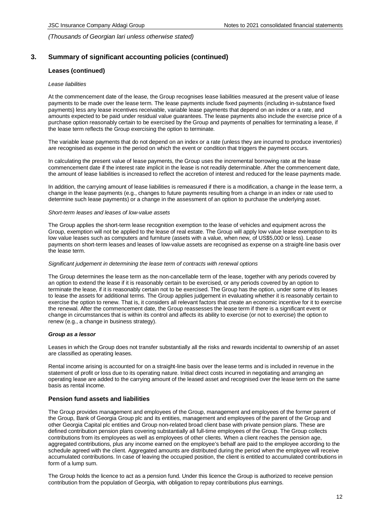# **3. Summary of significant accounting policies (continued)**

### **Leases (continued)**

#### *Lease liabilities*

At the commencement date of the lease, the Group recognises lease liabilities measured at the present value of lease payments to be made over the lease term. The lease payments include fixed payments (including in-substance fixed payments) less any lease incentives receivable, variable lease payments that depend on an index or a rate, and amounts expected to be paid under residual value guarantees. The lease payments also include the exercise price of a purchase option reasonably certain to be exercised by the Group and payments of penalties for terminating a lease, if the lease term reflects the Group exercising the option to terminate.

The variable lease payments that do not depend on an index or a rate (unless they are incurred to produce inventories) are recognised as expense in the period on which the event or condition that triggers the payment occurs.

In calculating the present value of lease payments, the Group uses the incremental borrowing rate at the lease commencement date if the interest rate implicit in the lease is not readily determinable. After the commencement date, the amount of lease liabilities is increased to reflect the accretion of interest and reduced for the lease payments made.

In addition, the carrying amount of lease liabilities is remeasured if there is a modification, a change in the lease term, a change in the lease payments (e.g., changes to future payments resulting from a change in an index or rate used to determine such lease payments) or a change in the assessment of an option to purchase the underlying asset.

#### *Short-term leases and leases of low-value assets*

The Group applies the short-term lease recognition exemption to the lease of vehicles and equipment across the Group, exemption will not be applied to the lease of real estate. The Group will apply low value lease exemption to its low value leases such as computers and furniture (assets with a value, when new, of US\$5,000 or less). Lease payments on short-term leases and leases of low-value assets are recognised as expense on a straight-line basis over the lease term.

#### *Significant judgement in determining the lease term of contracts with renewal options*

The Group determines the lease term as the non-cancellable term of the lease, together with any periods covered by an option to extend the lease if it is reasonably certain to be exercised, or any periods covered by an option to terminate the lease, if it is reasonably certain not to be exercised. The Group has the option, under some of its leases to lease the assets for additional terms. The Group applies judgement in evaluating whether it is reasonably certain to exercise the option to renew. That is, it considers all relevant factors that create an economic incentive for it to exercise the renewal. After the commencement date, the Group reassesses the lease term if there is a significant event or change in circumstances that is within its control and affects its ability to exercise (or not to exercise) the option to renew (e.g., a change in business strategy).

#### *Group as a lessor*

Leases in which the Group does not transfer substantially all the risks and rewards incidental to ownership of an asset are classified as operating leases.

Rental income arising is accounted for on a straight-line basis over the lease terms and is included in revenue in the statement of profit or loss due to its operating nature. Initial direct costs incurred in negotiating and arranging an operating lease are added to the carrying amount of the leased asset and recognised over the lease term on the same basis as rental income.

### **Pension fund assets and liabilities**

The Group provides management and employees of the Group, management and employees of the former parent of the Group, Bank of Georgia Group plc and its entities, management and employees of the parent of the Group and other Georgia Capital plc entities and Group non-related broad client base with private pension plans. These are defined contribution pension plans covering substantially all full-time employees of the Group. The Group collects contributions from its employees as well as employees of other clients. When a client reaches the pension age, aggregated contributions, plus any income earned on the employee's behalf are paid to the employee according to the schedule agreed with the client. Aggregated amounts are distributed during the period when the employee will receive accumulated contributions. In case of leaving the occupied position, the client is entitled to accumulated contributions in form of a lump sum.

The Group holds the licence to act as a pension fund. Under this licence the Group is authorized to receive pension contribution from the population of Georgia, with obligation to repay contributions plus earnings.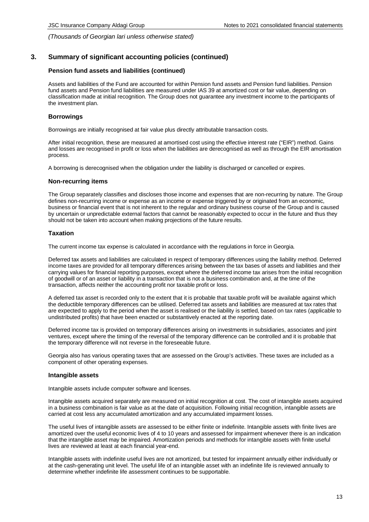# **3. Summary of significant accounting policies (continued)**

### **Pension fund assets and liabilities (continued)**

Assets and liabilities of the Fund are accounted for within Pension fund assets and Pension fund liabilities. Pension fund assets and Pension fund liabilities are measured under IAS 39 at amortized cost or fair value, depending on classification made at initial recognition. The Group does not guarantee any investment income to the participants of the investment plan.

### **Borrowings**

Borrowings are initially recognised at fair value plus directly attributable transaction costs.

After initial recognition, these are measured at amortised cost using the effective interest rate ("EIR") method. Gains and losses are recognised in profit or loss when the liabilities are derecognised as well as through the EIR amortisation process.

A borrowing is derecognised when the obligation under the liability is discharged or cancelled or expires.

#### **Non-recurring items**

The Group separately classifies and discloses those income and expenses that are non-recurring by nature. The Group defines non-recurring income or expense as an income or expense triggered by or originated from an economic, business or financial event that is not inherent to the regular and ordinary business course of the Group and is caused by uncertain or unpredictable external factors that cannot be reasonably expected to occur in the future and thus they should not be taken into account when making projections of the future results.

### **Taxation**

The current income tax expense is calculated in accordance with the regulations in force in Georgia.

Deferred tax assets and liabilities are calculated in respect of temporary differences using the liability method. Deferred income taxes are provided for all temporary differences arising between the tax bases of assets and liabilities and their carrying values for financial reporting purposes, except where the deferred income tax arises from the initial recognition of goodwill or of an asset or liability in a transaction that is not a business combination and, at the time of the transaction, affects neither the accounting profit nor taxable profit or loss.

A deferred tax asset is recorded only to the extent that it is probable that taxable profit will be available against which the deductible temporary differences can be utilised. Deferred tax assets and liabilities are measured at tax rates that are expected to apply to the period when the asset is realised or the liability is settled, based on tax rates (applicable to undistributed profits) that have been enacted or substantively enacted at the reporting date.

Deferred income tax is provided on temporary differences arising on investments in subsidiaries, associates and joint ventures, except where the timing of the reversal of the temporary difference can be controlled and it is probable that the temporary difference will not reverse in the foreseeable future.

Georgia also has various operating taxes that are assessed on the Group's activities. These taxes are included as a component of other operating expenses.

#### **Intangible assets**

Intangible assets include computer software and licenses.

Intangible assets acquired separately are measured on initial recognition at cost. The cost of intangible assets acquired in a business combination is fair value as at the date of acquisition. Following initial recognition, intangible assets are carried at cost less any accumulated amortization and any accumulated impairment losses.

The useful lives of intangible assets are assessed to be either finite or indefinite. Intangible assets with finite lives are amortized over the useful economic lives of 4 to 10 years and assessed for impairment whenever there is an indication that the intangible asset may be impaired. Amortization periods and methods for intangible assets with finite useful lives are reviewed at least at each financial year-end.

Intangible assets with indefinite useful lives are not amortized, but tested for impairment annually either individually or at the cash-generating unit level. The useful life of an intangible asset with an indefinite life is reviewed annually to determine whether indefinite life assessment continues to be supportable.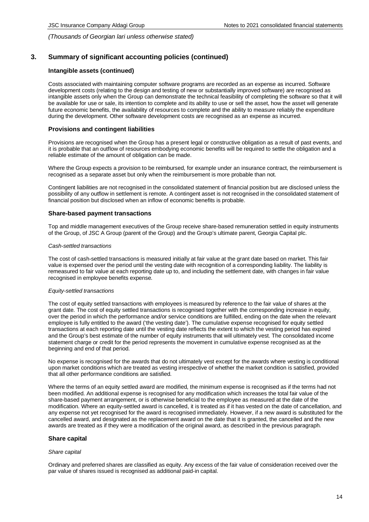# **3. Summary of significant accounting policies (continued)**

### **Intangible assets (continued)**

Costs associated with maintaining computer software programs are recorded as an expense as incurred. Software development costs (relating to the design and testing of new or substantially improved software) are recognised as intangible assets only when the Group can demonstrate the technical feasibility of completing the software so that it will be available for use or sale, its intention to complete and its ability to use or sell the asset, how the asset will generate future economic benefits, the availability of resources to complete and the ability to measure reliably the expenditure during the development. Other software development costs are recognised as an expense as incurred.

### **Provisions and contingent liabilities**

Provisions are recognised when the Group has a present legal or constructive obligation as a result of past events, and it is probable that an outflow of resources embodying economic benefits will be required to settle the obligation and a reliable estimate of the amount of obligation can be made.

Where the Group expects a provision to be reimbursed, for example under an insurance contract, the reimbursement is recognised as a separate asset but only when the reimbursement is more probable than not.

Contingent liabilities are not recognised in the consolidated statement of financial position but are disclosed unless the possibility of any outflow in settlement is remote. A contingent asset is not recognised in the consolidated statement of financial position but disclosed when an inflow of economic benefits is probable.

### **Share-based payment transactions**

Top and middle management executives of the Group receive share-based remuneration settled in equity instruments of the Group, of JSC A Group (parent of the Group) and the Group's ultimate parent, Georgia Capital plc.

#### *Cash-settled transactions*

The cost of cash-settled transactions is measured initially at fair value at the grant date based on market. This fair value is expensed over the period until the vesting date with recognition of a corresponding liability. The liability is remeasured to fair value at each reporting date up to, and including the settlement date, with changes in fair value recognised in employee benefits expense.

#### *Equity-settled transactions*

The cost of equity settled transactions with employees is measured by reference to the fair value of shares at the grant date. The cost of equity settled transactions is recognised together with the corresponding increase in equity, over the period in which the performance and/or service conditions are fulfilled, ending on the date when the relevant employee is fully entitled to the award ('the vesting date'). The cumulative expense recognised for equity settled transactions at each reporting date until the vesting date reflects the extent to which the vesting period has expired and the Group's best estimate of the number of equity instruments that will ultimately vest. The consolidated income statement charge or credit for the period represents the movement in cumulative expense recognised as at the beginning and end of that period.

No expense is recognised for the awards that do not ultimately vest except for the awards where vesting is conditional upon market conditions which are treated as vesting irrespective of whether the market condition is satisfied, provided that all other performance conditions are satisfied.

Where the terms of an equity settled award are modified, the minimum expense is recognised as if the terms had not been modified. An additional expense is recognised for any modification which increases the total fair value of the share-based payment arrangement, or is otherwise beneficial to the employee as measured at the date of the modification. Where an equity-settled award is cancelled, it is treated as if it has vested on the date of cancellation, and any expense not yet recognised for the award is recognised immediately. However, if a new award is substituted for the cancelled award, and designated as the replacement award on the date that it is granted, the cancelled and the new awards are treated as if they were a modification of the original award, as described in the previous paragraph.

### **Share capital**

#### *Share capital*

Ordinary and preferred shares are classified as equity. Any excess of the fair value of consideration received over the par value of shares issued is recognised as additional paid-in capital.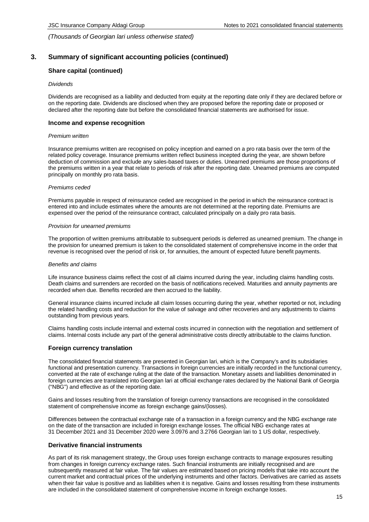# **3. Summary of significant accounting policies (continued)**

### **Share capital (continued)**

#### *Dividends*

Dividends are recognised as a liability and deducted from equity at the reporting date only if they are declared before or on the reporting date. Dividends are disclosed when they are proposed before the reporting date or proposed or declared after the reporting date but before the consolidated financial statements are authorised for issue.

### **Income and expense recognition**

#### *Premium written*

Insurance premiums written are recognised on policy inception and earned on a pro rata basis over the term of the related policy coverage. Insurance premiums written reflect business incepted during the year, are shown before deduction of commission and exclude any sales-based taxes or duties. Unearned premiums are those proportions of the premiums written in a year that relate to periods of risk after the reporting date. Unearned premiums are computed principally on monthly pro rata basis.

#### *Premiums ceded*

Premiums payable in respect of reinsurance ceded are recognised in the period in which the reinsurance contract is entered into and include estimates where the amounts are not determined at the reporting date. Premiums are expensed over the period of the reinsurance contract, calculated principally on a daily pro rata basis.

#### *Provision for unearned premiums*

The proportion of written premiums attributable to subsequent periods is deferred as unearned premium. The change in the provision for unearned premium is taken to the consolidated statement of comprehensive income in the order that revenue is recognised over the period of risk or, for annuities, the amount of expected future benefit payments.

#### *Benefits and claims*

Life insurance business claims reflect the cost of all claims incurred during the year, including claims handling costs. Death claims and surrenders are recorded on the basis of notifications received. Maturities and annuity payments are recorded when due. Benefits recorded are then accrued to the liability.

General insurance claims incurred include all claim losses occurring during the year, whether reported or not, including the related handling costs and reduction for the value of salvage and other recoveries and any adjustments to claims outstanding from previous years.

Claims handling costs include internal and external costs incurred in connection with the negotiation and settlement of claims. Internal costs include any part of the general administrative costs directly attributable to the claims function.

#### **Foreign currency translation**

The consolidated financial statements are presented in Georgian lari, which is the Company's and its subsidiaries functional and presentation currency. Transactions in foreign currencies are initially recorded in the functional currency, converted at the rate of exchange ruling at the date of the transaction. Monetary assets and liabilities denominated in foreign currencies are translated into Georgian lari at official exchange rates declared by the National Bank of Georgia ("NBG") and effective as of the reporting date.

Gains and losses resulting from the translation of foreign currency transactions are recognised in the consolidated statement of comprehensive income as foreign exchange gains/(losses).

Differences between the contractual exchange rate of a transaction in a foreign currency and the NBG exchange rate on the date of the transaction are included in foreign exchange losses. The official NBG exchange rates at 31 December 2021 and 31 December 2020 were 3.0976 and 3.2766 Georgian lari to 1 US dollar, respectively.

### **Derivative financial instruments**

As part of its risk management strategy, the Group uses foreign exchange contracts to manage exposures resulting from changes in foreign currency exchange rates. Such financial instruments are initially recognised and are subsequently measured at fair value. The fair values are estimated based on pricing models that take into account the current market and contractual prices of the underlying instruments and other factors. Derivatives are carried as assets when their fair value is positive and as liabilities when it is negative. Gains and losses resulting from these instruments are included in the consolidated statement of comprehensive income in foreign exchange losses.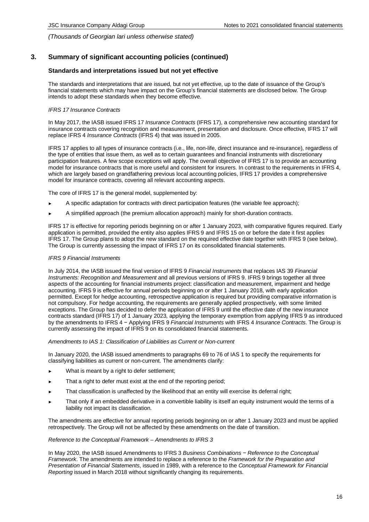# **3. Summary of significant accounting policies (continued)**

### **Standards and interpretations issued but not yet effective**

The standards and interpretations that are issued, but not yet effective, up to the date of issuance of the Group's financial statements which may have impact on the Group's financial statements are disclosed below. The Group intends to adopt these standards when they become effective.

#### *IFRS 17 Insurance Contracts*

In May 2017, the IASB issued IFRS 17 *Insurance Contracts* (IFRS 17), a comprehensive new accounting standard for insurance contracts covering recognition and measurement, presentation and disclosure. Once effective, IFRS 17 will replace IFRS 4 *Insurance Contracts* (IFRS 4) that was issued in 2005.

IFRS 17 applies to all types of insurance contracts (i.e., life, non-life, direct insurance and re-insurance), regardless of the type of entities that issue them, as well as to certain guarantees and financial instruments with discretionary participation features. A few scope exceptions will apply. The overall objective of IFRS 17 is to provide an accounting model for insurance contracts that is more useful and consistent for insurers. In contrast to the requirements in IFRS 4, which are largely based on grandfathering previous local accounting policies, IFRS 17 provides a comprehensive model for insurance contracts, covering all relevant accounting aspects.

The core of IFRS 17 is the general model, supplemented by:

- A specific adaptation for contracts with direct participation features (the variable fee approach);
- A simplified approach (the premium allocation approach) mainly for short-duration contracts.

IFRS 17 is effective for reporting periods beginning on or after 1 January 2023, with comparative figures required. Early application is permitted, provided the entity also applies IFRS 9 and IFRS 15 on or before the date it first applies IFRS 17. The Group plans to adopt the new standard on the required effective date together with IFRS 9 (see below). The Group is currently assessing the impact of IFRS 17 on its consolidated financial statements.

#### *IFRS 9 Financial Instruments*

In July 2014, the IASB issued the final version of IFRS 9 *Financial Instruments* that replaces IAS 39 *Financial Instruments: Recognition and Measurement* and all previous versions of IFRS 9. IFRS 9 brings together all three aspects of the accounting for financial instruments project: classification and measurement, impairment and hedge accounting. IFRS 9 is effective for annual periods beginning on or after 1 January 2018, with early application permitted. Except for hedge accounting, retrospective application is required but providing comparative information is not compulsory. For hedge accounting, the requirements are generally applied prospectively, with some limited exceptions. The Group has decided to defer the application of IFRS 9 until the effective date of the new insurance contracts standard (IFRS 17) of 1 January 2023, applying the temporary exemption from applying IFRS 9 as introduced by the amendments to IFRS 4 − Applying IFRS 9 *Financial Instruments* with IFRS 4 *Insurance Contracts*. The Group is currently assessing the impact of IFRS 9 on its consolidated financial statements.

#### *Amendments to IAS 1: Classification of Liabilities as Current or Non-current*

In January 2020, the IASB issued amendments to paragraphs 69 to 76 of IAS 1 to specify the requirements for classifying liabilities as current or non-current. The amendments clarify:

- What is meant by a right to defer settlement;
- That a right to defer must exist at the end of the reporting period:
- That classification is unaffected by the likelihood that an entity will exercise its deferral right;
- That only if an embedded derivative in a convertible liability is itself an equity instrument would the terms of a liability not impact its classification.

The amendments are effective for annual reporting periods beginning on or after 1 January 2023 and must be applied retrospectively. The Group will not be affected by these amendments on the date of transition.

#### *Reference to the Conceptual Framework – Amendments to IFRS 3*

In May 2020, the IASB issued Amendments to IFRS 3 *Business Combinations − Reference to the Conceptual Framework*. The amendments are intended to replace a reference to the *Framework for the Preparation and Presentation of Financial Statements*, issued in 1989, with a reference to the *Conceptual Framework for Financial Reporting* issued in March 2018 without significantly changing its requirements.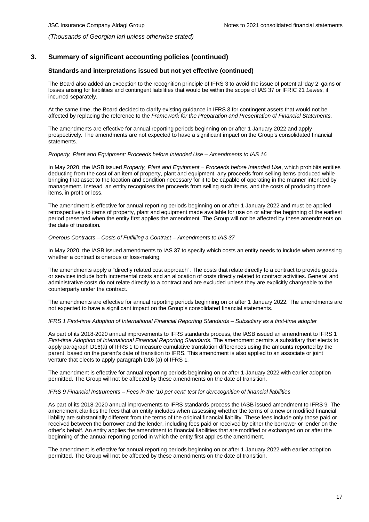# **3. Summary of significant accounting policies (continued)**

### **Standards and interpretations issued but not yet effective (continued)**

The Board also added an exception to the recognition principle of IFRS 3 to avoid the issue of potential 'day 2' gains or losses arising for liabilities and contingent liabilities that would be within the scope of IAS 37 or IFRIC 21 *Levies*, if incurred separately.

At the same time, the Board decided to clarify existing guidance in IFRS 3 for contingent assets that would not be affected by replacing the reference to the *Framework for the Preparation and Presentation of Financial Statements*.

The amendments are effective for annual reporting periods beginning on or after 1 January 2022 and apply prospectively. The amendments are not expected to have a significant impact on the Group's consolidated financial statements.

#### *Property, Plant and Equipment: Proceeds before Intended Use – Amendments to IAS 16*

In May 2020, the IASB issued *Property, Plant and Equipment − Proceeds before Intended Use*, which prohibits entities deducting from the cost of an item of property, plant and equipment, any proceeds from selling items produced while bringing that asset to the location and condition necessary for it to be capable of operating in the manner intended by management. Instead, an entity recognises the proceeds from selling such items, and the costs of producing those items, in profit or loss.

The amendment is effective for annual reporting periods beginning on or after 1 January 2022 and must be applied retrospectively to items of property, plant and equipment made available for use on or after the beginning of the earliest period presented when the entity first applies the amendment. The Group will not be affected by these amendments on the date of transition.

#### *Onerous Contracts – Costs of Fulfilling a Contract – Amendments to IAS 37*

In May 2020, the IASB issued amendments to IAS 37 to specify which costs an entity needs to include when assessing whether a contract is onerous or loss-making.

The amendments apply a "directly related cost approach". The costs that relate directly to a contract to provide goods or services include both incremental costs and an allocation of costs directly related to contract activities. General and administrative costs do not relate directly to a contract and are excluded unless they are explicitly chargeable to the counterparty under the contract.

The amendments are effective for annual reporting periods beginning on or after 1 January 2022. The amendments are not expected to have a significant impact on the Group's consolidated financial statements.

#### *IFRS 1 First-time Adoption of International Financial Reporting Standards – Subsidiary as a first-time adopter*

As part of its 2018-2020 annual improvements to IFRS standards process, the IASB issued an amendment to IFRS 1 *First-time Adoption of International Financial Reporting Standards*. The amendment permits a subsidiary that elects to apply paragraph D16(a) of IFRS 1 to measure cumulative translation differences using the amounts reported by the parent, based on the parent's date of transition to IFRS. This amendment is also applied to an associate or joint venture that elects to apply paragraph D16 (a) of IFRS 1.

The amendment is effective for annual reporting periods beginning on or after 1 January 2022 with earlier adoption permitted. The Group will not be affected by these amendments on the date of transition.

#### *IFRS 9 Financial Instruments – Fees in the '10 per cent' test for derecognition of financial liabilities*

As part of its 2018-2020 annual improvements to IFRS standards process the IASB issued amendment to IFRS 9. The amendment clarifies the fees that an entity includes when assessing whether the terms of a new or modified financial liability are substantially different from the terms of the original financial liability. These fees include only those paid or received between the borrower and the lender, including fees paid or received by either the borrower or lender on the other's behalf. An entity applies the amendment to financial liabilities that are modified or exchanged on or after the beginning of the annual reporting period in which the entity first applies the amendment.

The amendment is effective for annual reporting periods beginning on or after 1 January 2022 with earlier adoption permitted. The Group will not be affected by these amendments on the date of transition.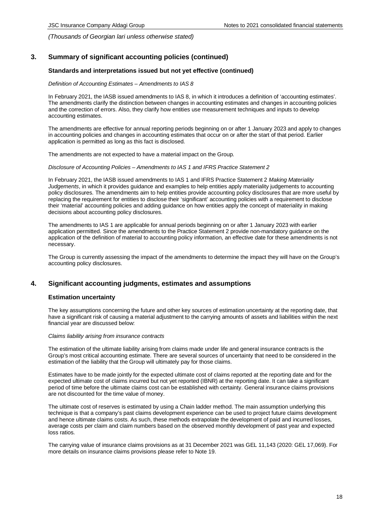# **3. Summary of significant accounting policies (continued)**

### **Standards and interpretations issued but not yet effective (continued)**

*Definition of Accounting Estimates – Amendments to IAS 8*

In February 2021, the IASB issued amendments to IAS 8, in which it introduces a definition of 'accounting estimates'. The amendments clarify the distinction between changes in accounting estimates and changes in accounting policies and the correction of errors. Also, they clarify how entities use measurement techniques and inputs to develop accounting estimates.

The amendments are effective for annual reporting periods beginning on or after 1 January 2023 and apply to changes in accounting policies and changes in accounting estimates that occur on or after the start of that period. Earlier application is permitted as long as this fact is disclosed.

The amendments are not expected to have a material impact on the Group.

*Disclosure of Accounting Policies – Amendments to IAS 1 and IFRS Practice Statement 2*

In February 2021, the IASB issued amendments to IAS 1 and IFRS Practice Statement 2 *Making Materiality Judgements*, in which it provides guidance and examples to help entities apply materiality judgements to accounting policy disclosures. The amendments aim to help entities provide accounting policy disclosures that are more useful by replacing the requirement for entities to disclose their 'significant' accounting policies with a requirement to disclose their 'material' accounting policies and adding guidance on how entities apply the concept of materiality in making decisions about accounting policy disclosures.

The amendments to IAS 1 are applicable for annual periods beginning on or after 1 January 2023 with earlier application permitted. Since the amendments to the Practice Statement 2 provide non-mandatory guidance on the application of the definition of material to accounting policy information, an effective date for these amendments is not necessary.

The Group is currently assessing the impact of the amendments to determine the impact they will have on the Group's accounting policy disclosures.

### **4. Significant accounting judgments, estimates and assumptions**

#### **Estimation uncertainty**

The key assumptions concerning the future and other key sources of estimation uncertainty at the reporting date, that have a significant risk of causing a material adjustment to the carrying amounts of assets and liabilities within the next financial year are discussed below:

#### *Claims liability arising from insurance contracts*

The estimation of the ultimate liability arising from claims made under life and general insurance contracts is the Group's most critical accounting estimate. There are several sources of uncertainty that need to be considered in the estimation of the liability that the Group will ultimately pay for those claims.

Estimates have to be made jointly for the expected ultimate cost of claims reported at the reporting date and for the expected ultimate cost of claims incurred but not yet reported (IBNR) at the reporting date. It can take a significant period of time before the ultimate claims cost can be established with certainty. General insurance claims provisions are not discounted for the time value of money.

The ultimate cost of reserves is estimated by using a Chain ladder method. The main assumption underlying this technique is that a company's past claims development experience can be used to project future claims development and hence ultimate claims costs. As such, these methods extrapolate the development of paid and incurred losses, average costs per claim and claim numbers based on the observed monthly development of past year and expected loss ratios.

The carrying value of insurance claims provisions as at 31 December 2021 was GEL 11,143 (2020: GEL 17,069). For more details on insurance claims provisions please refer to Note 19.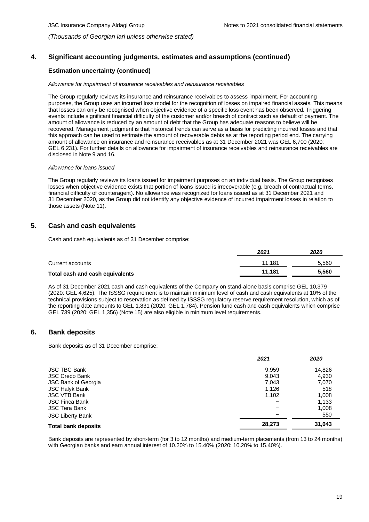# **4. Significant accounting judgments, estimates and assumptions (continued)**

### **Estimation uncertainty (continued)**

#### *Allowance for impairment of insurance receivables and reinsurance receivables*

The Group regularly reviews its insurance and reinsurance receivables to assess impairment. For accounting purposes, the Group uses an incurred loss model for the recognition of losses on impaired financial assets. This means that losses can only be recognised when objective evidence of a specific loss event has been observed. Triggering events include significant financial difficulty of the customer and/or breach of contract such as default of payment. The amount of allowance is reduced by an amount of debt that the Group has adequate reasons to believe will be recovered. Management judgment is that historical trends can serve as a basis for predicting incurred losses and that this approach can be used to estimate the amount of recoverable debts as at the reporting period end. The carrying amount of allowance on insurance and reinsurance receivables as at 31 December 2021 was GEL 6,700 (2020: GEL 6,231). For further details on allowance for impairment of insurance receivables and reinsurance receivables are disclosed in Note 9 and 16.

#### *Allowance for loans issued*

The Group regularly reviews its loans issued for impairment purposes on an individual basis. The Group recognises losses when objective evidence exists that portion of loans issued is irrecoverable (e.g. breach of contractual terms, financial difficulty of counteragent). No allowance was recognized for loans issued as at 31 December 2021 and 31 December 2020, as the Group did not identify any objective evidence of incurred impairment losses in relation to those assets (Note 11).

# **5. Cash and cash equivalents**

Cash and cash equivalents as of 31 December comprise:

|                                 | 2021   | 2020  |
|---------------------------------|--------|-------|
| Current accounts                | 11.181 | 5,560 |
| Total cash and cash equivalents | 11.181 | 5.560 |

As of 31 December 2021 cash and cash equivalents of the Company on stand-alone basis comprise GEL 10,379 (2020: GEL 4,625). The ISSSG requirement is to maintain minimum level of cash and cash equivalents at 10% of the technical provisions subject to reservation as defined by ISSSG regulatory reserve requirement resolution, which as of the reporting date amounts to GEL 1,831 (2020: GEL 1,784). Pension fund cash and cash equivalents which comprise GEL 739 (2020: GEL 1,356) (Note 15) are also eligible in minimum level requirements.

# **6. Bank deposits**

Bank deposits as of 31 December comprise:

|                            | 2021   | 2020   |  |
|----------------------------|--------|--------|--|
| <b>JSC TBC Bank</b>        | 9,959  | 14,826 |  |
| <b>JSC Credo Bank</b>      | 9,043  | 4,930  |  |
| <b>JSC Bank of Georgia</b> | 7,043  | 7,070  |  |
| <b>JSC Halyk Bank</b>      | 1.126  | 518    |  |
| <b>JSC VTB Bank</b>        | 1,102  | 1,008  |  |
| <b>JSC Finca Bank</b>      |        | 1,133  |  |
| <b>JSC Tera Bank</b>       |        | 1,008  |  |
| <b>JSC Liberty Bank</b>    |        | 550    |  |
| <b>Total bank deposits</b> | 28,273 | 31,043 |  |

Bank deposits are represented by short-term (for 3 to 12 months) and medium-term placements (from 13 to 24 months) with Georgian banks and earn annual interest of 10.20% to 15.40% (2020: 10.20% to 15.40%).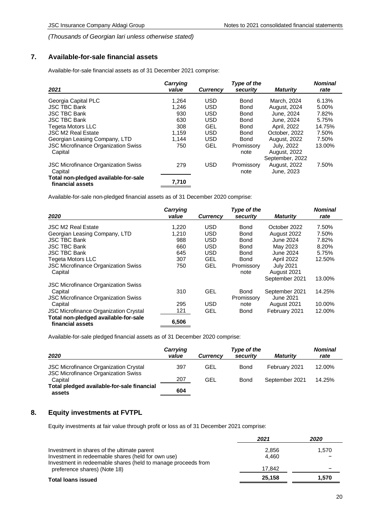# **7. Available-for-sale financial assets**

Available-for-sale financial assets as of 31 December 2021 comprise:

| 2021                                                     | Carrying<br>value | <b>Currency</b> | Type of the<br>security | <b>Maturity</b>                   | <b>Nominal</b><br>rate |
|----------------------------------------------------------|-------------------|-----------------|-------------------------|-----------------------------------|------------------------|
| Georgia Capital PLC                                      | 1.264             | <b>USD</b>      | <b>Bond</b>             | March, 2024                       | 6.13%                  |
| <b>JSC TBC Bank</b>                                      | 1.246             | <b>USD</b>      | <b>Bond</b>             | <b>August, 2024</b>               | 5.00%                  |
| <b>JSC TBC Bank</b>                                      | 930               | <b>USD</b>      | <b>Bond</b>             | June, 2024                        | 7.82%                  |
| <b>JSC TBC Bank</b>                                      | 630               | <b>USD</b>      | <b>Bond</b>             | June, 2024                        | 5.75%                  |
| <b>Tegeta Motors LLC</b>                                 | 308               | <b>GEL</b>      | <b>Bond</b>             | April, 2022                       | 14.75%                 |
| <b>JSC M2 Real Estate</b>                                | 1.159             | USD.            | <b>Bond</b>             | October, 2022                     | 7.50%                  |
| Georgian Leasing Company, LTD                            | 1.144             | <b>USD</b>      | <b>Bond</b>             | <b>August, 2022</b>               | 7.50%                  |
| <b>JSC Microfinance Organization Swiss</b>               | 750               | <b>GEL</b>      | Promissory              | July, 2022                        | 13.00%                 |
| Capital                                                  |                   |                 | note                    | <b>August, 2022</b>               |                        |
|                                                          |                   |                 |                         | September, 2022                   |                        |
| <b>JSC Microfinance Organization Swiss</b><br>Capital    | 279               | <b>USD</b>      | Promissory<br>note      | <b>August, 2022</b><br>June, 2023 | 7.50%                  |
| Total non-pledged available-for-sale<br>financial assets | 7.710             |                 |                         |                                   |                        |

Available-for-sale non-pledged financial assets as of 31 December 2020 comprise:

| 2020                                                                                 | Carrying<br>value | <b>Currency</b> | Type of the<br>security   | <b>Maturity</b>                                   | <b>Nominal</b><br>rate |
|--------------------------------------------------------------------------------------|-------------------|-----------------|---------------------------|---------------------------------------------------|------------------------|
| JSC M2 Real Estate                                                                   | 1.220             | <b>USD</b>      | Bond                      | October 2022                                      | 7.50%                  |
| Georgian Leasing Company, LTD                                                        | 1,210             | <b>USD</b>      | Bond                      | August 2022                                       | 7.50%                  |
| <b>JSC TBC Bank</b>                                                                  | 988               | <b>USD</b>      | Bond                      | June 2024                                         | 7.82%                  |
| <b>JSC TBC Bank</b>                                                                  | 660               | <b>USD</b>      | Bond                      | May 2023                                          | 8.20%                  |
| <b>JSC TBC Bank</b>                                                                  | 645               | <b>USD</b>      | Bond                      | June 2024                                         | 5.75%                  |
| <b>Tegeta Motors LLC</b>                                                             | 307               | GEL             | Bond                      | April 2022                                        | 12.50%                 |
| <b>JSC Microfinance Organization Swiss</b><br>Capital                                | 750               | <b>GEL</b>      | Promissory<br>note        | <b>July 2021</b><br>August 2021<br>September 2021 | 13.00%                 |
| <b>JSC Microfinance Organization Swiss</b>                                           |                   |                 |                           |                                                   |                        |
| Capital<br><b>JSC Microfinance Organization Swiss</b>                                | 310               | <b>GEL</b>      | <b>Bond</b><br>Promissory | September 2021<br>June 2021                       | 14.25%                 |
| Capital                                                                              | 295               | <b>USD</b>      | note                      | August 2021                                       | 10.00%                 |
| <b>JSC Microfinance Organization Crystal</b><br>Total non-pledged available-for-sale | 121               | <b>GEL</b>      | <b>Bond</b>               | February 2021                                     | 12.00%                 |
| financial assets                                                                     | 6,506             |                 |                           |                                                   |                        |

Available-for-sale pledged financial assets as of 31 December 2020 comprise:

| 2020                                                                                | Carrying<br>value | <b>Currency</b> | Type of the<br>security | <b>Maturity</b> | <b>Nominal</b><br>rate |
|-------------------------------------------------------------------------------------|-------------------|-----------------|-------------------------|-----------------|------------------------|
| <b>JSC Microfinance Organization Crystal</b><br>JSC Microfinance Organization Swiss | 397               | GEL             | Bond                    | February 2021   | 12.00%                 |
| Capital                                                                             | 207               | GEL             | Bond                    | September 2021  | 14.25%                 |
| Total pledged available-for-sale financial<br>assets                                | 604               |                 |                         |                 |                        |

# **8. Equity investments at FVTPL**

Equity investments at fair value through profit or loss as of 31 December 2021 comprise:

|                                                                                               | 2021   | 2020  |
|-----------------------------------------------------------------------------------------------|--------|-------|
| Investment in shares of the ultimate parent                                                   | 2,856  | 1.570 |
| Investment in redeemable shares (held for own use)                                            | 4.460  |       |
| Investment in redeemable shares (held to manage proceeds from<br>preference shares) (Note 18) | 17.842 |       |
| <b>Total loans issued</b>                                                                     | 25.158 | 1.570 |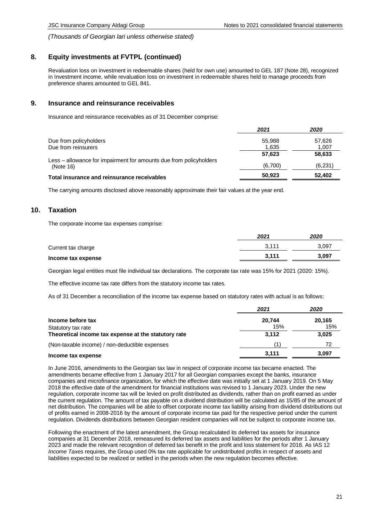# **8. Equity investments at FVTPL (continued)**

Revaluation loss on investment in redeemable shares (held for own use) amounted to GEL 187 (Note 28), recognized in Investment income, while revaluation loss on investment in redeemable shares held to manage proceeds from preference shares amounted to GEL 841.

### **9. Insurance and reinsurance receivables**

Insurance and reinsurance receivables as of 31 December comprise:

|                                                                                 | 2021    | 2020    |
|---------------------------------------------------------------------------------|---------|---------|
| Due from policyholders                                                          | 55.988  | 57.626  |
| Due from reinsurers                                                             | 1,635   | 1,007   |
|                                                                                 | 57.623  | 58.633  |
| Less – allowance for impairment for amounts due from policyholders<br>(Note 16) | (6.700) | (6,231) |
| Total insurance and reinsurance receivables                                     | 50.923  | 52.402  |

The carrying amounts disclosed above reasonably approximate their fair values at the year end.

# **10. Taxation**

The corporate income tax expenses comprise:

| 2021  | 2020  |
|-------|-------|
| 3.111 | 3,097 |
| 3.111 | 3,097 |
|       |       |

Georgian legal entities must file individual tax declarations. The corporate tax rate was 15% for 2021 (2020: 15%).

The effective income tax rate differs from the statutory income tax rates.

As of 31 December a reconciliation of the income tax expense based on statutory rates with actual is as follows:

|                                                      | 2021   | 2020   |
|------------------------------------------------------|--------|--------|
| Income before tax                                    | 20.744 | 20.165 |
| Statutory tax rate                                   | 15%    | 15%    |
| Theoretical income tax expense at the statutory rate | 3.112  | 3,025  |
| (Non-taxable income) / non-deductible expenses       |        | 72     |
| Income tax expense                                   | 3,111  | 3,097  |

In June 2016, amendments to the Georgian tax law in respect of corporate income tax became enacted. The amendments became effective from 1 January 2017 for all Georgian companies except the banks, insurance companies and microfinance organization, for which the effective date was initially set at 1 January 2019. On 5 May 2018 the effective date of the amendment for financial institutions was revised to 1 January 2023. Under the new regulation, corporate income tax will be levied on profit distributed as dividends, rather than on profit earned as under the current regulation. The amount of tax payable on a dividend distribution will be calculated as 15/85 of the amount of net distribution. The companies will be able to offset corporate income tax liability arising from dividend distributions out of profits earned in 2008-2016 by the amount of corporate income tax paid for the respective period under the current regulation. Dividends distributions between Georgian resident companies will not be subject to corporate income tax.

Following the enactment of the latest amendment, the Group recalculated its deferred tax assets for insurance companies at 31 December 2018, remeasured its deferred tax assets and liabilities for the periods after 1 January 2023 and made the relevant recognition of deferred tax benefit in the profit and loss statement for 2018. As IAS 12 *Income Taxes* requires, the Group used 0% tax rate applicable for undistributed profits in respect of assets and liabilities expected to be realized or settled in the periods when the new regulation becomes effective.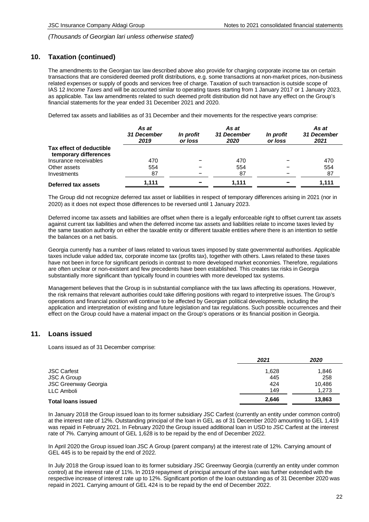# **10. Taxation (continued)**

The amendments to the Georgian tax law described above also provide for charging corporate income tax on certain transactions that are considered deemed profit distributions, e.g. some transactions at non-market prices, non-business related expenses or supply of goods and services free of charge. Taxation of such transaction is outside scope of IAS 12 *Income Taxes* and will be accounted similar to operating taxes starting from 1 January 2017 or 1 January 2023, as applicable. Tax law amendments related to such deemed profit distribution did not have any effect on the Group's financial statements for the year ended 31 December 2021 and 2020.

Deferred tax assets and liabilities as of 31 December and their movements for the respective years comprise:

|                                                   | As at<br>31 December<br>2019 | <i>In profit</i><br>or loss | As at<br>31 December<br>2020 | <i>In profit</i><br>or loss | As at<br>31 December<br>2021 |
|---------------------------------------------------|------------------------------|-----------------------------|------------------------------|-----------------------------|------------------------------|
| Tax effect of deductible<br>temporary differences |                              |                             |                              |                             |                              |
| Insurance receivables                             | 470                          |                             | 470                          |                             | 470                          |
| Other assets                                      | 554                          |                             | 554                          |                             | 554                          |
| Investments                                       | 87                           |                             | 87                           |                             | 87                           |
| Deferred tax assets                               | 1.111                        | -                           | 1.111                        |                             | 1,111                        |

The Group did not recognize deferred tax asset or liabilities in respect of temporary differences arising in 2021 (nor in 2020) as it does not expect those differences to be reversed until 1 January 2023.

Deferred income tax assets and liabilities are offset when there is a legally enforceable right to offset current tax assets against current tax liabilities and when the deferred income tax assets and liabilities relate to income taxes levied by the same taxation authority on either the taxable entity or different taxable entities where there is an intention to settle the balances on a net basis.

Georgia currently has a number of laws related to various taxes imposed by state governmental authorities. Applicable taxes include value added tax, corporate income tax (profits tax), together with others. Laws related to these taxes have not been in force for significant periods in contrast to more developed market economies. Therefore, regulations are often unclear or non-existent and few precedents have been established. This creates tax risks in Georgia substantially more significant than typically found in countries with more developed tax systems.

Management believes that the Group is in substantial compliance with the tax laws affecting its operations. However, the risk remains that relevant authorities could take differing positions with regard to interpretive issues. The Group's operations and financial position will continue to be affected by Georgian political developments, including the application and interpretation of existing and future legislation and tax regulations. Such possible occurrences and their effect on the Group could have a material impact on the Group's operations or its financial position in Georgia.

# **11. Loans issued**

Loans issued as of 31 December comprise:

|                             | 2021  | 2020   |
|-----------------------------|-------|--------|
| <b>JSC Carfest</b>          | 1,628 | 1.846  |
| <b>JSC A Group</b>          | 445   | 258    |
| <b>JSC Greenway Georgia</b> | 424   | 10,486 |
| LLC Amboli                  | 149   | 1,273  |
| <b>Total loans issued</b>   | 2,646 | 13,863 |

In January 2018 the Group issued loan to its former subsidiary JSC Carfest (currently an entity under common control) at the interest rate of 12%. Outstanding principal of the loan in GEL as of 31 December 2020 amounting to GEL 1,419 was repaid in February 2021. In February 2020 the Group issued additional loan in USD to JSC Carfest at the interest rate of 7%. Carrying amount of GEL 1,628 is to be repaid by the end of December 2022.

In April 2020 the Group issued loan JSC A Group (parent company) at the interest rate of 12%. Carrying amount of GEL 445 is to be repaid by the end of 2022.

In July 2018 the Group issued loan to its former subsidiary JSC Greenway Georgia (currently an entity under common control) at the interest rate of 11%. In 2019 repayment of principal amount of the loan was further extended with the respective increase of interest rate up to 12%. Significant portion of the loan outstanding as of 31 December 2020 was repaid in 2021. Carrying amount of GEL 424 is to be repaid by the end of December 2022.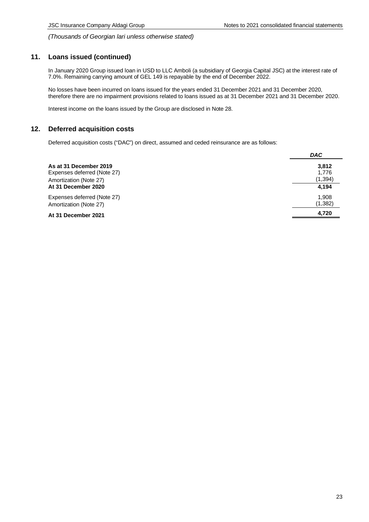# **11. Loans issued (continued)**

In January 2020 Group issued loan in USD to LLC Amboli (a subsidiary of Georgia Capital JSC) at the interest rate of 7.0%. Remaining carrying amount of GEL 149 is repayable by the end of December 2022.

No losses have been incurred on loans issued for the years ended 31 December 2021 and 31 December 2020, therefore there are no impairment provisions related to loans issued as at 31 December 2021 and 31 December 2020.

Interest income on the loans issued by the Group are disclosed in Note 28.

# **12. Deferred acquisition costs**

Deferred acquisition costs ("DAC") on direct, assumed and ceded reinsurance are as follows:

|                             | <b>DAC</b> |
|-----------------------------|------------|
| As at 31 December 2019      | 3,812      |
| Expenses deferred (Note 27) | 1.776      |
| Amortization (Note 27)      | (1, 394)   |
| At 31 December 2020         | 4.194      |
| Expenses deferred (Note 27) | 1.908      |
| Amortization (Note 27)      | (1, 382)   |
| At 31 December 2021         | 4,720      |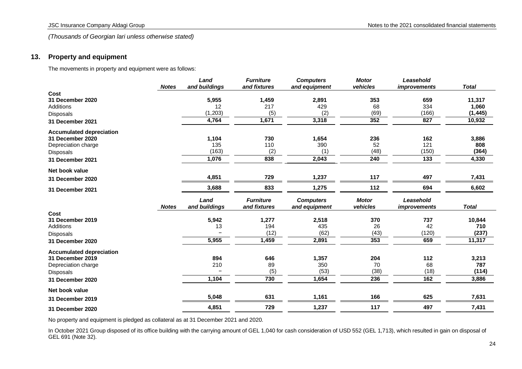# **13. Property and equipment**

The movements in property and equipment were as follows:

|                                 | <b>Notes</b> | Land<br>and buildings | <b>Furniture</b><br>and fixtures | <b>Computers</b><br>and equipment | <b>Motor</b><br>vehicles | Leasehold<br><i>improvements</i> | <b>Total</b> |
|---------------------------------|--------------|-----------------------|----------------------------------|-----------------------------------|--------------------------|----------------------------------|--------------|
| Cost<br>31 December 2020        |              | 5,955                 | 1,459                            | 2,891                             | 353                      | 659                              | 11,317       |
| Additions                       |              | 12                    | 217                              | 429                               | 68                       | 334                              | 1,060        |
| <b>Disposals</b>                |              | (1, 203)              | (5)                              | (2)                               | (69)                     | (166)                            | (1, 445)     |
| 31 December 2021                |              | 4,764                 | 1,671                            | 3,318                             | 352                      | 827                              | 10,932       |
| <b>Accumulated depreciation</b> |              |                       |                                  |                                   |                          |                                  |              |
| 31 December 2020                |              | 1,104                 | 730                              | 1,654                             | 236                      | 162                              | 3,886        |
| Depreciation charge             |              | 135                   | 110                              | 390                               | 52                       | 121                              | 808          |
| Disposals                       |              | (163)                 | (2)                              | (1)                               | (48)                     | (150)                            | (364)        |
| 31 December 2021                |              | 1,076                 | 838                              | 2,043                             | 240                      | 133                              | 4,330        |
| Net book value                  |              |                       |                                  |                                   |                          |                                  |              |
| 31 December 2020                |              | 4,851                 | 729                              | 1,237                             | 117                      | 497                              | 7,431        |
| 31 December 2021                |              | 3,688                 | 833                              | 1,275                             | 112                      | 694                              | 6,602        |
|                                 |              | Land                  | <b>Furniture</b>                 | <b>Computers</b>                  | <b>Motor</b>             | Leasehold                        |              |
|                                 |              |                       |                                  |                                   |                          |                                  |              |
| Cost                            | <b>Notes</b> | and buildings         | and fixtures                     | and equipment                     | vehicles                 | <i>improvements</i>              | <b>Total</b> |
| 31 December 2019                |              | 5,942                 | 1,277                            | 2,518                             | 370                      | 737                              | 10,844       |
| Additions                       |              | 13                    | 194                              | 435                               | 26                       | 42                               | 710          |
| Disposals                       |              |                       | (12)                             | (62)                              | (43)                     | (120)                            | (237)        |
| 31 December 2020                |              | 5,955                 | 1,459                            | 2,891                             | 353                      | 659                              | 11,317       |
| <b>Accumulated depreciation</b> |              |                       |                                  |                                   |                          |                                  |              |
| 31 December 2019                |              | 894                   | 646                              | 1,357                             | 204                      | 112                              | 3,213        |
| Depreciation charge             |              | 210                   | 89                               | 350                               | 70                       | 68                               | 787          |
| Disposals                       |              |                       | (5)                              | (53)                              | (38)                     | (18)                             | (114)        |
| 31 December 2020                |              | 1,104                 | 730                              | 1,654                             | 236                      | 162                              | 3,886        |
| Net book value                  |              |                       |                                  |                                   |                          |                                  |              |
| 31 December 2019                |              | 5,048                 | 631                              | 1,161                             | 166                      | 625                              | 7,631        |

No property and equipment is pledged as collateral as at 31 December 2021 and 2020.

In October 2021 Group disposed of its office building with the carrying amount of GEL 1,040 for cash consideration of USD 552 (GEL 1,713), which resulted in gain on disposal of GEL 691 (Note 32).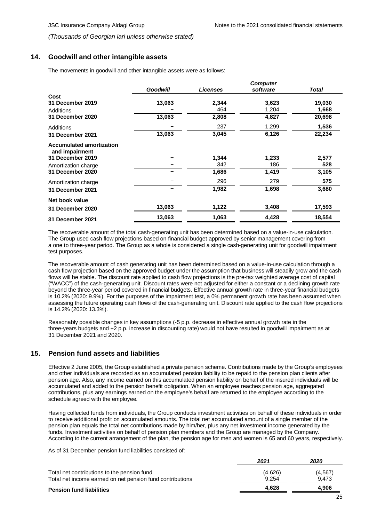# **14. Goodwill and other intangible assets**

The movements in goodwill and other intangible assets were as follows:

|                                                   |                 |                 | <b>Computer</b> |              |  |
|---------------------------------------------------|-----------------|-----------------|-----------------|--------------|--|
|                                                   | <b>Goodwill</b> | <b>Licenses</b> | software        | <b>Total</b> |  |
| Cost                                              |                 |                 |                 |              |  |
| 31 December 2019                                  | 13,063          | 2,344           | 3,623           | 19,030       |  |
| Additions                                         |                 | 464             | 1,204           | 1,668        |  |
| 31 December 2020                                  | 13,063          | 2,808           | 4,827           | 20,698       |  |
| Additions                                         |                 | 237             | 1,299           | 1,536        |  |
| 31 December 2021                                  | 13,063          | 3,045           | 6,126           | 22,234       |  |
| <b>Accumulated amortization</b><br>and impairment |                 |                 |                 |              |  |
| 31 December 2019                                  |                 | 1,344           | 1,233           | 2,577        |  |
| Amortization charge                               |                 | 342             | 186             | 528          |  |
| 31 December 2020                                  |                 | 1,686           | 1,419           | 3,105        |  |
| Amortization charge                               |                 | 296             | 279             | 575          |  |
| 31 December 2021                                  |                 | 1,982           | 1,698           | 3,680        |  |
| Net book value                                    |                 |                 |                 |              |  |
| 31 December 2020                                  | 13,063          | 1,122           | 3,408           | 17,593       |  |
| 31 December 2021                                  | 13,063          | 1,063           | 4,428           | 18,554       |  |

The recoverable amount of the total cash-generating unit has been determined based on a value-in-use calculation. The Group used cash flow projections based on financial budget approved by senior management covering from a one to three-year period. The Group as a whole is considered a single cash-generating unit for goodwill impairment test purposes.

The recoverable amount of cash generating unit has been determined based on a value-in-use calculation through a cash flow projection based on the approved budget under the assumption that business will steadily grow and the cash flows will be stable. The discount rate applied to cash flow projections is the pre-tax weighted average cost of capital ("WACC") of the cash-generating unit. Discount rates were not adjusted for either a constant or a declining growth rate beyond the three-year period covered in financial budgets. Effective annual growth rate in three-year financial budgets is 10.2% (2020: 9.9%). For the purposes of the impairment test, a 0% permanent growth rate has been assumed when assessing the future operating cash flows of the cash-generating unit. Discount rate applied to the cash flow projections is 14.2% (2020: 13.3%).

Reasonably possible changes in key assumptions (-5 p.p. decrease in effective annual growth rate in the three-years budgets and +2 p.p. increase in discounting rate) would not have resulted in goodwill impairment as at 31 December 2021 and 2020.

# **15. Pension fund assets and liabilities**

Effective 2 June 2005, the Group established a private pension scheme. Contributions made by the Group's employees and other individuals are recorded as an accumulated pension liability to be repaid to the pension plan clients after pension age. Also, any income earned on this accumulated pension liability on behalf of the insured individuals will be accumulated and added to the pension benefit obligation. When an employee reaches pension age, aggregated contributions, plus any earnings earned on the employee's behalf are returned to the employee according to the schedule agreed with the employee.

Having collected funds from individuals, the Group conducts investment activities on behalf of these individuals in order to receive additional profit on accumulated amounts. The total net accumulated amount of a single member of the pension plan equals the total net contributions made by him/her, plus any net investment income generated by the funds. Investment activities on behalf of pension plan members and the Group are managed by the Company. According to the current arrangement of the plan, the pension age for men and women is 65 and 60 years, respectively.

As of 31 December pension fund liabilities consisted of:

|                                                           | 2021    | 2020     |
|-----------------------------------------------------------|---------|----------|
| Total net contributions to the pension fund               | (4,626) | (4, 567) |
| Total net income earned on net pension fund contributions | 9.254   | 9.473    |
| <b>Pension fund liabilities</b>                           | 4.628   | 4.906    |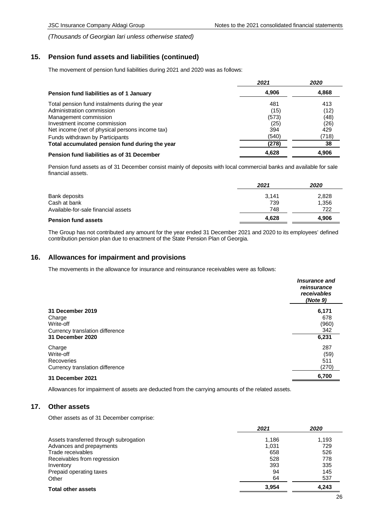# **15. Pension fund assets and liabilities (continued)**

The movement of pension fund liabilities during 2021 and 2020 was as follows:

|                                                 | 2021  | 2020  |
|-------------------------------------------------|-------|-------|
| Pension fund liabilities as of 1 January        | 4,906 | 4,868 |
| Total pension fund instalments during the year  | 481   | 413   |
| Administration commission                       | (15)  | (12)  |
| Management commission                           | (573) | (48)  |
| Investment income commission                    | (25)  | (26)  |
| Net income (net of physical persons income tax) | 394   | 429   |
| Funds withdrawn by Participants                 | (540) | (718) |
| Total accumulated pension fund during the year  | (278) | 38    |
| Pension fund liabilities as of 31 December      | 4.628 | 4.906 |

Pension fund assets as of 31 December consist mainly of deposits with local commercial banks and available for sale financial assets.

|                                     | 2021  | 2020  |
|-------------------------------------|-------|-------|
| Bank deposits                       | 3.141 | 2.828 |
| Cash at bank                        | 739   | 1,356 |
| Available-for-sale financial assets | 748   | 722   |
| <b>Pension fund assets</b>          | 4.628 | 4.906 |

The Group has not contributed any amount for the year ended 31 December 2021 and 2020 to its employees' defined contribution pension plan due to enactment of the State Pension Plan of Georgia.

### **16. Allowances for impairment and provisions**

The movements in the allowance for insurance and reinsurance receivables were as follows:

|                                                                                                | Insurance and<br>reinsurance<br>receivables<br>(Note 9) |
|------------------------------------------------------------------------------------------------|---------------------------------------------------------|
| 31 December 2019<br>Charge<br>Write-off<br>Currency translation difference<br>31 December 2020 | 6,171<br>678<br>(960)<br>342<br>6,231                   |
| Charge<br>Write-off<br>Recoveries<br>Currency translation difference                           | 287<br>(59)<br>511<br>(270)<br>6,700                    |
| 31 December 2021                                                                               |                                                         |

Allowances for impairment of assets are deducted from the carrying amounts of the related assets.

# **17. Other assets**

Other assets as of 31 December comprise:

|                                        | 2021  | 2020  |
|----------------------------------------|-------|-------|
| Assets transferred through subrogation | 1,186 | 1,193 |
| Advances and prepayments               | 1,031 | 729   |
| Trade receivables                      | 658   | 526   |
| Receivables from regression            | 528   | 778   |
| Inventory                              | 393   | 335   |
| Prepaid operating taxes                | 94    | 145   |
| Other                                  | 64    | 537   |
| <b>Total other assets</b>              | 3.954 | 4.243 |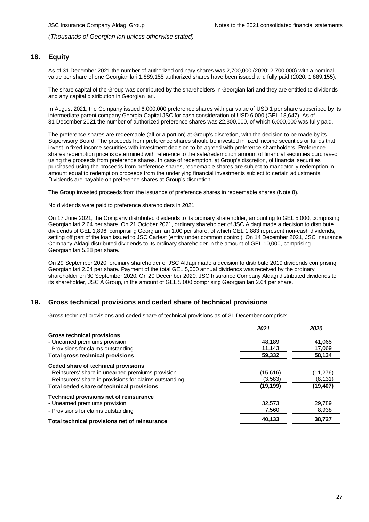# **18. Equity**

As of 31 December 2021 the number of authorized ordinary shares was 2,700,000 (2020: 2,700,000) with a nominal value per share of one Georgian lari.1,889,155 authorized shares have been issued and fully paid (2020: 1,889,155).

The share capital of the Group was contributed by the shareholders in Georgian lari and they are entitled to dividends and any capital distribution in Georgian lari.

In August 2021, the Company issued 6,000,000 preference shares with par value of USD 1 per share subscribed by its intermediate parent company Georgia Capital JSC for cash consideration of USD 6,000 (GEL 18,647). As of 31 December 2021 the number of authorized preference shares was 22,300,000, of which 6,000,000 was fully paid.

The preference shares are redeemable (all or a portion) at Group's discretion, with the decision to be made by its Supervisory Board. The proceeds from preference shares should be invested in fixed income securities or funds that invest in fixed income securities with investment decision to be agreed with preference shareholders. Preference shares redemption price is determined with reference to the sale/redemption amount of financial securities purchased using the proceeds from preference shares. In case of redemption, at Group's discretion, of financial securities purchased using the proceeds from preference shares, redeemable shares are subject to mandatorily redemption in amount equal to redemption proceeds from the underlying financial investments subject to certain adjustments. Dividends are payable on preference shares at Group's discretion.

The Group invested proceeds from the issuance of preference shares in redeemable shares (Note 8).

No dividends were paid to preference shareholders in 2021.

On 17 June 2021, the Company distributed dividends to its ordinary shareholder, amounting to GEL 5,000, comprising Georgian lari 2.64 per share. On 21 October 2021, ordinary shareholder of JSC Aldagi made a decision to distribute dividends of GEL 1,896, comprising Georgian lari 1.00 per share, of which GEL 1,883 represent non-cash dividends, setting off part of the loan issued to JSC Carfest (entity under common control). On 14 December 2021, JSC Insurance Company Aldagi distributed dividends to its ordinary shareholder in the amount of GEL 10,000, comprising Georgian lari 5.28 per share.

On 29 September 2020, ordinary shareholder of JSC Aldagi made a decision to distribute 2019 dividends comprising Georgian lari 2.64 per share. Payment of the total GEL 5,000 annual dividends was received by the ordinary shareholder on 30 September 2020. On 20 December 2020, JSC Insurance Company Aldagi distributed dividends to its shareholder, JSC A Group, in the amount of GEL 5,000 comprising Georgian lari 2.64 per share.

# **19. Gross technical provisions and ceded share of technical provisions**

Gross technical provisions and ceded share of technical provisions as of 31 December comprise:

|                                                          | 2021      | 2020      |
|----------------------------------------------------------|-----------|-----------|
| <b>Gross technical provisions</b>                        |           |           |
| - Unearned premiums provision                            | 48.189    | 41.065    |
| - Provisions for claims outstanding                      | 11,143    | 17,069    |
| <b>Total gross technical provisions</b>                  | 59,332    | 58,134    |
| Ceded share of technical provisions                      |           |           |
| - Reinsurers' share in unearned premiums provision       | (15,616)  | (11, 276) |
| - Reinsurers' share in provisions for claims outstanding | (3,583)   | (8, 131)  |
| Total ceded share of technical provisions                | (19, 199) | (19, 407) |
| Technical provisions net of reinsurance                  |           |           |
| - Unearned premiums provision                            | 32,573    | 29,789    |
| - Provisions for claims outstanding                      | 7,560     | 8,938     |
| Total technical provisions net of reinsurance            | 40,133    | 38,727    |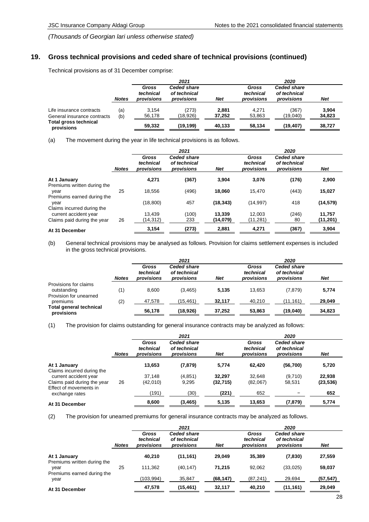# **19. Gross technical provisions and ceded share of technical provisions (continued)**

Technical provisions as of 31 December comprise:

|                                                         |              |                                  | 2021                                      | 2020            |                                  |                                                  |                 |  |
|---------------------------------------------------------|--------------|----------------------------------|-------------------------------------------|-----------------|----------------------------------|--------------------------------------------------|-----------------|--|
|                                                         | <b>Notes</b> | Gross<br>technical<br>provisions | Ceded share<br>of technical<br>provisions | Net             | Gross<br>technical<br>provisions | <b>Ceded share</b><br>of technical<br>provisions | <b>Net</b>      |  |
| Life insurance contracts<br>General insurance contracts | (a)<br>(b)   | 3.154<br>56,178                  | (273)<br>(18,926)                         | 2.881<br>37,252 | 4.271<br>53,863                  | (367)<br>(19,040)                                | 3,904<br>34,823 |  |
| <b>Total gross technical</b><br>provisions              |              | 59,332                           | (19, 199)                                 | 40.133          | 58.134                           | (19.407)                                         | 38.727          |  |

(a) The movement during the year in life technical provisions is as follows.

|                             |              |                                  | 2021                                             |           | 2020                             |                                                  |            |  |  |
|-----------------------------|--------------|----------------------------------|--------------------------------------------------|-----------|----------------------------------|--------------------------------------------------|------------|--|--|
|                             | <b>Notes</b> | Gross<br>technical<br>provisions | <b>Ceded share</b><br>of technical<br>provisions | Net       | Gross<br>technical<br>provisions | <b>Ceded share</b><br>of technical<br>provisions | <b>Net</b> |  |  |
| At 1 January                |              | 4,271                            | (367)                                            | 3,904     | 3,076                            | (176)                                            | 2,900      |  |  |
| Premiums written during the |              |                                  |                                                  |           |                                  |                                                  |            |  |  |
| year                        | 25           | 18.556                           | (496)                                            | 18.060    | 15.470                           | (443)                                            | 15,027     |  |  |
| Premiums earned during the  |              |                                  |                                                  |           |                                  |                                                  |            |  |  |
| year                        |              | (18, 800)                        | 457                                              | (18, 343) | (14, 997)                        | 418                                              | (14, 579)  |  |  |
| Claims incurred during the  |              |                                  |                                                  |           |                                  |                                                  |            |  |  |
| current accident year       |              | 13.439                           | (100)                                            | 13.339    | 12.003                           | (246)                                            | 11.757     |  |  |
| Claims paid during the year | 26           | (14,312)                         | 233                                              | (14, 079) | (11, 281)                        | 80                                               | (11,201)   |  |  |
| At 31 December              |              | 3,154                            | (273)                                            | 2,881     | 4,271                            | (367)                                            | 3,904      |  |  |

(b) General technical provisions may be analysed as follows. Provision for claims settlement expenses is included in the gross technical provisions.

|                                              |              |                                  | 2021                                      |            |                                  | 2020                                             |            |  |  |  |
|----------------------------------------------|--------------|----------------------------------|-------------------------------------------|------------|----------------------------------|--------------------------------------------------|------------|--|--|--|
|                                              | <b>Notes</b> | Gross<br>technical<br>provisions | Ceded share<br>of technical<br>provisions | <b>Net</b> | Gross<br>technical<br>provisions | <b>Ceded share</b><br>of technical<br>provisions | <b>Net</b> |  |  |  |
| Provisions for claims<br>outstanding         | (1)          | 8.600                            | (3, 465)                                  | 5,135      | 13.653                           | (7, 879)                                         | 5,774      |  |  |  |
| Provision for unearned<br>premiums           | (2)          | 47,578                           | (15,461)                                  | 32.117     | 40.210                           | (11,161)                                         | 29,049     |  |  |  |
| <b>Total general technical</b><br>provisions |              | 56.178                           | (18, 926)                                 | 37.252     | 53,863                           | (19,040)                                         | 34,823     |  |  |  |

(1) The provision for claims outstanding for general insurance contracts may be analyzed as follows:

|                                                       |              |                                  | 2021                                      |           | 2020                                    |                                           |            |  |  |
|-------------------------------------------------------|--------------|----------------------------------|-------------------------------------------|-----------|-----------------------------------------|-------------------------------------------|------------|--|--|
|                                                       | <b>Notes</b> | Gross<br>technical<br>provisions | Ceded share<br>of technical<br>provisions | Net       | <b>Gross</b><br>technical<br>provisions | Ceded share<br>of technical<br>provisions | <b>Net</b> |  |  |
| At 1 January<br>Claims incurred during the            |              | 13,653                           | (7, 879)                                  | 5,774     | 62.420                                  | (56, 700)                                 | 5,720      |  |  |
| current accident year                                 |              | 37.148                           | (4,851)                                   | 32.297    | 32.648                                  | (9,710)                                   | 22,938     |  |  |
| Claims paid during the year<br>Effect of movements in | 26           | (42,010)                         | 9,295                                     | (32, 715) | (82,067)                                | 58,531                                    | (23, 536)  |  |  |
| exchange rates                                        |              | (191)                            | (30)                                      | (221)     | 652                                     |                                           | 652        |  |  |
| At 31 December                                        |              | 8,600                            | (3, 465)                                  | 5,135     | 13,653                                  | (7, 879)                                  | 5,774      |  |  |

(2) The provision for unearned premiums for general insurance contracts may be analyzed as follows.

|                                     |              |                                  | 2021                                      |            | 2020                             |                                           |            |  |  |
|-------------------------------------|--------------|----------------------------------|-------------------------------------------|------------|----------------------------------|-------------------------------------------|------------|--|--|
|                                     | <b>Notes</b> | Gross<br>technical<br>provisions | Ceded share<br>of technical<br>provisions | <b>Net</b> | Gross<br>technical<br>provisions | Ceded share<br>of technical<br>provisions | <b>Net</b> |  |  |
|                                     |              |                                  |                                           |            |                                  |                                           |            |  |  |
| At 1 January                        |              | 40,210                           | (11, 161)                                 | 29,049     | 35,389                           | (7,830)                                   | 27,559     |  |  |
| Premiums written during the<br>year | 25           | 111.362                          | (40, 147)                                 | 71.215     | 92.062                           | (33,025)                                  | 59,037     |  |  |
| Premiums earned during the<br>year  |              | (103,994)                        | 35,847                                    | (68, 147)  | (87, 241)                        | 29,694                                    | (57, 547)  |  |  |
|                                     |              | 47,578                           | (15, 461)                                 | 32.117     | 40.210                           | (11, 161)                                 | 29,049     |  |  |
| At 31 December                      |              |                                  |                                           |            |                                  |                                           |            |  |  |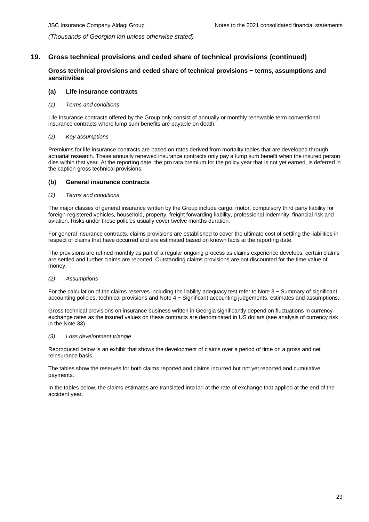### **19. Gross technical provisions and ceded share of technical provisions (continued)**

### **Gross technical provisions and ceded share of technical provisions − terms, assumptions and sensitivities**

#### **(a) Life insurance contracts**

*(1) Terms and conditions*

Life insurance contracts offered by the Group only consist of annually or monthly renewable term conventional insurance contracts where lump sum benefits are payable on death.

#### *(2) Key assumptions*

Premiums for life insurance contracts are based on rates derived from mortality tables that are developed through actuarial research. These annually renewed insurance contracts only pay a lump sum benefit when the insured person dies within that year. At the reporting date, the pro rata premium for the policy year that is not yet earned, is deferred in the caption gross technical provisions.

#### **(b) General insurance contracts**

*(1) Terms and conditions*

The major classes of general insurance written by the Group include cargo, motor, compulsory third party liability for foreign-registered vehicles, household, property, freight forwarding liability, professional indemnity, financial risk and aviation. Risks under these policies usually cover twelve months duration.

For general insurance contracts, claims provisions are established to cover the ultimate cost of settling the liabilities in respect of claims that have occurred and are estimated based on known facts at the reporting date.

The provisions are refined monthly as part of a regular ongoing process as claims experience develops, certain claims are settled and further claims are reported. Outstanding claims provisions are not discounted for the time value of money.

#### *(2) Assumptions*

For the calculation of the claims reserves including the liability adequacy test refer to Note 3 − Summary of significant accounting policies, technical provisions and Note 4 − Significant accounting judgements, estimates and assumptions.

Gross technical provisions on insurance business written in Georgia significantly depend on fluctuations in currency exchange rates as the insured values on these contracts are denominated in US dollars (see analysis of currency risk in the Note 33).

#### *(3) Loss development triangle*

Reproduced below is an exhibit that shows the development of claims over a period of time on a gross and net reinsurance basis.

The tables show the reserves for both claims reported and claims incurred but not yet reported and cumulative payments.

In the tables below, the claims estimates are translated into lari at the rate of exchange that applied at the end of the accident year.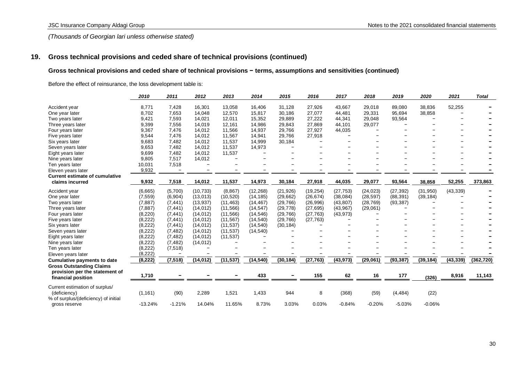# **19. Gross technical provisions and ceded share of technical provisions (continued)**

# **Gross technical provisions and ceded share of technical provisions − terms, assumptions and sensitivities (continued)**

Before the effect of reinsurance, the loss development table is:

|                                                      | 2010      | 2011     | 2012      | 2013      | 2014      | 2015      | 2016      | 2017      | 2018      | 2019      | 2020      | 2021      | <b>Total</b> |
|------------------------------------------------------|-----------|----------|-----------|-----------|-----------|-----------|-----------|-----------|-----------|-----------|-----------|-----------|--------------|
| Accident year                                        | 8,771     | 7,428    | 16,301    | 13,058    | 16,406    | 31.128    | 27,926    | 43,667    | 29,018    | 89,080    | 38.836    | 52,255    |              |
| One year later                                       | 8,702     | 7,653    | 14,048    | 12,570    | 15,817    | 30,186    | 27,077    | 44,481    | 29,331    | 95,694    | 38,858    |           |              |
| Two years later                                      | 9,421     | 7,593    | 14,021    | 12,011    | 15,352    | 29,889    | 27,222    | 44,341    | 29,048    | 93,564    |           |           |              |
| Three years later                                    | 9,399     | 7,556    | 14,019    | 12,161    | 14,986    | 29,843    | 27,869    | 44,101    | 29,077    |           |           |           |              |
| Four years later                                     | 9,367     | 7,476    | 14,012    | 11,566    | 14,937    | 29,766    | 27,927    | 44,035    |           |           |           |           |              |
| Five years later                                     | 9,544     | 7,476    | 14,012    | 11,567    | 14,941    | 29,766    | 27,918    |           |           |           |           |           |              |
| Six years later                                      | 9,683     | 7,482    | 14,012    | 11,537    | 14,999    | 30,184    |           |           |           |           |           |           |              |
| Seven years later                                    | 9,653     | 7,482    | 14,012    | 11,537    | 14,973    |           |           |           |           |           |           |           |              |
| Eight years later                                    | 9,699     | 7,482    | 14,012    | 11,537    |           |           |           |           |           |           |           |           |              |
| Nine years later                                     | 9,805     | 7,517    | 14,012    |           |           |           |           |           |           |           |           |           |              |
| Ten years later                                      | 10,031    | 7,518    |           |           |           |           |           |           |           |           |           |           |              |
| Eleven years later                                   | 9,932     |          |           |           |           |           |           |           |           |           |           |           |              |
| <b>Current estimate of cumulative</b>                |           |          |           |           |           |           |           |           |           |           |           |           |              |
| claims incurred                                      | 9,932     | 7,518    | 14,012    | 11,537    | 14,973    | 30,184    | 27,918    | 44,035    | 29,077    | 93,564    | 38,858    | 52,255    | 373,863      |
| Accident year                                        | (6,665)   | (5,700)  | (10, 733) | (8, 867)  | (12, 268) | (21, 926) | (19, 254) | (27, 753) | (24, 023) | (27, 392) | (31, 950) | (43, 339) |              |
| One year later                                       | (7, 559)  | (6,904)  | (13, 013) | (10, 520) | (14, 185) | (29, 662) | (26, 674) | (38, 084) | (28, 597) | (88, 391) | (39, 184) |           |              |
| Two years later                                      | (7, 887)  | (7, 441) | (13, 937) | (11, 463) | (14, 467) | (29, 766) | (26,996)  | (43, 807) | (28, 769) | (93, 387) |           |           |              |
| Three years later                                    | (7, 887)  | (7, 441) | (14, 012) | (11, 566) | (14, 547) | (29, 778) | (27, 695) | (43, 967) | (29,061)  |           |           |           |              |
| Four years later                                     | (8,220)   | (7, 441) | (14, 012) | (11, 566) | (14, 546) | (29, 766) | (27, 763) | (43, 973) |           |           |           |           |              |
| Five years later                                     | (8,222)   | (7, 441) | (14, 012) | (11, 567) | (14, 540) | (29, 766) | (27, 763) |           |           |           |           |           |              |
| Six years later                                      | (8, 222)  | (7, 441) | (14, 012) | (11, 537) | (14, 540) | (30, 184) |           |           |           |           |           |           |              |
| Seven years later                                    | (8,222)   | (7, 482) | (14, 012) | (11, 537) | (14, 540) |           |           |           |           |           |           |           |              |
| Eight years later                                    | (8,222)   | (7, 482) | (14, 012) | (11, 537) |           |           |           |           |           |           |           |           |              |
| Nine years later                                     | (8,222)   | (7, 482) | (14, 012) |           |           |           |           |           |           |           |           |           |              |
| Ten years later                                      | (8,222)   | (7,518)  |           |           |           |           |           |           |           |           |           |           |              |
| Eleven years later                                   | (8,222)   |          |           |           |           |           |           |           |           |           |           |           |              |
| <b>Cumulative payments to date</b>                   | (8, 222)  | (7, 518) | (14, 012) | (11, 537) | (14, 540) | (30, 184) | (27, 763) | (43, 973) | (29,061)  | (93, 387) | (39, 184) | (43, 339) | (362, 720)   |
| <b>Gross Outstanding Claims</b>                      |           |          |           |           |           |           |           |           |           |           |           |           |              |
| provision per the statement of<br>financial position | 1,710     |          |           |           | 433       |           | 155       | 62        | 16        | 177       | (326)     | 8,916     | 11,143       |
| Current estimation of surplus/                       |           |          |           |           |           |           |           |           |           |           |           |           |              |
| (deficiency)<br>% of surplus/(deficiency) of initial | (1, 161)  | (90)     | 2,289     | 1,521     | 1,433     | 944       | 8         | (368)     | (59)      | (4, 484)  | (22)      |           |              |
| gross reserve                                        | $-13.24%$ | $-1.21%$ | 14.04%    | 11.65%    | 8.73%     | 3.03%     | 0.03%     | $-0.84%$  | $-0.20%$  | $-5.03%$  | $-0.06%$  |           |              |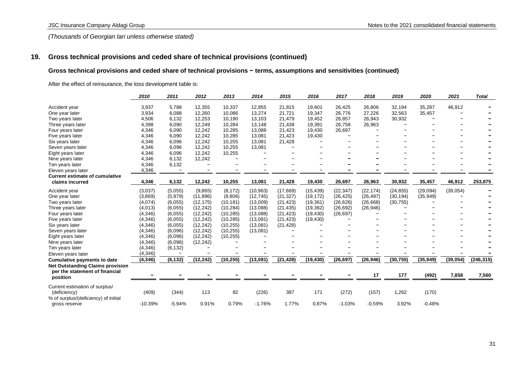# **19. Gross technical provisions and ceded share of technical provisions (continued)**

# **Gross technical provisions and ceded share of technical provisions − terms, assumptions and sensitivities (continued)**

After the effect of reinsurance, the loss development table is:

|                                                      | 2010      | 2011     | 2012      | 2013      | 2014      | 2015      | 2016      | 2017      | 2018      | 2019      | 2020      | 2021      | <b>Total</b> |
|------------------------------------------------------|-----------|----------|-----------|-----------|-----------|-----------|-----------|-----------|-----------|-----------|-----------|-----------|--------------|
| Accident year                                        | 3,937     | 5,788    | 12,355    | 10,337    | 12,855    | 21,815    | 19,601    | 26,425    | 26,806    | 32,194    | 35,287    | 46,912    |              |
| One year later                                       | 3,934     | 6,088    | 12,260    | 10,086    | 13,274    | 21,721    | 19,347    | 26,776    | 27,226    | 32,563    | 35,457    |           |              |
| Two years later                                      | 4,506     | 6,132    | 12,253    | 10,190    | 13,103    | 21,479    | 19,452    | 26,857    | 26,943    | 30,932    |           |           |              |
| Three years later                                    | 4,398     | 6,090    | 12,249    | 10,284    | 13,148    | 21,438    | 19,391    | 26,758    | 26,963    |           |           |           |              |
| Four years later                                     | 4,346     | 6,090    | 12,242    | 10,285    | 13,088    | 21,423    | 19,430    | 26,697    |           |           |           |           |              |
| Five years later                                     | 4,346     | 6,090    | 12,242    | 10,285    | 13,081    | 21,423    | 19,430    |           |           |           |           |           |              |
| Six years later                                      | 4,346     | 6,096    | 12,242    | 10,255    | 13,081    | 21,428    |           |           |           |           |           |           |              |
| Seven years later                                    | 4,346     | 6,096    | 12,242    | 10,255    | 13,081    |           |           |           |           |           |           |           |              |
| Eight years later                                    | 4,346     | 6,096    | 12,242    | 10,255    |           |           |           |           |           |           |           |           |              |
| Nine years later                                     | 4,346     | 6,132    | 12,242    |           |           |           |           |           |           |           |           |           |              |
| Ten years later                                      | 4,346     | 6,132    |           |           |           |           |           |           |           |           |           |           |              |
| Eleven years later                                   | 4,346     |          |           |           |           |           |           |           |           |           |           |           |              |
| <b>Current estimate of cumulative</b>                |           |          |           |           |           |           |           |           |           |           |           |           |              |
| claims incurred                                      | 4,346     | 6,132    | 12,242    | 10,255    | 13,081    | 21,428    | 19,430    | 26,697    | 26,963    | 30,932    | 35,457    | 46,912    | 253,875      |
| Accident year                                        | (3,037)   | (5,055)  | (9,865)   | (8, 172)  | (10, 963) | (17, 669) | (15, 439) | (22, 347) | (22, 174) | (24, 855) | (29,094)  | (39, 054) |              |
| One year later                                       | (3,869)   | (5,979)  | (11, 896) | (9,806)   | (12, 745) | (21, 327) | (19, 172) | (26, 425) | (26, 497) | (30, 194) | (35, 949) |           |              |
| Two years later                                      | (4,074)   | (6,055)  | (12, 175) | (10, 181) | (13,009)  | (21, 423) | (19, 361) | (26, 626) | (26, 668) | (30, 755) |           |           |              |
| Three years later                                    | (4,013)   | (6,055)  | (12, 242) | (10, 284) | (13,088)  | (21, 435) | (19, 362) | (26, 692) | (26, 946) |           |           |           |              |
| Four years later                                     | (4,346)   | (6,055)  | (12, 242) | (10, 285) | (13,088)  | (21, 423) | (19, 430) | (26, 697) |           |           |           |           |              |
| Five years later                                     | (4,346)   | (6,055)  | (12, 242) | (10, 285) | (13,081)  | (21, 423) | (19, 430) |           |           |           |           |           |              |
| Six years later                                      | (4,346)   | (6,055)  | (12, 242) | (10, 255) | (13,081)  | (21, 428) |           |           |           |           |           |           |              |
| Seven years later                                    | (4,346)   | (6,096)  | (12, 242) | (10, 255) | (13,081)  |           |           |           |           |           |           |           |              |
| Eight years later                                    | (4,346)   | (6,096)  | (12, 242) | (10, 255) |           |           |           |           |           |           |           |           |              |
| Nine years later                                     | (4,346)   | (6,096)  | (12, 242) |           |           |           |           |           |           |           |           |           |              |
| Ten years later                                      | (4,346)   | (6, 132) |           |           |           |           |           |           |           |           |           |           |              |
| Eleven years later                                   | (4,346)   |          |           |           |           |           |           |           |           |           |           |           |              |
| <b>Cumulative payments to date</b>                   | (4, 346)  | (6, 132) | (12, 242) | (10, 255) | (13,081)  | (21, 428) | (19, 430) | (26, 697) | (26, 946) | (30, 755) | (35, 949) | (39, 054) | (246, 315)   |
| <b>Net Outstanding Claims provision</b>              |           |          |           |           |           |           |           |           |           |           |           |           |              |
| per the statement of financial<br>position           |           |          |           |           |           |           |           |           | 17        | 177       | (492)     | 7,858     | 7,560        |
| Current estimation of surplus/                       |           |          |           |           |           |           |           |           |           |           |           |           |              |
| (deficiency)<br>% of surplus/(deficiency) of initial | (409)     | (344)    | 113       | 82        | (226)     | 387       | 171       | (272)     | (157)     | 1,262     | (170)     |           |              |
| gross reserve                                        | $-10.39%$ | $-5.94%$ | 0.91%     | 0.79%     | $-1.76%$  | 1.77%     | 0.87%     | $-1.03%$  | $-0.59%$  | 3.92%     | $-0.48%$  |           |              |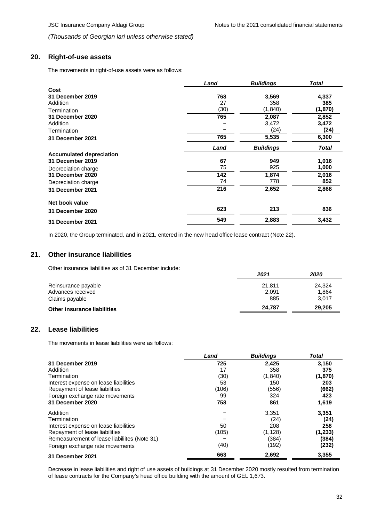# **20. Right-of-use assets**

The movements in right-of-use assets were as follows:

|                                 | Land | <b>Buildings</b> | <b>Total</b> |
|---------------------------------|------|------------------|--------------|
| <b>Cost</b>                     |      |                  |              |
| 31 December 2019                | 768  | 3,569            | 4,337        |
| Addition                        | 27   | 358              | 385          |
| Termination                     | (30) | (1,840)          | (1, 870)     |
| 31 December 2020                | 765  | 2,087            | 2,852        |
| Addition                        |      | 3,472            | 3,472        |
| Termination                     |      | (24)             | (24)         |
| 31 December 2021                | 765  | 5,535            | 6,300        |
|                                 | Land | <b>Buildings</b> | <b>Total</b> |
| <b>Accumulated depreciation</b> |      |                  |              |
| 31 December 2019                | 67   | 949              | 1,016        |
| Depreciation charge             | 75   | 925              | 1,000        |
| 31 December 2020                | 142  | 1,874            | 2,016        |
| Depreciation charge             | 74   | 778              | 852          |
| 31 December 2021                | 216  | 2,652            | 2,868        |
| Net book value                  |      |                  |              |
| 31 December 2020                | 623  | 213              | 836          |
| 31 December 2021                | 549  | 2,883            | 3,432        |

In 2020, the Group terminated, and in 2021, entered in the new head office lease contract (Note 22).

# **21. Other insurance liabilities**

Other insurance liabilities as of 31 December include:

|                                    | 2021   | 2020   |
|------------------------------------|--------|--------|
| Reinsurance payable                | 21.811 | 24.324 |
| Advances received                  | 2.091  | 1.864  |
| Claims payable                     | 885    | 3.017  |
| <b>Other insurance liabilities</b> | 24.787 | 29,205 |

# **22. Lease liabilities**

The movements in lease liabilities were as follows:

|                                              | Land  | <b>Buildings</b> | <b>Total</b> |
|----------------------------------------------|-------|------------------|--------------|
| 31 December 2019                             | 725   | 2,425            | 3.150        |
| Addition                                     | 17    | 358              | 375          |
| Termination                                  | (30)  | (1,840)          | (1,870)      |
| Interest expense on lease liabilities        | 53    | 150              | 203          |
| Repayment of lease liabilities               | (106) | (556)            | (662)        |
| Foreign exchange rate movements              | 99    | 324              | 423          |
| 31 December 2020                             | 758   | 861              | 1,619        |
| Addition                                     |       | 3,351            | 3,351        |
| Termination                                  |       | (24)             | (24)         |
| Interest expense on lease liabilities        | 50    | 208              | 258          |
| Repayment of lease liabilities               | (105) | (1, 128)         | (1,233)      |
| Remeasurement of lease liabiliites (Note 31) |       | (384)            | (384)        |
| Foreign exchange rate movements              | (40)  | (192)            | (232)        |
| 31 December 2021                             | 663   | 2,692            | 3,355        |

Decrease in lease liabilities and right of use assets of buildings at 31 December 2020 mostly resulted from termination of lease contracts for the Company's head office building with the amount of GEL 1,673.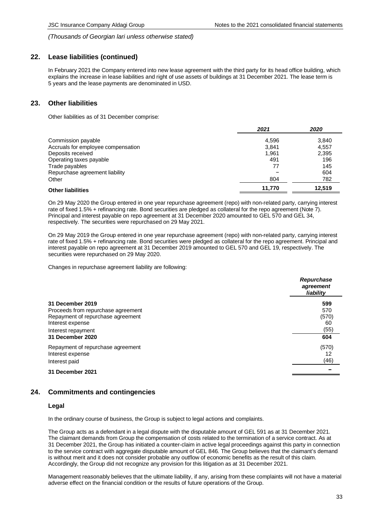# **22. Lease liabilities (continued)**

In February 2021 the Company entered into new lease agreement with the third party for its head office building, which explains the increase in lease liabilities and right of use assets of buildings at 31 December 2021. The lease term is 5 years and the lease payments are denominated in USD.

# **23. Other liabilities**

Other liabilities as of 31 December comprise:

|                                    | 2021   | 2020   |
|------------------------------------|--------|--------|
| Commission payable                 | 4,596  | 3,840  |
| Accruals for employee compensation | 3,841  | 4.557  |
| Deposits received                  | 1,961  | 2,395  |
| Operating taxes payable            | 491    | 196    |
| Trade payables                     | 77     | 145    |
| Repurchase agreement liability     |        | 604    |
| Other                              | 804    | 782    |
| <b>Other liabilities</b>           | 11.770 | 12,519 |

On 29 May 2020 the Group entered in one year repurchase agreement (repo) with non-related party, carrying interest rate of fixed 1.5% + refinancing rate. Bond securities are pledged as collateral for the repo agreement (Note 7). Principal and interest payable on repo agreement at 31 December 2020 amounted to GEL 570 and GEL 34, respectively. The securities were repurchased on 29 May 2021.

On 29 May 2019 the Group entered in one year repurchase agreement (repo) with non-related party, carrying interest rate of fixed 1.5% + refinancing rate. Bond securities were pledged as collateral for the repo agreement. Principal and interest payable on repo agreement at 31 December 2019 amounted to GEL 570 and GEL 19, respectively. The securities were repurchased on 29 May 2020.

Changes in repurchase agreement liability are following:

|                                    | Repurchase<br>agreement<br>liability |
|------------------------------------|--------------------------------------|
| 31 December 2019                   | 599                                  |
| Proceeds from repurchase agreement | 570                                  |
| Repayment of repurchase agreement  | (570)                                |
| Interest expense                   | 60                                   |
| Interest repayment                 | (55)                                 |
| 31 December 2020                   | 604                                  |
| Repayment of repurchase agreement  | (570)                                |
| Interest expense                   | 12                                   |
| Interest paid                      | (46)                                 |
| 31 December 2021                   |                                      |

### **24. Commitments and contingencies**

### **Legal**

In the ordinary course of business, the Group is subject to legal actions and complaints.

The Group acts as a defendant in a legal dispute with the disputable amount of GEL 591 as at 31 December 2021. The claimant demands from Group the compensation of costs related to the termination of a service contract. As at 31 December 2021, the Group has initiated a counter-claim in active legal proceedings against this party in connection to the service contract with aggregate disputable amount of GEL 846. The Group believes that the claimant's demand is without merit and it does not consider probable any outflow of economic benefits as the result of this claim. Accordingly, the Group did not recognize any provision for this litigation as at 31 December 2021.

Management reasonably believes that the ultimate liability, if any, arising from these complaints will not have a material adverse effect on the financial condition or the results of future operations of the Group.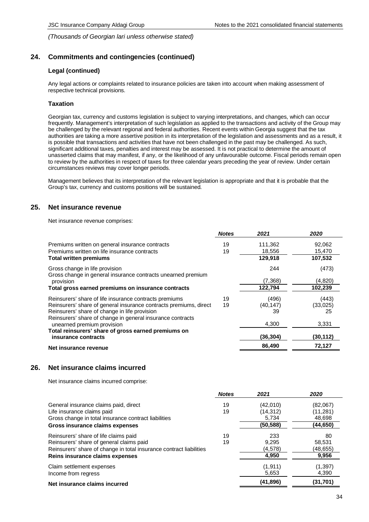# **24. Commitments and contingencies (continued)**

### **Legal (continued)**

Any legal actions or complaints related to insurance policies are taken into account when making assessment of respective technical provisions.

### **Taxation**

Georgian tax, currency and customs legislation is subject to varying interpretations, and changes, which can occur frequently. Management's interpretation of such legislation as applied to the transactions and activity of the Group may be challenged by the relevant regional and federal authorities. Recent events within Georgia suggest that the tax authorities are taking a more assertive position in its interpretation of the legislation and assessments and as a result, it is possible that transactions and activities that have not been challenged in the past may be challenged. As such, significant additional taxes, penalties and interest may be assessed. It is not practical to determine the amount of unasserted claims that may manifest, if any, or the likelihood of any unfavourable outcome. Fiscal periods remain open to review by the authorities in respect of taxes for three calendar years preceding the year of review. Under certain circumstances reviews may cover longer periods.

Management believes that its interpretation of the relevant legislation is appropriate and that it is probable that the Group's tax, currency and customs positions will be sustained.

### **25. Net insurance revenue**

Net insurance revenue comprises:

|                                                                                                             | <b>Notes</b> | 2021      | 2020      |
|-------------------------------------------------------------------------------------------------------------|--------------|-----------|-----------|
| Premiums written on general insurance contracts                                                             | 19           | 111,362   | 92,062    |
| Premiums written on life insurance contracts                                                                | 19           | 18,556    | 15,470    |
| <b>Total written premiums</b>                                                                               |              | 129,918   | 107,532   |
| Gross change in life provision<br>Gross change in general insurance contracts unearned premium              |              | 244       | (473)     |
| provision                                                                                                   |              | (7,368)   | (4,820)   |
| Total gross earned premiums on insurance contracts                                                          |              | 122,794   | 102,239   |
| Reinsurers' share of life insurance contracts premiums                                                      | 19           | (496)     | (443)     |
| Reinsurers' share of general insurance contracts premiums, direct                                           | 19           | (40, 147) | (33,025)  |
| Reinsurers' share of change in life provision<br>Reinsurers' share of change in general insurance contracts |              | 39        | 25        |
| unearned premium provision                                                                                  |              | 4.300     | 3,331     |
| Total reinsurers' share of gross earned premiums on                                                         |              |           |           |
| insurance contracts                                                                                         |              | (36, 304) | (30, 112) |
| Net insurance revenue                                                                                       |              | 86,490    | 72,127    |

### **26. Net insurance claims incurred**

Net insurance claims incurred comprise:

|                                                                                                                                                                                             | <b>Notes</b> | 2021                                       | 2020                                        |
|---------------------------------------------------------------------------------------------------------------------------------------------------------------------------------------------|--------------|--------------------------------------------|---------------------------------------------|
| General insurance claims paid, direct<br>Life insurance claims paid<br>Gross change in total insurance contract liabilities<br>Gross insurance claims expenses                              | 19<br>19     | (42,010)<br>(14, 312)<br>5,734<br>(50,588) | (82,067)<br>(11,281)<br>48,698<br>(44, 650) |
| Reinsurers' share of life claims paid<br>Reinsurers' share of general claims paid<br>Reinsurers' share of change in total insurance contract liabilities<br>Reins insurance claims expenses | 19<br>19     | 233<br>9.295<br>(4,578)<br>4.950           | 80<br>58.531<br>(48,655)<br>9.956           |
| Claim settlement expenses<br>Income from regress                                                                                                                                            |              | (1, 911)<br>5,653                          | (1, 397)<br>4,390                           |
| Net insurance claims incurred                                                                                                                                                               |              | (41, 896)                                  | (31,701)                                    |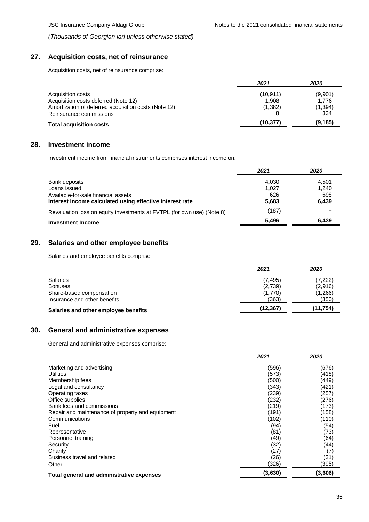# **27. Acquisition costs, net of reinsurance**

Acquisition costs, net of reinsurance comprise:

|                                                      | 2021      | 2020     |
|------------------------------------------------------|-----------|----------|
| Acquisition costs                                    | (10, 911) | (9,901)  |
| Acquisition costs deferred (Note 12)                 | 1.908     | 1.776    |
| Amortization of deferred acquisition costs (Note 12) | (1,382)   | (1, 394) |
| Reinsurance commissions                              |           | 334      |
| <b>Total acquisition costs</b>                       | (10, 377) | (9, 185) |

### **28. Investment income**

Investment income from financial instruments comprises interest income on:

|                                                                        | 2021  | 2020  |
|------------------------------------------------------------------------|-------|-------|
| Bank deposits                                                          | 4.030 | 4,501 |
| Loans issued                                                           | 1.027 | 1.240 |
| Available-for-sale financial assets                                    | 626   | 698   |
| Interest income calculated using effective interest rate               | 5.683 | 6.439 |
| Revaluation loss on equity investments at FVTPL (for own use) (Note 8) | (187) |       |
| <b>Investment Income</b>                                               | 5.496 | 6,439 |

# **29. Salaries and other employee benefits**

Salaries and employee benefits comprise:

|                                      | 2021      | 2020     |
|--------------------------------------|-----------|----------|
| <b>Salaries</b>                      | (7,495)   | (7, 222) |
| <b>Bonuses</b>                       | (2,739)   | (2,916)  |
| Share-based compensation             | (1,770)   | (1,266)  |
| Insurance and other benefits         | (363)     | (350)    |
| Salaries and other employee benefits | (12, 367) | (11.754) |

# **30. General and administrative expenses**

General and administrative expenses comprise:

|                                                  | 2021    | 2020    |
|--------------------------------------------------|---------|---------|
| Marketing and advertising                        | (596)   | (676)   |
| Utilities                                        | (573)   | (418)   |
| Membership fees                                  | (500)   | (449)   |
| Legal and consultancy                            | (343)   | (421)   |
| Operating taxes                                  | (239)   | (257)   |
| Office supplies                                  | (232)   | (276)   |
| Bank fees and commissions                        | (219)   | (173)   |
| Repair and maintenance of property and equipment | (191)   | (158)   |
| Communications                                   | (102)   | (110)   |
| Fuel                                             | (94)    | (54)    |
| Representative                                   | (81)    | (73)    |
| Personnel training                               | (49)    | (64)    |
| Security                                         | (32)    | (44)    |
| Charity                                          | (27)    | (7)     |
| Business travel and related                      | (26)    | (31)    |
| Other                                            | (326)   | (395)   |
| Total general and administrative expenses        | (3,630) | (3,606) |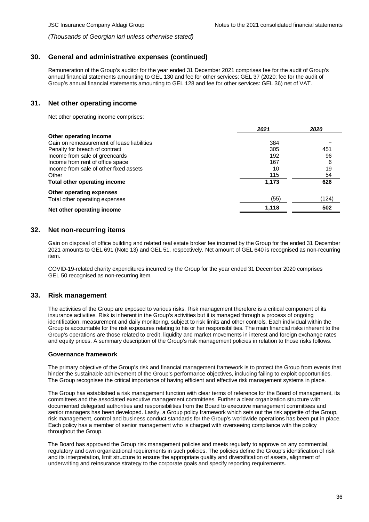# **30. General and administrative expenses (continued)**

Remuneration of the Group's auditor for the year ended 31 December 2021 comprises fee for the audit of Group's annual financial statements amounting to GEL 130 and fee for other services: GEL 37 (2020: fee for the audit of Group's annual financial statements amounting to GEL 128 and fee for other services: GEL 36) net of VAT.

### **31. Net other operating income**

Net other operating income comprises:

|                                            | 2021  | 2020  |
|--------------------------------------------|-------|-------|
| Other operating income                     |       |       |
| Gain on remeasurement of lease liabilities | 384   |       |
| Penalty for breach of contract             | 305   | 451   |
| Income from sale of greencards             | 192   | 96    |
| Income from rent of office space           | 167   | 6     |
| Income from sale of other fixed assets     | 10    | 19    |
| Other                                      | 115   | 54    |
| Total other operating income               | 1.173 | 626   |
| Other operating expenses                   |       |       |
| Total other operating expenses             | (55)  | (124) |
| Net other operating income                 | 1,118 | 502   |

### **32. Net non-recurring items**

Gain on disposal of office building and related real estate broker fee incurred by the Group for the ended 31 December 2021 amounts to GEL 691 (Note 13) and GEL 51, respectively. Net amount of GEL 640 is recognised as non-recurring item.

COVID-19-related charity expenditures incurred by the Group for the year ended 31 December 2020 comprises GEL 50 recognised as non-recurring item.

# **33. Risk management**

The activities of the Group are exposed to various risks. Risk management therefore is a critical component of its insurance activities. Risk is inherent in the Group's activities but it is managed through a process of ongoing identification, measurement and daily monitoring, subject to risk limits and other controls. Each individual within the Group is accountable for the risk exposures relating to his or her responsibilities. The main financial risks inherent to the Group's operations are those related to credit, liquidity and market movements in interest and foreign exchange rates and equity prices. A summary description of the Group's risk management policies in relation to those risks follows.

### **Governance framework**

The primary objective of the Group's risk and financial management framework is to protect the Group from events that hinder the sustainable achievement of the Group's performance objectives, including failing to exploit opportunities. The Group recognises the critical importance of having efficient and effective risk management systems in place.

The Group has established a risk management function with clear terms of reference for the Board of management, its committees and the associated executive management committees. Further a clear organization structure with documented delegated authorities and responsibilities from the Board to executive management committees and senior managers has been developed. Lastly, a Group policy framework which sets out the risk appetite of the Group, risk management, control and business conduct standards for the Group's worldwide operations has been put in place. Each policy has a member of senior management who is charged with overseeing compliance with the policy throughout the Group.

The Board has approved the Group risk management policies and meets regularly to approve on any commercial, regulatory and own organizational requirements in such policies. The policies define the Group's identification of risk and its interpretation, limit structure to ensure the appropriate quality and diversification of assets, alignment of underwriting and reinsurance strategy to the corporate goals and specify reporting requirements.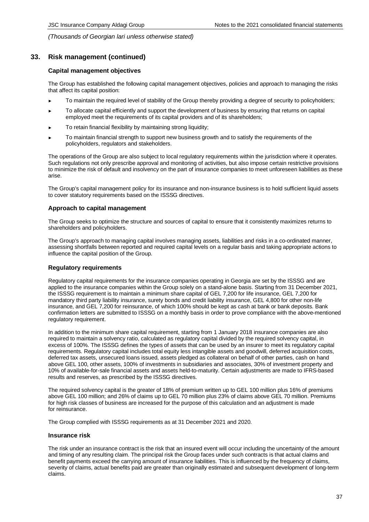# **33. Risk management (continued)**

### **Capital management objectives**

The Group has established the following capital management objectives, policies and approach to managing the risks that affect its capital position:

- To maintain the required level of stability of the Group thereby providing a degree of security to policyholders;
- To allocate capital efficiently and support the development of business by ensuring that returns on capital employed meet the requirements of its capital providers and of its shareholders;
- To retain financial flexibility by maintaining strong liquidity;
- ► To maintain financial strength to support new business growth and to satisfy the requirements of the policyholders, regulators and stakeholders.

The operations of the Group are also subject to local regulatory requirements within the jurisdiction where it operates. Such regulations not only prescribe approval and monitoring of activities, but also impose certain restrictive provisions to minimize the risk of default and insolvency on the part of insurance companies to meet unforeseen liabilities as these arise.

The Group's capital management policy for its insurance and non-insurance business is to hold sufficient liquid assets to cover statutory requirements based on the ISSSG directives.

### **Approach to capital management**

The Group seeks to optimize the structure and sources of capital to ensure that it consistently maximizes returns to shareholders and policyholders.

The Group's approach to managing capital involves managing assets, liabilities and risks in a co-ordinated manner, assessing shortfalls between reported and required capital levels on a regular basis and taking appropriate actions to influence the capital position of the Group.

### **Regulatory requirements**

Regulatory capital requirements for the insurance companies operating in Georgia are set by the ISSSG and are applied to the insurance companies within the Group solely on a stand-alone basis. Starting from 31 December 2021, the ISSSG requirement is to maintain a minimum share capital of GEL 7,200 for life insurance, GEL 7,200 for mandatory third party liability insurance, surety bonds and credit liability insurance, GEL 4,800 for other non-life insurance, and GEL 7,200 for reinsurance, of which 100% should be kept as cash at bank or bank deposits. Bank confirmation letters are submitted to ISSSG on a monthly basis in order to prove compliance with the above-mentioned regulatory requirement.

In addition to the minimum share capital requirement, starting from 1 January 2018 insurance companies are also required to maintain a solvency ratio, calculated as regulatory capital divided by the required solvency capital, in excess of 100%. The ISSSG defines the types of assets that can be used by an insurer to meet its regulatory capital requirements. Regulatory capital includes total equity less intangible assets and goodwill, deferred acquisition costs, deferred tax assets, unsecured loans issued, assets pledged as collateral on behalf of other parties, cash on hand above GEL 100, other assets, 100% of investments in subsidiaries and associates, 30% of investment property and 10% of available-for-sale financial assets and assets held-to-maturity. Certain adjustments are made to IFRS-based results and reserves, as prescribed by the ISSSG directives.

The required solvency capital is the greater of 18% of premium written up to GEL 100 million plus 16% of premiums above GEL 100 million; and 26% of claims up to GEL 70 million plus 23% of claims above GEL 70 million. Premiums for high risk classes of business are increased for the purpose of this calculation and an adjustment is made for reinsurance.

The Group complied with ISSSG requirements as at 31 December 2021 and 2020.

#### **Insurance risk**

The risk under an insurance contract is the risk that an insured event will occur including the uncertainty of the amount and timing of any resulting claim. The principal risk the Group faces under such contracts is that actual claims and benefit payments exceed the carrying amount of insurance liabilities. This is influenced by the frequency of claims, severity of claims, actual benefits paid are greater than originally estimated and subsequent development of long-term claims.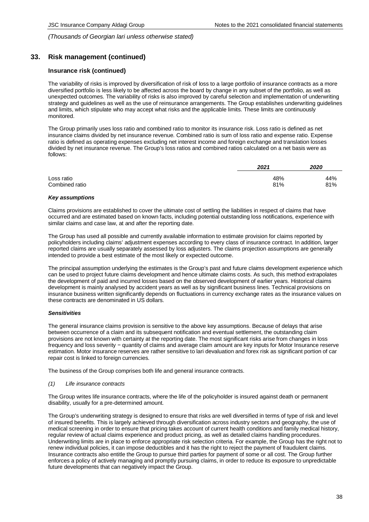# **33. Risk management (continued)**

### **Insurance risk (continued)**

The variability of risks is improved by diversification of risk of loss to a large portfolio of insurance contracts as a more diversified portfolio is less likely to be affected across the board by change in any subset of the portfolio, as well as unexpected outcomes. The variability of risks is also improved by careful selection and implementation of underwriting strategy and guidelines as well as the use of reinsurance arrangements. The Group establishes underwriting guidelines and limits, which stipulate who may accept what risks and the applicable limits. These limits are continuously monitored.

The Group primarily uses loss ratio and combined ratio to monitor its insurance risk. Loss ratio is defined as net insurance claims divided by net insurance revenue. Combined ratio is sum of loss ratio and expense ratio. Expense ratio is defined as operating expenses excluding net interest income and foreign exchange and translation losses divided by net insurance revenue. The Group's loss ratios and combined ratios calculated on a net basis were as follows:

|                | 2021 | 2020 |
|----------------|------|------|
| Loss ratio     | 48%  | 44%  |
| Combined ratio | 81%  | 81%  |

#### *Key assumptions*

Claims provisions are established to cover the ultimate cost of settling the liabilities in respect of claims that have occurred and are estimated based on known facts, including potential outstanding loss notifications, experience with similar claims and case law, at and after the reporting date.

The Group has used all possible and currently available information to estimate provision for claims reported by policyholders including claims' adjustment expenses according to every class of insurance contract. In addition, larger reported claims are usually separately assessed by loss adjusters. The claims projection assumptions are generally intended to provide a best estimate of the most likely or expected outcome.

The principal assumption underlying the estimates is the Group's past and future claims development experience which can be used to project future claims development and hence ultimate claims costs. As such, this method extrapolates the development of paid and incurred losses based on the observed development of earlier years. Historical claims development is mainly analysed by accident years as well as by significant business lines. Technical provisions on insurance business written significantly depends on fluctuations in currency exchange rates as the insurance values on these contracts are denominated in US dollars.

#### *Sensitivities*

The general insurance claims provision is sensitive to the above key assumptions. Because of delays that arise between occurrence of a claim and its subsequent notification and eventual settlement, the outstanding claim provisions are not known with certainty at the reporting date. The most significant risks arise from changes in loss frequency and loss severity − quantity of claims and average claim amount are key inputs for Motor Insurance reserve estimation. Motor insurance reserves are rather sensitive to lari devaluation and forex risk as significant portion of car repair cost is linked to foreign currencies.

The business of the Group comprises both life and general insurance contracts.

#### *(1) Life insurance contracts*

The Group writes life insurance contracts, where the life of the policyholder is insured against death or permanent disability, usually for a pre-determined amount.

The Group's underwriting strategy is designed to ensure that risks are well diversified in terms of type of risk and level of insured benefits. This is largely achieved through diversification across industry sectors and geography, the use of medical screening in order to ensure that pricing takes account of current health conditions and family medical history, regular review of actual claims experience and product pricing, as well as detailed claims handling procedures. Underwriting limits are in place to enforce appropriate risk selection criteria. For example, the Group has the right not to renew individual policies, it can impose deductibles and it has the right to reject the payment of fraudulent claims. Insurance contracts also entitle the Group to pursue third parties for payment of some or all cost. The Group further enforces a policy of actively managing and promptly pursuing claims, in order to reduce its exposure to unpredictable future developments that can negatively impact the Group.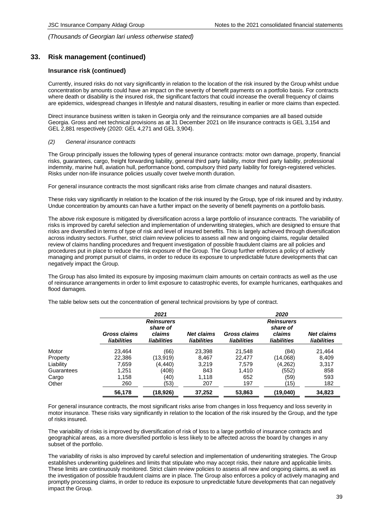# **33. Risk management (continued)**

### **Insurance risk (continued)**

Currently, insured risks do not vary significantly in relation to the location of the risk insured by the Group whilst undue concentration by amounts could have an impact on the severity of benefit payments on a portfolio basis. For contracts where death or disability is the insured risk, the significant factors that could increase the overall frequency of claims are epidemics, widespread changes in lifestyle and natural disasters, resulting in earlier or more claims than expected.

Direct insurance business written is taken in Georgia only and the reinsurance companies are all based outside Georgia. Gross and net technical provisions as at 31 December 2021 on life insurance contracts is GEL 3,154 and GEL 2,881 respectively (2020: GEL 4,271 and GEL 3,904).

#### *(2) General insurance contracts*

The Group principally issues the following types of general insurance contracts: motor own damage, property, financial risks, guarantees, cargo, freight forwarding liability, general third party liability, motor third party liability, professional indemnity, marine hull, aviation hull, performance bond, compulsory third party liability for foreign-registered vehicles. Risks under non-life insurance policies usually cover twelve month duration.

For general insurance contracts the most significant risks arise from climate changes and natural disasters.

These risks vary significantly in relation to the location of the risk insured by the Group, type of risk insured and by industry. Undue concentration by amounts can have a further impact on the severity of benefit payments on a portfolio basis.

The above risk exposure is mitigated by diversification across a large portfolio of insurance contracts. The variability of risks is improved by careful selection and implementation of underwriting strategies, which are designed to ensure that risks are diversified in terms of type of risk and level of insured benefits. This is largely achieved through diversification across industry sectors. Further, strict claim review policies to assess all new and ongoing claims, regular detailed review of claims handling procedures and frequent investigation of possible fraudulent claims are all policies and procedures put in place to reduce the risk exposure of the Group. The Group further enforces a policy of actively managing and prompt pursuit of claims, in order to reduce its exposure to unpredictable future developments that can negatively impact the Group.

The Group has also limited its exposure by imposing maximum claim amounts on certain contracts as well as the use of reinsurance arrangements in order to limit exposure to catastrophic events, for example hurricanes, earthquakes and flood damages.

|            |                             | 2021                                                   |                                  |                             | 2020                                                   |                                  |
|------------|-----------------------------|--------------------------------------------------------|----------------------------------|-----------------------------|--------------------------------------------------------|----------------------------------|
|            | Gross claims<br>liabilities | <b>Reinsurers</b><br>share of<br>claims<br>liabilities | <b>Net claims</b><br>liabilities | Gross claims<br>liabilities | <b>Reinsurers</b><br>share of<br>claims<br>liabilities | <b>Net claims</b><br>liabilities |
| Motor      | 23,464                      | (66)                                                   | 23,398                           | 21,548                      | (84)                                                   | 21,464                           |
| Property   | 22,386                      | (13,919)                                               | 8,467                            | 22,477                      | (14,068)                                               | 8,409                            |
| Liability  | 7,659                       | (4, 440)                                               | 3.219                            | 7,579                       | (4,262)                                                | 3,317                            |
| Guarantees | 1,251                       | (408)                                                  | 843                              | 1,410                       | (552)                                                  | 858                              |
| Cargo      | 1,158                       | (40)                                                   | 1,118                            | 652                         | (59)                                                   | 593                              |
| Other      | 260                         | (53)                                                   | 207                              | 197                         | (15)                                                   | 182                              |
|            | 56,178                      | (18,926)                                               | 37,252                           | 53,863                      | (19,040)                                               | 34,823                           |

The table below sets out the concentration of general technical provisions by type of contract.

For general insurance contracts, the most significant risks arise from changes in loss frequency and loss severity in motor insurance. These risks vary significantly in relation to the location of the risk insured by the Group, and the type of risks insured.

The variability of risks is improved by diversification of risk of loss to a large portfolio of insurance contracts and geographical areas, as a more diversified portfolio is less likely to be affected across the board by changes in any subset of the portfolio.

The variability of risks is also improved by careful selection and implementation of underwriting strategies. The Group establishes underwriting guidelines and limits that stipulate who may accept risks, their nature and applicable limits. These limits are continuously monitored. Strict claim review policies to assess all new and ongoing claims, as well as the investigation of possible fraudulent claims are in place. The Group also enforces a policy of actively managing and promptly processing claims, in order to reduce its exposure to unpredictable future developments that can negatively impact the Group.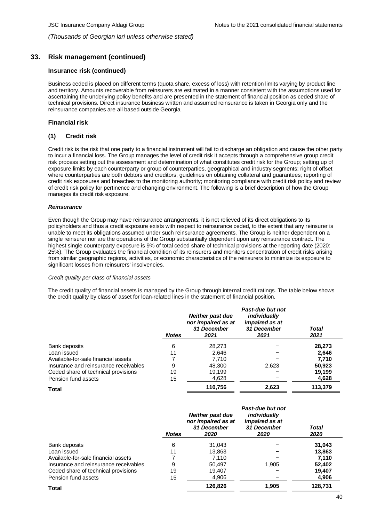# **33. Risk management (continued)**

### **Insurance risk (continued)**

Business ceded is placed on different terms (quota share, excess of loss) with retention limits varying by product line and territory. Amounts recoverable from reinsurers are estimated in a manner consistent with the assumptions used for ascertaining the underlying policy benefits and are presented in the statement of financial position as ceded share of technical provisions. Direct insurance business written and assumed reinsurance is taken in Georgia only and the reinsurance companies are all based outside Georgia.

### **Financial risk**

### **(1) Credit risk**

Credit risk is the risk that one party to a financial instrument will fail to discharge an obligation and cause the other party to incur a financial loss. The Group manages the level of credit risk it accepts through a comprehensive group credit risk process setting out the assessment and determination of what constitutes credit risk for the Group; setting up of exposure limits by each counterparty or group of counterparties, geographical and industry segments; right of offset where counterparties are both debtors and creditors; guidelines on obtaining collateral and guarantees; reporting of credit risk exposures and breaches to the monitoring authority; monitoring compliance with credit risk policy and review of credit risk policy for pertinence and changing environment. The following is a brief description of how the Group manages its credit risk exposure.

#### *Reinsurance*

Even though the Group may have reinsurance arrangements, it is not relieved of its direct obligations to its policyholders and thus a credit exposure exists with respect to reinsurance ceded, to the extent that any reinsurer is unable to meet its obligations assumed under such reinsurance agreements. The Group is neither dependent on a single reinsurer nor are the operations of the Group substantially dependent upon any reinsurance contract. The highest single counterparty exposure is 9% of total ceded share of technical provisions at the reporting date (2020: 25%). The Group evaluates the financial condition of its reinsurers and monitors concentration of credit risks arising from similar geographic regions, activities, or economic characteristics of the reinsurers to minimize its exposure to significant losses from reinsurers' insolvencies.

#### *Credit quality per class of financial assets*

The credit quality of financial assets is managed by the Group through internal credit ratings. The table below shows the credit quality by class of asset for loan-related lines in the statement of financial position.

|                                       | <b>Notes</b> | <b>Neither past due</b><br>nor impaired as at<br>31 December<br>2021 | Past-due but not<br>individually<br>impaired as at<br>31 December<br>2021 | <b>Total</b><br>2021 |
|---------------------------------------|--------------|----------------------------------------------------------------------|---------------------------------------------------------------------------|----------------------|
| Bank deposits                         | 6            | 28.273                                                               |                                                                           | 28,273               |
| Loan issued                           | 11           | 2.646                                                                |                                                                           | 2.646                |
| Available-for-sale financial assets   |              | 7.710                                                                |                                                                           | 7.710                |
| Insurance and reinsurance receivables | 9            | 48,300                                                               | 2,623                                                                     | 50,923               |
| Ceded share of technical provisions   | 19           | 19,199                                                               |                                                                           | 19,199               |
| Pension fund assets                   | 15           | 4,628                                                                |                                                                           | 4,628                |
| <b>Total</b>                          |              | 110,756                                                              | 2,623                                                                     | 113,379              |

|                                       | <b>Notes</b> | <b>Neither past due</b><br>nor impaired as at<br>31 December<br>2020 | Past-due but not<br>individually<br>impaired as at<br>31 December<br>2020 | <b>Total</b><br>2020 |
|---------------------------------------|--------------|----------------------------------------------------------------------|---------------------------------------------------------------------------|----------------------|
| Bank deposits                         | 6            | 31.043                                                               |                                                                           | 31,043               |
| Loan issued                           | 11           | 13,863                                                               |                                                                           | 13,863               |
| Available-for-sale financial assets   |              | 7.110                                                                |                                                                           | 7.110                |
| Insurance and reinsurance receivables | 9            | 50.497                                                               | 1,905                                                                     | 52,402               |
| Ceded share of technical provisions   | 19           | 19,407                                                               |                                                                           | 19,407               |
| Pension fund assets                   | 15           | 4,906                                                                |                                                                           | 4,906                |
| <b>Total</b>                          |              | 126,826                                                              | 1,905                                                                     | 128,731              |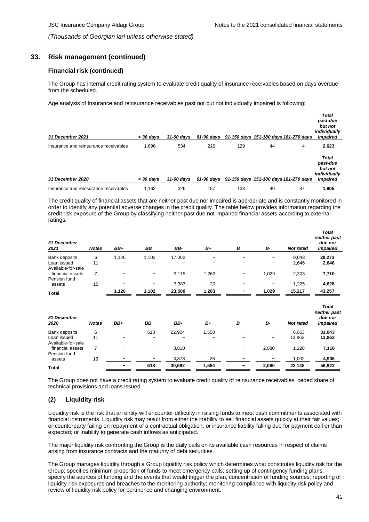# **33. Risk management (continued)**

### **Financial risk (continued)**

The Group has internal credit rating system to evaluate credit quality of insurance receivables based on days overdue from the scheduled.

Age analysis of Insurance and reinsurance receivables past not but not individually impaired is following:

| 31 December 2021                      | < 30 davs   | 31-60 davs | 61-90 davs |     | 91-150 days 151-180 days 181-270 days |    | <b>Total</b><br>past-due<br>but not<br>individually<br>impaired |
|---------------------------------------|-------------|------------|------------|-----|---------------------------------------|----|-----------------------------------------------------------------|
| Insurance and reinsurance receivables | 1,696       | 534        | 216        | 129 | 44                                    | 4  | 2,623                                                           |
| 31 December 2020                      | $<$ 30 days | 31-60 davs | 61-90 days |     | 91-150 days 151-180 days 181-270 days |    | <b>Total</b><br>past-due<br>but not<br>individually<br>impaired |
| Insurance and reinsurance receivables | 1.162       | 326        | 157        | 133 | 40                                    | 87 | 1.905                                                           |

The credit quality of financial assets that are neither past due nor impaired is appropriate and is constantly monitored in order to identify any potential adverse changes in the credit quality. The table below provides information regarding the credit risk exposure of the Group by classifying neither past due not impaired financial assets according to external ratings.

| 31 December<br>2021               | <b>Notes</b>   | BB+   | <b>BB</b> | BB-    | $B+$  | B | В-    | <b>Not rated</b> | , ow<br>neither past<br>due nor<br><i>impaired</i>         |
|-----------------------------------|----------------|-------|-----------|--------|-------|---|-------|------------------|------------------------------------------------------------|
| Bank deposits                     | 6              | 1,126 | 1,102     | 17,002 |       |   |       | 9,043            | 28,273                                                     |
| Loan issued<br>Available-for-sale | 11             |       |           |        |       |   |       | 2,646            | 2,646                                                      |
| financial assets                  | 7              |       |           | 3,115  | 1,263 |   | 1,029 | 2,303            | 7,710                                                      |
| Pension fund<br>assets            | 15             |       |           | 3,383  | 20    |   |       | 1,225            | 4,628                                                      |
| <b>Total</b>                      |                | 1,126 | 1,102     | 23,500 | 1,283 |   | 1,029 | 15,217           | 43,257                                                     |
| 31 December<br>2020               | <b>Notes</b>   | BB+   | BB        | BB-    | B+    | B | В-    | <b>Not rated</b> | <b>Total</b><br>neither past<br>due nor<br><i>impaired</i> |
| Bank deposits                     | 6              |       | 518       | 22,904 | 1,558 |   |       | 6,063            | 31,043                                                     |
| Loan issued<br>Available-for-sale | 11             |       |           |        |       |   | -     | 13,863           | 13,863                                                     |
| financial assets<br>Pension fund  | $\overline{7}$ |       | -         | 3,810  |       |   | 2,080 | 1,220            | 7,110                                                      |
| assets                            | 15             |       |           | 3,878  | 26    |   |       | 1,002            | 4,906                                                      |
| <b>Total</b>                      |                |       | 518       | 30,592 | 1,584 |   | 2,080 | 22,148           | 56,922                                                     |
|                                   |                |       |           |        |       |   |       |                  |                                                            |

The Group does not have a credit rating system to evaluate credit quality of reinsurance receivables, ceded share of technical provisions and loans issued.

# **(2) Liquidity risk**

Liquidity risk is the risk that an entity will encounter difficulty in raising funds to meet cash commitments associated with financial instruments. Liquidity risk may result from either the inability to sell financial assets quickly at their fair values; or counterparty failing on repayment of a contractual obligation; or insurance liability falling due for payment earlier than expected; or inability to generate cash inflows as anticipated.

The major liquidity risk confronting the Group is the daily calls on its available cash resources in respect of claims arising from insurance contracts and the maturity of debt securities.

The Group manages liquidity through a Group liquidity risk policy which determines what constitutes liquidity risk for the Group; specifies minimum proportion of funds to meet emergency calls; setting up of contingency funding plans; specify the sources of funding and the events that would trigger the plan; concentration of funding sources; reporting of liquidity risk exposures and breaches to the monitoring authority; monitoring compliance with liquidity risk policy and review of liquidity risk policy for pertinence and changing environment.

*Total*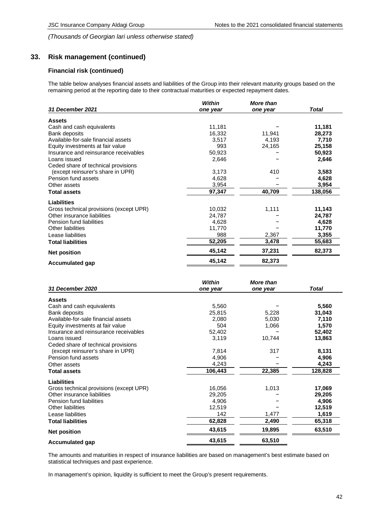# **33. Risk management (continued)**

### **Financial risk (continued)**

The table below analyses financial assets and liabilities of the Group into their relevant maturity groups based on the remaining period at the reporting date to their contractual maturities or expected repayment dates.

|                                         | <b>Within</b> | <b>More than</b> |              |
|-----------------------------------------|---------------|------------------|--------------|
| 31 December 2021                        | one year      | one year         | <b>Total</b> |
| <b>Assets</b>                           |               |                  |              |
| Cash and cash equivalents               | 11,181        |                  | 11,181       |
| Bank deposits                           | 16,332        | 11,941           | 28,273       |
| Available-for-sale financial assets     | 3,517         | 4,193            | 7,710        |
| Equity investments at fair value        | 993           | 24,165           | 25,158       |
| Insurance and reinsurance receivables   | 50,923        |                  | 50,923       |
| Loans issued                            | 2,646         |                  | 2,646        |
| Ceded share of technical provisions     |               |                  |              |
| (except reinsurer's share in UPR)       | 3,173         | 410              | 3,583        |
| Pension fund assets                     | 4,628         |                  | 4,628        |
| Other assets                            | 3,954         |                  | 3,954        |
| <b>Total assets</b>                     | 97,347        | 40,709           | 138,056      |
| <b>Liabilities</b>                      |               |                  |              |
| Gross technical provisions (except UPR) | 10,032        | 1,111            | 11,143       |
| Other insurance liabilities             | 24,787        |                  | 24,787       |
| Pension fund liabilities                | 4,628         |                  | 4,628        |
| <b>Other liabilities</b>                | 11,770        |                  | 11,770       |
| Lease liabilities                       | 988           | 2,367            | 3,355        |
| <b>Total liabilities</b>                | 52,205        | 3,478            | 55,683       |
| <b>Net position</b>                     | 45,142        | 37,231           | 82,373       |
| <b>Accumulated gap</b>                  | 45,142        | 82,373           |              |

| 31 December 2020                        | <b>Within</b><br>one year | <b>More than</b><br>one year | <b>Total</b> |
|-----------------------------------------|---------------------------|------------------------------|--------------|
| <b>Assets</b>                           |                           |                              |              |
| Cash and cash equivalents               | 5,560                     |                              | 5,560        |
| Bank deposits                           | 25,815                    | 5,228                        | 31,043       |
| Available-for-sale financial assets     | 2,080                     | 5,030                        | 7,110        |
| Equity investments at fair value        | 504                       | 1,066                        | 1,570        |
| Insurance and reinsurance receivables   | 52,402                    |                              | 52,402       |
| Loans issued                            | 3,119                     | 10,744                       | 13,863       |
| Ceded share of technical provisions     |                           |                              |              |
| (except reinsurer's share in UPR)       | 7,814                     | 317                          | 8,131        |
| Pension fund assets                     | 4,906                     |                              | 4,906        |
| Other assets                            | 4,243                     |                              | 4,243        |
| <b>Total assets</b>                     | 106,443                   | 22,385                       | 128,828      |
| <b>Liabilities</b>                      |                           |                              |              |
| Gross technical provisions (except UPR) | 16,056                    | 1,013                        | 17,069       |
| Other insurance liabilities             | 29,205                    |                              | 29,205       |
| Pension fund liabilities                | 4,906                     |                              | 4,906        |
| <b>Other liabilities</b>                | 12,519                    |                              | 12,519       |
| Lease liabilities                       | 142                       | 1,477                        | 1,619        |
| <b>Total liabilities</b>                | 62,828                    | 2,490                        | 65,318       |
| <b>Net position</b>                     | 43,615                    | 19,895                       | 63,510       |
| Accumulated gap                         | 43,615                    | 63,510                       |              |

The amounts and maturities in respect of insurance liabilities are based on management's best estimate based on statistical techniques and past experience.

In management's opinion, liquidity is sufficient to meet the Group's present requirements.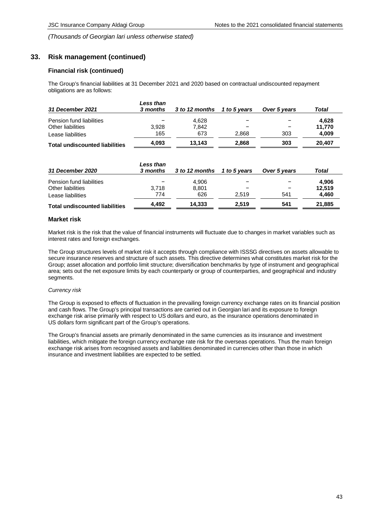# **33. Risk management (continued)**

### **Financial risk (continued)**

The Group's financial liabilities at 31 December 2021 and 2020 based on contractual undiscounted repayment obligations are as follows:

| <b>31 December 2021</b>               | <b>Less than</b><br>3 months | 3 to 12 months | 1 to 5 years | Over 5 years | Total  |
|---------------------------------------|------------------------------|----------------|--------------|--------------|--------|
| Pension fund liabilities              |                              | 4.628          |              |              | 4.628  |
| Other liabilities                     | 3.928                        | 7.842          |              | -            | 11.770 |
| Lease liabilities                     | 165                          | 673            | 2.868        | 303          | 4,009  |
| <b>Total undiscounted liabilities</b> | 4,093                        | 13.143         | 2.868        | 303          | 20.407 |

| <b>31 December 2020</b>               | Less than<br>3 months | 3 to 12 months | 1 to 5 years | Over 5 years | Total  |
|---------------------------------------|-----------------------|----------------|--------------|--------------|--------|
| Pension fund liabilities              |                       | 4.906          |              |              | 4,906  |
| Other liabilities                     | 3.718                 | 8.801          |              |              | 12.519 |
| Lease liabilities                     | 774                   | 626            | 2.519        | 541          | 4,460  |
| <b>Total undiscounted liabilities</b> | 4.492                 | 14.333         | 2.519        | 541          | 21,885 |

#### **Market risk**

Market risk is the risk that the value of financial instruments will fluctuate due to changes in market variables such as interest rates and foreign exchanges.

The Group structures levels of market risk it accepts through compliance with ISSSG directives on assets allowable to secure insurance reserves and structure of such assets. This directive determines what constitutes market risk for the Group; asset allocation and portfolio limit structure; diversification benchmarks by type of instrument and geographical area; sets out the net exposure limits by each counterparty or group of counterparties, and geographical and industry segments.

#### *Currency risk*

The Group is exposed to effects of fluctuation in the prevailing foreign currency exchange rates on its financial position and cash flows. The Group's principal transactions are carried out in Georgian lari and its exposure to foreign exchange risk arise primarily with respect to US dollars and euro, as the insurance operations denominated in US dollars form significant part of the Group's operations.

The Group's financial assets are primarily denominated in the same currencies as its insurance and investment liabilities, which mitigate the foreign currency exchange rate risk for the overseas operations. Thus the main foreign exchange risk arises from recognised assets and liabilities denominated in currencies other than those in which insurance and investment liabilities are expected to be settled.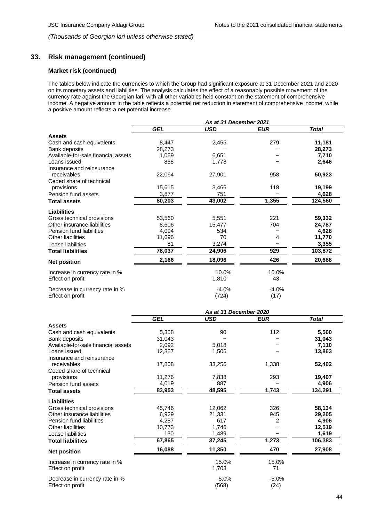# **33. Risk management (continued)**

### **Market risk (continued)**

The tables below indicate the currencies to which the Group had significant exposure at 31 December 2021 and 2020 on its monetary assets and liabilities. The analysis calculates the effect of a reasonably possible movement of the currency rate against the Georgian lari, with all other variables held constant on the statement of comprehensive income. A negative amount in the table reflects a potential net reduction in statement of comprehensive income, while a positive amount reflects a net potential increase.

|                                                    | As at 31 December 2021 |                  |                 |              |  |
|----------------------------------------------------|------------------------|------------------|-----------------|--------------|--|
|                                                    | <b>GEL</b>             | <b>USD</b>       | <b>EUR</b>      | <b>Total</b> |  |
| <b>Assets</b>                                      |                        |                  |                 |              |  |
| Cash and cash equivalents                          | 8,447                  | 2,455            | 279             | 11,181       |  |
| Bank deposits                                      | 28,273                 |                  |                 | 28,273       |  |
| Available-for-sale financial assets                | 1,059                  | 6,651            |                 | 7,710        |  |
| Loans issued                                       | 868                    | 1,778            |                 | 2,646        |  |
| Insurance and reinsurance                          |                        |                  |                 |              |  |
| receivables                                        | 22,064                 | 27,901           | 958             | 50,923       |  |
| Ceded share of technical                           |                        |                  |                 |              |  |
| provisions                                         | 15,615                 | 3,466            | 118             | 19,199       |  |
| Pension fund assets                                | 3,877                  | 751              |                 | 4,628        |  |
| <b>Total assets</b>                                | 80,203                 | 43,002           | 1,355           | 124,560      |  |
| <b>Liabilities</b>                                 |                        |                  |                 |              |  |
| Gross technical provisions                         | 53,560                 | 5,551            | 221             | 59,332       |  |
| Other insurance liabilities                        | 8,606                  | 15,477           | 704             | 24,787       |  |
| Pension fund liabilities                           | 4,094                  | 534              |                 | 4,628        |  |
| <b>Other liabilities</b>                           | 11,696                 | 70               | 4               | 11,770       |  |
| Lease liabilities                                  | 81                     | 3,274            |                 | 3,355        |  |
| <b>Total liabilities</b>                           | 78,037                 | 24,906           | 929             | 103,872      |  |
| <b>Net position</b>                                | 2,166                  | 18,096           | 426             | 20,688       |  |
| Increase in currency rate in %<br>Effect on profit |                        | 10.0%<br>1,810   | 10.0%<br>43     |              |  |
| Decrease in currency rate in %<br>Effect on profit |                        | $-4.0%$<br>(724) | $-4.0%$<br>(17) |              |  |

|                                     | As at 31 December 2020 |            |            |              |  |
|-------------------------------------|------------------------|------------|------------|--------------|--|
|                                     | <b>GEL</b>             | <b>USD</b> | <b>EUR</b> | <b>Total</b> |  |
| <b>Assets</b>                       |                        |            |            |              |  |
| Cash and cash equivalents           | 5,358                  | 90         | 112        | 5,560        |  |
| Bank deposits                       | 31,043                 |            |            | 31,043       |  |
| Available-for-sale financial assets | 2,092                  | 5,018      |            | 7,110        |  |
| Loans issued                        | 12,357                 | 1,506      |            | 13,863       |  |
| Insurance and reinsurance           |                        |            |            |              |  |
| receivables                         | 17,808                 | 33,256     | 1,338      | 52,402       |  |
| Ceded share of technical            |                        |            |            |              |  |
| provisions                          | 11,276                 | 7,838      | 293        | 19,407       |  |
| Pension fund assets                 | 4,019                  | 887        |            | 4,906        |  |
| <b>Total assets</b>                 | 83,953                 | 48,595     | 1,743      | 134,291      |  |
| <b>Liabilities</b>                  |                        |            |            |              |  |
| Gross technical provisions          | 45,746                 | 12,062     | 326        | 58,134       |  |
| Other insurance liabilities         | 6,929                  | 21,331     | 945        | 29,205       |  |
| Pension fund liabilities            | 4,287                  | 617        | 2          | 4,906        |  |
| Other liabilities                   | 10,773                 | 1,746      |            | 12,519       |  |
| Lease liabilities                   | 130                    | 1,489      |            | 1,619        |  |
| <b>Total liabilities</b>            | 67,865                 | 37,245     | 1,273      | 106,383      |  |
| <b>Net position</b>                 | 16,088                 | 11,350     | 470        | 27,908       |  |
| Increase in currency rate in %      |                        | 15.0%      | 15.0%      |              |  |
| Effect on profit                    |                        | 1,703      | 71         |              |  |
| Decrease in currency rate in %      |                        | $-5.0%$    | $-5.0%$    |              |  |
| Effect on profit                    |                        | (568)      | (24)       |              |  |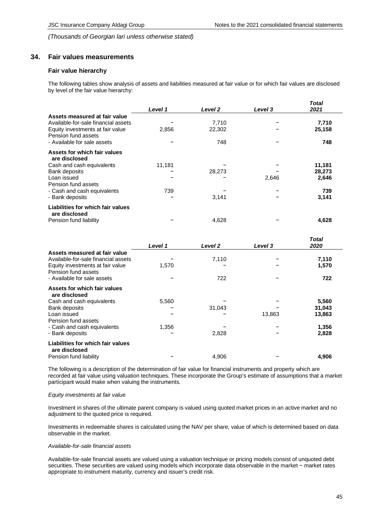### **34. Fair values measurements**

#### **Fair value hierarchy**

The following tables show analysis of assets and liabilities measured at fair value or for which fair values are disclosed by level of the fair value hierarchy:

|                                                    |         |         |         | <b>Total</b> |
|----------------------------------------------------|---------|---------|---------|--------------|
|                                                    | Level 1 | Level 2 | Level 3 | 2021         |
| Assets measured at fair value                      |         |         |         |              |
| Available-for-sale financial assets                |         | 7,710   |         | 7,710        |
| Equity investments at fair value                   | 2,856   | 22,302  |         | 25,158       |
| Pension fund assets                                |         |         |         |              |
| - Available for sale assets                        |         | 748     |         | 748          |
| Assets for which fair values<br>are disclosed      |         |         |         |              |
| Cash and cash equivalents                          | 11,181  |         |         | 11,181       |
| <b>Bank deposits</b>                               |         | 28,273  |         | 28,273       |
| Loan issued                                        |         |         | 2,646   | 2,646        |
| Pension fund assets                                |         |         |         |              |
| - Cash and cash equivalents                        | 739     |         |         | 739          |
| - Bank deposits                                    |         | 3,141   |         | 3,141        |
| Liabilities for which fair values<br>are disclosed |         |         |         |              |
| Pension fund liability                             |         | 4,628   |         | 4,628        |

|                                                    |         |         |                | i otal |
|----------------------------------------------------|---------|---------|----------------|--------|
|                                                    | Level 1 | Level 2 | <b>Level 3</b> | 2020   |
| Assets measured at fair value                      |         |         |                |        |
| Available-for-sale financial assets                |         | 7,110   |                | 7,110  |
| Equity investments at fair value                   | 1,570   |         |                | 1,570  |
| Pension fund assets                                |         |         |                |        |
| - Available for sale assets                        |         | 722     |                | 722    |
| Assets for which fair values<br>are disclosed      |         |         |                |        |
| Cash and cash equivalents                          | 5,560   |         |                | 5,560  |
| Bank deposits                                      |         | 31,043  |                | 31,043 |
| Loan issued                                        |         |         | 13,863         | 13,863 |
| Pension fund assets                                |         |         |                |        |
| - Cash and cash equivalents                        | 1,356   |         |                | 1,356  |
| - Bank deposits                                    |         | 2,828   |                | 2,828  |
| Liabilities for which fair values<br>are disclosed |         |         |                |        |
| Pension fund liability                             |         | 4.906   |                | 4,906  |

The following is a description of the determination of fair value for financial instruments and property which are recorded at fair value using valuation techniques. These incorporate the Group's estimate of assumptions that a market participant would make when valuing the instruments.

#### *Equity investments at fair value*

Investment in shares of the ultimate parent company is valued using quoted market prices in an active market and no adjustment to the quoted price is required.

Investments in redeemable shares is calculated using the NAV per share, value of which is determined based on data observable in the market.

#### *Available-for-sale financial assets*

Available-for-sale financial assets are valued using a valuation technique or pricing models consist of unquoted debt securities. These securities are valued using models which incorporate data observable in the market − market rates appropriate to instrument maturity, currency and issuer's credit risk.

*Total*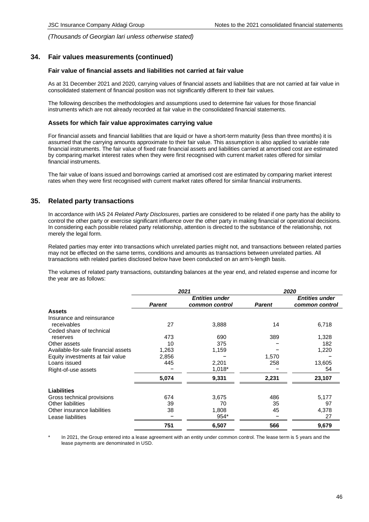# **34. Fair values measurements (continued)**

#### **Fair value of financial assets and liabilities not carried at fair value**

As at 31 December 2021 and 2020, carrying values of financial assets and liabilities that are not carried at fair value in consolidated statement of financial position was not significantly different to their fair values.

The following describes the methodologies and assumptions used to determine fair values for those financial instruments which are not already recorded at fair value in the consolidated financial statements.

#### **Assets for which fair value approximates carrying value**

For financial assets and financial liabilities that are liquid or have a short-term maturity (less than three months) it is assumed that the carrying amounts approximate to their fair value. This assumption is also applied to variable rate financial instruments. The fair value of fixed rate financial assets and liabilities carried at amortised cost are estimated by comparing market interest rates when they were first recognised with current market rates offered for similar financial instruments.

The fair value of loans issued and borrowings carried at amortised cost are estimated by comparing market interest rates when they were first recognised with current market rates offered for similar financial instruments.

# **35. Related party transactions**

In accordance with IAS 24 *Related Party Disclosures*, parties are considered to be related if one party has the ability to control the other party or exercise significant influence over the other party in making financial or operational decisions. In considering each possible related party relationship, attention is directed to the substance of the relationship, not merely the legal form.

Related parties may enter into transactions which unrelated parties might not, and transactions between related parties may not be effected on the same terms, conditions and amounts as transactions between unrelated parties. All transactions with related parties disclosed below have been conducted on an arm's-length basis.

The volumes of related party transactions, outstanding balances at the year end, and related expense and income for the year are as follows:

|                                     |               | 2021                  | 2020          |                       |  |
|-------------------------------------|---------------|-----------------------|---------------|-----------------------|--|
|                                     |               | <b>Entities under</b> |               | <b>Entities under</b> |  |
|                                     | <b>Parent</b> | common control        | <b>Parent</b> | common control        |  |
| <b>Assets</b>                       |               |                       |               |                       |  |
| Insurance and reinsurance           |               |                       |               |                       |  |
| receivables                         | 27            | 3,888                 | 14            | 6,718                 |  |
| Ceded share of technical            |               |                       |               |                       |  |
| reserves                            | 473           | 690                   | 389           | 1,328                 |  |
| Other assets                        | 10            | 375                   |               | 182                   |  |
| Available-for-sale financial assets | 1,263         | 1,159                 |               | 1,220                 |  |
| Equity investments at fair value    | 2,856         |                       | 1,570         |                       |  |
| Loans issued                        | 445           | 2,201                 | 258           | 13,605                |  |
| Right-of-use assets                 |               | $1,018*$              |               | 54                    |  |
|                                     | 5,074         | 9,331                 | 2,231         | 23,107                |  |
| Liabilities                         |               |                       |               |                       |  |
| Gross technical provisions          | 674           | 3,675                 | 486           | 5,177                 |  |
| <b>Other liabilities</b>            | 39            | 70                    | 35            | 97                    |  |
| Other insurance liabilities         | 38            | 1,808                 | 45            | 4,378                 |  |
| Lease liabilities                   |               | $954*$                |               | 27                    |  |
|                                     | 751           | 6,507                 | 566           | 9,679                 |  |

In 2021, the Group entered into a lease agreement with an entity under common control. The lease term is 5 years and the lease payments are denominated in USD.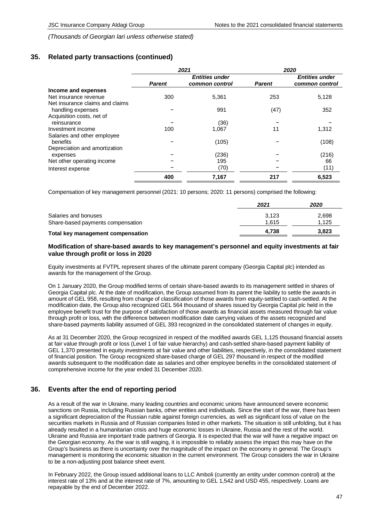# **35. Related party transactions (continued)**

|                                 |               | 2021                  | 2020          |                       |  |
|---------------------------------|---------------|-----------------------|---------------|-----------------------|--|
|                                 |               | <b>Entities under</b> |               | <b>Entities under</b> |  |
|                                 | <b>Parent</b> | common control        | <b>Parent</b> | common control        |  |
| Income and expenses             |               |                       |               |                       |  |
| Net insurance revenue           | 300           | 5,361                 | 253           | 5,128                 |  |
| Net insurance claims and claims |               |                       |               |                       |  |
| handling expenses               |               | 991                   | (47)          | 352                   |  |
| Acquisition costs, net of       |               |                       |               |                       |  |
| reinsurance                     |               | (36)                  |               |                       |  |
| Investment income               | 100           | 1,067                 | 11            | 1,312                 |  |
| Salaries and other employee     |               |                       |               |                       |  |
| benefits                        |               | (105)                 |               | (108)                 |  |
| Depreciation and amortization   |               |                       |               |                       |  |
| expenses                        |               | (236)                 |               | (216)                 |  |
| Net other operating income      |               | 195                   |               | 66                    |  |
| Interest expense                |               | (70)                  |               | (11)                  |  |
|                                 | 400           | 7,167                 | 217           | 6,523                 |  |

Compensation of key management personnel (2021: 10 persons; 2020: 11 persons) comprised the following:

|                                   | 2021  | 2020  |
|-----------------------------------|-------|-------|
| Salaries and bonuses              | 3.123 | 2.698 |
| Share-based payments compensation | 1.615 | 1,125 |
| Total key management compensation | 4.738 | 3.823 |

#### **Modification of share-based awards to key management's personnel and equity investments at fair value through profit or loss in 2020**

Equity investments at FVTPL represent shares of the ultimate parent company (Georgia Capital plc) intended as awards for the management of the Group.

On 1 January 2020, the Group modified terms of certain share-based awards to its management settled in shares of Georgia Capital plc. At the date of modification, the Group assumed from its parent the liability to settle the awards in amount of GEL 958, resulting from change of classification of those awards from equity-settled to cash-settled. At the modification date, the Group also recognized GEL 564 thousand of shares issued by Georgia Capital plc held in the employee benefit trust for the purpose of satisfaction of those awards as financial assets measured through fair value through profit or loss, with the difference between modification date carrying values of the assets recognized and share-based payments liability assumed of GEL 393 recognized in the consolidated statement of changes in equity.

As at 31 December 2020, the Group recognized in respect of the modified awards GEL 1,125 thousand financial assets at fair value through profit or loss (Level 1 of fair value hierarchy) and cash-settled share-based payment liability of GEL 1,370 presented in equity investments at fair value and other liabilities, respectively, in the consolidated statement of financial position. The Group recognized share-based charge of GEL 297 thousand in respect of the modified awards subsequent to the modification date as salaries and other employee benefits in the consolidated statement of comprehensive income for the year ended 31 December 2020.

# **36. Events after the end of reporting period**

As a result of the war in Ukraine, many leading countries and economic unions have announced severe economic sanctions on Russia, including Russian banks, other entities and individuals. Since the start of the war, there has been a significant depreciation of the Russian ruble against foreign currencies, as well as significant loss of value on the securities markets in Russia and of Russian companies listed in other markets. The situation is still unfolding, but it has already resulted in a humanitarian crisis and huge economic losses in Ukraine, Russia and the rest of the world. Ukraine and Russia are important trade partners of Georgia. It is expected that the war will have a negative impact on the Georgian economy. As the war is still waging, it is impossible to reliably assess the impact this may have on the Group's business as there is uncertainty over the magnitude of the impact on the economy in general. The Group's management is monitoring the economic situation in the current environment. The Group considers the war in Ukraine to be a non-adjusting post balance sheet event.

In February 2022, the Group issued additional loans to LLC Amboli (currently an entity under common control) at the interest rate of 13% and at the interest rate of 7%, amounting to GEL 1,542 and USD 455, respectively. Loans are repayable by the end of December 2022.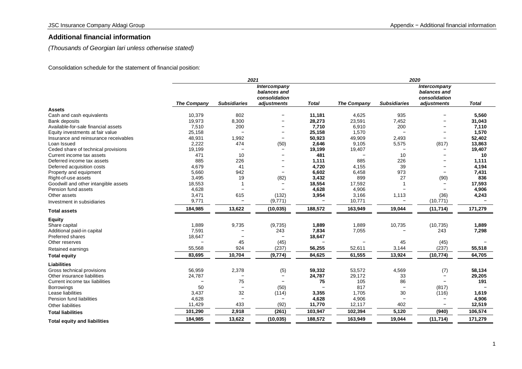# **Additional financial information**

*(Thousands of Georgian lari unless otherwise stated)*

Consolidation schedule for the statement of financial position:

|                                       |                    | 2021                |                                               |         |                    | 2020                |                                               |              |  |
|---------------------------------------|--------------------|---------------------|-----------------------------------------------|---------|--------------------|---------------------|-----------------------------------------------|--------------|--|
|                                       |                    |                     | Intercompany<br>balances and<br>consolidation |         |                    |                     | Intercompany<br>balances and<br>consolidation |              |  |
|                                       | <b>The Company</b> | <b>Subsidiaries</b> | adjustments                                   | Total   | <b>The Company</b> | <b>Subsidiaries</b> | adjustments                                   | <b>Total</b> |  |
| <b>Assets</b>                         |                    |                     |                                               |         |                    |                     |                                               |              |  |
| Cash and cash equivalents             | 10,379             | 802                 |                                               | 11,181  | 4,625              | 935                 |                                               | 5,560        |  |
| Bank deposits                         | 19,973             | 8,300               |                                               | 28,273  | 23,591             | 7,452               |                                               | 31,043       |  |
| Available-for-sale financial assets   | 7,510              | 200                 |                                               | 7,710   | 6,910              | 200                 |                                               | 7,110        |  |
| Equity investments at fair value      | 25,158             |                     |                                               | 25,158  | 1,570              |                     |                                               | 1,570        |  |
| Insurance and reinsurance receivables | 48,931             | 1,992               |                                               | 50,923  | 49,909             | 2,493               | $\overline{\phantom{a}}$                      | 52,402       |  |
| Loan Issued                           | 2,222              | 474                 | (50)                                          | 2,646   | 9,105              | 5,575               | (817)                                         | 13,863       |  |
| Ceded share of technical provisions   | 19,199             |                     |                                               | 19,199  | 19,407             |                     |                                               | 19,407       |  |
| Current income tax assets             | 471                | 10                  |                                               | 481     |                    | 10                  |                                               | 10           |  |
| Deferred income tax assets            | 885                | 226                 |                                               | 1,111   | 885                | 226                 |                                               | 1,111        |  |
| Deferred acquisition costs            | 4,679              | 41                  |                                               | 4,720   | 4,155              | 39                  |                                               | 4,194        |  |
| Property and equipment                | 5,660              | 942                 |                                               | 6,602   | 6,458              | 973                 |                                               | 7,431        |  |
| Right-of-use assets                   | 3,495              | 19<br>-1            | (82)                                          | 3,432   | 899                | 27<br>-1            | (90)                                          | 836          |  |
| Goodwill and other intangible assets  | 18,553             |                     |                                               | 18,554  | 17,592             |                     |                                               | 17,593       |  |
| Pension fund assets                   | 4,628              |                     |                                               | 4,628   | 4,906              |                     |                                               | 4,906        |  |
| Other assets                          | 3,471              | 615                 | (132)                                         | 3,954   | 3,166              | 1,113               | (36)                                          | 4,243        |  |
| Investment in subsidiaries            | 9,771              |                     | (9,771)                                       |         | 10,771             |                     | (10, 771)                                     |              |  |
| <b>Total assets</b>                   | 184,985            | 13,622              | (10, 035)                                     | 188,572 | 163,949            | 19,044              | (11, 714)                                     | 171,279      |  |
| Equity                                |                    |                     |                                               |         |                    |                     |                                               |              |  |
| Share capital                         | 1,889              | 9,735               | (9,735)                                       | 1,889   | 1,889              | 10,735              | (10, 735)                                     | 1,889        |  |
| Additional paid-in capital            | 7,591              |                     | 243                                           | 7,834   | 7,055              |                     | 243                                           | 7,298        |  |
| <b>Preferred shares</b>               | 18,647             |                     |                                               | 18,647  |                    |                     |                                               |              |  |
| Other reserves                        |                    | 45                  | (45)                                          |         |                    | 45                  | (45)                                          |              |  |
| Retained earnings                     | 55,568             | 924                 | (237)                                         | 56,255  | 52,611             | 3,144               | (237)                                         | 55,518       |  |
| <b>Total equity</b>                   | 83,695             | 10,704              | (9,774)                                       | 84,625  | 61,555             | 13,924              | (10, 774)                                     | 64,705       |  |
| <b>Liabilities</b>                    |                    |                     |                                               |         |                    |                     |                                               |              |  |
| Gross technical provisions            | 56,959             | 2,378               | (5)                                           | 59,332  | 53,572             | 4,569               | (7)                                           | 58,134       |  |
| Other insurance liabilities           | 24,787             |                     |                                               | 24,787  | 29,172             | 33                  |                                               | 29,205       |  |
| Current income tax liabilities        |                    | 75                  |                                               | 75      | 105                | 86                  |                                               | 191          |  |
| Borrowings                            | 50                 |                     | (50)                                          |         | 817                |                     | (817)                                         |              |  |
| Lease liabilities                     | 3,437              | 32                  | (114)                                         | 3,355   | 1,705              | 30                  | (116)                                         | 1,619        |  |
| Pension fund liabilities              | 4,628              |                     |                                               | 4,628   | 4,906              |                     |                                               | 4,906        |  |
| Other liabilities                     | 11,429             | 433                 | (92)                                          | 11,770  | 12,117             | 402                 |                                               | 12,519       |  |
| <b>Total liabilities</b>              | 101.290            | 2,918               | (261)                                         | 103,947 | 102,394            | 5,120               | (940)                                         | 106,574      |  |
| <b>Total equity and liabilities</b>   | 184,985            | 13,622              | (10, 035)                                     | 188,572 | 163,949            | 19,044              | (11, 714)                                     | 171,279      |  |
|                                       |                    |                     |                                               |         |                    |                     |                                               |              |  |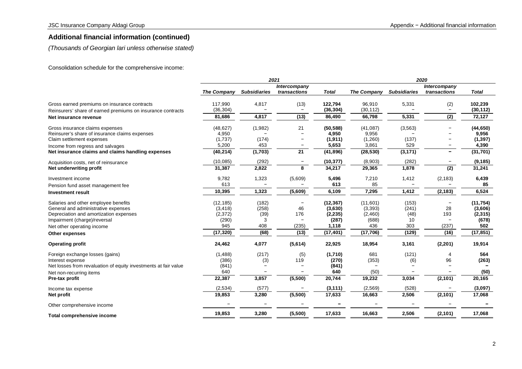*(Thousands of Georgian lari unless otherwise stated)*

Consolidation schedule for the comprehensive income:

|                                                                 | 2021               |                     |              | 2020         |                    |                     |              |              |
|-----------------------------------------------------------------|--------------------|---------------------|--------------|--------------|--------------------|---------------------|--------------|--------------|
|                                                                 |                    |                     | Intercompany |              | Intercompany       |                     |              |              |
|                                                                 | <b>The Company</b> | <b>Subsidiaries</b> | transactions | <b>Total</b> | <b>The Company</b> | <b>Subsidiaries</b> | transactions | <b>Total</b> |
| Gross earned premiums on insurance contracts                    | 117,990            | 4,817               | (13)         | 122,794      | 96,910             | 5,331               | (2)          | 102,239      |
| Reinsurers' share of earned premiums on insurance contracts     | (36, 304)          |                     |              | (36, 304)    | (30, 112)          |                     |              | (30, 112)    |
| Net insurance revenue                                           | 81,686             | 4,817               | (13)         | 86,490       | 66,798             | 5,331               | (2)          | 72,127       |
| Gross insurance claims expenses                                 | (48, 627)          | (1,982)             | 21           | (50, 588)    | (41, 087)          | (3, 563)            |              | (44, 650)    |
| Reinsurer's share of insurance claims expenses                  | 4,950              |                     |              | 4,950        | 9,956              |                     |              | 9,956        |
| Claim settlement expenses                                       | (1,737)            | (174)               |              | (1, 911)     | (1,260)            | (137)               |              | (1, 397)     |
| Income from regress and salvages                                | 5,200              | 453                 |              | 5,653        | 3,861              | 529                 |              | 4,390        |
| Net insurance claims and claims handling expenses               | (40, 214)          | (1,703)             | 21           | (41, 896)    | (28, 530)          | (3, 171)            | Ξ.           | (31, 701)    |
| Acquisition costs, net of reinsurance                           | (10, 085)          | (292)               |              | (10, 377)    | (8,903)            | (282)               |              | (9, 185)     |
| Net underwriting profit                                         | 31,387             | 2,822               | 8            | 34,217       | 29,365             | 1,878               | (2)          | 31,241       |
| Investment income                                               | 9,782              | 1,323               | (5,609)      | 5,496        | 7,210              | 1,412               | (2, 183)     | 6,439        |
| Pension fund asset management fee                               | 613                |                     |              | 613          | 85                 |                     |              | 85           |
| <b>Investment result</b>                                        | 10,395             | 1,323               | (5,609)      | 6,109        | 7,295              | 1,412               | (2, 183)     | 6,524        |
| Salaries and other employee benefits                            | (12, 185)          | (182)               |              | (12, 367)    | (11,601)           | (153)               |              | (11, 754)    |
| General and administrative expenses                             | (3, 418)           | (258)               | 46           | (3,630)      | (3, 393)           | (241)               | 28           | (3,606)      |
| Depreciation and amortization expenses                          | (2,372)            | (39)                | 176          | (2, 235)     | (2,460)            | (48)                | 193          | (2, 315)     |
| Impairment (charge)/reversal                                    | (290)              | 3                   |              | (287)        | (688)              | 10                  |              | (678)        |
| Net other operating income                                      | 945                | 408                 | (235)        | 1,118        | 436                | 303                 | (237)        | 502          |
| <b>Other expenses</b>                                           | (17, 320)          | (68)                | (13)         | (17, 401)    | (17, 706)          | (129)               | (16)         | (17, 851)    |
| <b>Operating profit</b>                                         | 24,462             | 4,077               | (5,614)      | 22,925       | 18,954             | 3,161               | (2, 201)     | 19,914       |
| Foreign exchange losses (gains)                                 | (1,488)            | (217)               | (5)          | (1,710)      | 681                | (121)               |              | 564          |
| Interest expense                                                | (386)              | (3)                 | 119          | (270)        | (353)              | (6)                 | 96           | (263)        |
| Net losses from revaluation of equity investments at fair value | (841)              |                     |              | (841)        |                    |                     |              |              |
| Net non-recurring items                                         | 640                |                     |              | 640          | (50)               |                     |              | (50)         |
| Pre-tax profit                                                  | 22,387             | 3,857               | (5,500)      | 20,744       | 19,232             | 3,034               | (2, 101)     | 20,165       |
| Income tax expense                                              | (2,534)            | (577)               |              | (3, 111)     | (2,569)            | (528)               |              | (3,097)      |
| Net profit                                                      | 19,853             | 3,280               | (5,500)      | 17,633       | 16,663             | 2,506               | (2, 101)     | 17,068       |
| Other comprehensive income                                      |                    |                     |              |              |                    |                     |              |              |
| <b>Total comprehensive income</b>                               | 19,853             | 3,280               | (5,500)      | 17,633       | 16,663             | 2,506               | (2, 101)     | 17,068       |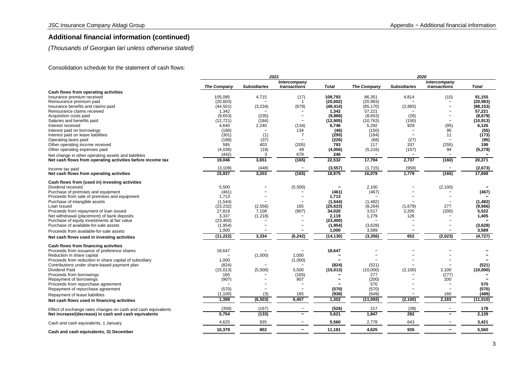*(Thousands of Georgian lari unless otherwise stated)*

Consolidation schedule for the statement of cash flows:

|                                                                                       | 2021                  |                     |                              | 2020               |                    |                     |                              |               |
|---------------------------------------------------------------------------------------|-----------------------|---------------------|------------------------------|--------------------|--------------------|---------------------|------------------------------|---------------|
|                                                                                       | <b>The Company</b>    | <b>Subsidiaries</b> | Intercompany<br>transactions | <b>Total</b>       | <b>The Company</b> | <b>Subsidiaries</b> | Intercompany<br>transactions | <b>Total</b>  |
| Cash flows from operating activities                                                  |                       |                     |                              |                    |                    |                     |                              |               |
| Insurance premium received                                                            | 105,095               | 4,715               | (17)                         | 109,793            | 86,351             | 4,814               | (10)                         | 91,155        |
| Reinsurance premium paid                                                              | (20, 603)             |                     |                              | (20, 602)          | (20, 983)          |                     |                              | (20, 983)     |
| Insurance benefits and claims paid                                                    | (44, 501)             | (3,234)             | (679)                        | (48, 414)          | (85, 170)          | (2,983)             |                              | (88, 153)     |
| Reinsurance claims received                                                           | 1,342                 |                     |                              | 1,342              | 57,221             |                     |                              | 57,221        |
| Acquisition costs paid                                                                | (9,653)               | (235)               |                              | (9,888)            | (8,653)            | (26)                |                              | (8,679)       |
| Salaries and benefits paid                                                            | (12, 721)             | (184)               |                              | (12, 905)          | (10, 763)          | (150)               |                              | (10, 913)     |
| Interest received<br>Interest paid on borrowings                                      | 4,640<br>(180)        | 2,240               | (134)<br>134                 | 6,746<br>(46)      | 5,292<br>(150)     | 929                 | (95)<br>95                   | 6,126<br>(55) |
| Interest paid on lease liabilities                                                    | (301)                 | (1)                 | 7                            | (295)              | (184)              |                     | 11                           | (173)         |
| Operating taxes paid                                                                  | (189)                 | (37)                |                              | (226)              | (68)               | (27)                |                              | (95)          |
| Other operating income received                                                       | 595                   | 403                 | (205)                        | 793                | 117                | 337                 | (255)                        | 199           |
| Other operating expenses paid                                                         | (4,036)               | (19)                | 49                           | (4,006)            | (5, 216)           | (157)               | 94                           | (5, 279)      |
| Net change in other operating assets and liabilities                                  | (442)                 |                     | 679                          | 240                |                    |                     |                              |               |
| Net cash flows from operating activities before income tax                            | 19,046                | 3,651               | (165)                        | 22,532             | 17,794             | 2,737               | (160)                        | 20,371        |
| Income tax paid                                                                       | (3, 109)              | (448)               |                              | (3, 557)           | (1,715)            | (958)               |                              | (2,673)       |
| Net cash flows from operating activities                                              | 15,937                | 3,203               | (165)                        | 18,975             | 16,079             | 1,779               | (160)                        | 17,698        |
| Cash flows from (used in) investing activities                                        |                       |                     |                              |                    |                    |                     |                              |               |
| Dividend received                                                                     | 5,500                 |                     | (5,500)                      |                    | 2,100              |                     | (2, 100)                     |               |
| Purchase of premises and equipment                                                    | (461)                 |                     |                              | (461)              | (467)              |                     |                              | (467)         |
| Proceeds from sale of premises and equipment                                          | 1,713                 |                     |                              | 1,713              |                    |                     |                              |               |
| Purchase of intangible assets                                                         | (1, 544)              |                     |                              | (1, 544)           | (1, 482)           |                     |                              | (1, 482)      |
| Loan Issued                                                                           | (23, 232)             | (2, 556)            | 165                          | (25,623)           | (8, 264)           | (1,679)             | 277                          | (9,666)       |
| Proceeds from repayment of loan issued                                                | 27,819                | 7,108               | (907)                        | 34,020             | 3,517              | 2,205               | (200)                        | 5,522         |
| Net withdrawal (placement) of bank deposits                                           | 3,337                 | (1, 218)            |                              | 2,119<br>(23, 400) | 1,279              | 126                 |                              | 1,405         |
| Purchase of equity investments at fair value<br>Purchase of available-for-sale assets | (23, 400)<br>(1, 954) |                     |                              | (1, 954)           | (3,628)            |                     |                              | (3,628)       |
| Proceeds from available-for-sale assets                                               | 1,000                 |                     |                              | 1,000              | 3,589              |                     |                              | 3,589         |
| Net cash flows used in investing activities                                           | (11, 222)             | 3,334               | (6, 242)                     | (14, 130)          | (3, 356)           | 652                 | (2,023)                      | (4, 727)      |
|                                                                                       |                       |                     |                              |                    |                    |                     |                              |               |
| Cash flows from financing activities<br>Proceeds from issuance of preference shares   | 18,647                |                     |                              | 18,647             |                    |                     |                              |               |
| Reduction in share capital                                                            |                       | (1,000)             | 1,000                        |                    |                    |                     |                              |               |
| Proceeds from reduction in share capital of subsidiary                                | 1.000                 |                     | (1,000)                      |                    |                    |                     |                              |               |
| Contributions under share-based payment plan                                          | (824)                 |                     |                              | (824)              | (521)              |                     |                              | (521)         |
| Dividend Paid                                                                         | (15,013)              | (5,500)             | 5,500                        | (15, 013)          | (10,000)           | (2, 100)            | 2,100                        | (10,000)      |
| Proceeds from borrowings                                                              | 165                   |                     | (165)                        |                    | 277                |                     | (277)                        |               |
| Repayment of borrowings                                                               | (907)                 |                     | 907                          |                    | (200)              |                     | 200                          |               |
| Proceeds from repurchase agreement                                                    |                       |                     |                              |                    | 570                |                     |                              | 570           |
| Repayment of repurchase agreement                                                     | (570)                 |                     |                              | (570)              | (570)              |                     |                              | (570)         |
| Repayment of lease liabilities                                                        | (1,100)               | (3)                 | 165                          | (938)              | (649)              |                     | 160                          | (489)         |
| Net cash flows used in financing activities                                           | 1,398                 | (6, 503)            | 6,407                        | 1,302              | (11,093)           | (2, 100)            | 2,183                        | (11,010)      |
| Effect of exchange rates changes on cash and cash equivalents                         | (359)                 | (167)               |                              | (526)              | 217                | (39)                |                              | 178           |
| Net increase/(decrease) in cash and cash equivalents                                  | 5,754                 | (133)               |                              | 5,621              | 1,847              | 292                 |                              | 2,139         |
| Cash and cash equivalents, 1 January                                                  | 4,625                 | 935                 |                              | 5,560              | 2,778              | 643                 |                              | 3,421         |
| Cash and cash equivalents, 31 December                                                | 10,379                | 802                 |                              | 11,181             | 4,625              | 935                 |                              | 5,560         |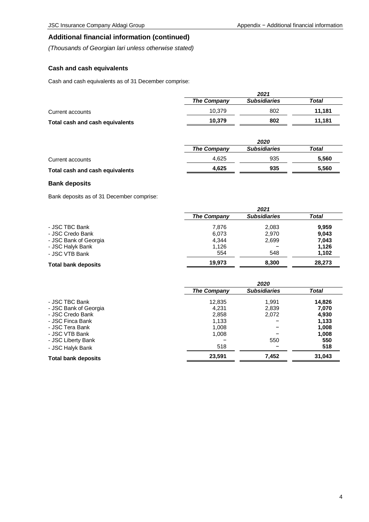*(Thousands of Georgian lari unless otherwise stated)*

### **Cash and cash equivalents**

Cash and cash equivalents as of 31 December comprise:

|                                 | 2021               |                     |              |  |
|---------------------------------|--------------------|---------------------|--------------|--|
|                                 | <b>The Company</b> | <b>Subsidiaries</b> | <b>Total</b> |  |
| Current accounts                | 10.379             | 802                 | 11.181       |  |
| Total cash and cash equivalents | 10,379             | 802                 | 11.181       |  |

|                                 | 2020               |                     |       |  |
|---------------------------------|--------------------|---------------------|-------|--|
|                                 | <b>The Company</b> | <b>Subsidiaries</b> | Total |  |
| Current accounts                | 4.625              | 935                 | 5.560 |  |
| Total cash and cash equivalents | 4.625              | 935                 | 5.560 |  |

### **Bank deposits**

Bank deposits as of 31 December comprise:

|                            |                    | 2021                |        |
|----------------------------|--------------------|---------------------|--------|
|                            | <b>The Company</b> | <b>Subsidiaries</b> | Total  |
| - JSC TBC Bank             | 7,876              | 2,083               | 9,959  |
| - JSC Credo Bank           | 6,073              | 2,970               | 9.043  |
| - JSC Bank of Georgia      | 4,344              | 2,699               | 7,043  |
| - JSC Halyk Bank           | 1,126              |                     | 1.126  |
| - JSC VTB Bank             | 554                | 548                 | 1,102  |
| <b>Total bank deposits</b> | 19.973             | 8,300               | 28,273 |

|                            |                    | 2020                |              |
|----------------------------|--------------------|---------------------|--------------|
|                            | <b>The Company</b> | <b>Subsidiaries</b> | <b>Total</b> |
| - JSC TBC Bank             | 12,835             | 1.991               | 14,826       |
| - JSC Bank of Georgia      | 4.231              | 2,839               | 7,070        |
| - JSC Credo Bank           | 2,858              | 2,072               | 4,930        |
| - JSC Finca Bank           | 1,133              |                     | 1,133        |
| - JSC Tera Bank            | 1,008              |                     | 1.008        |
| - JSC VTB Bank             | 1,008              |                     | 1,008        |
| - JSC Liberty Bank         |                    | 550                 | 550          |
| - JSC Halyk Bank           | 518                |                     | 518          |
| <b>Total bank deposits</b> | 23,591             | 7,452               | 31,043       |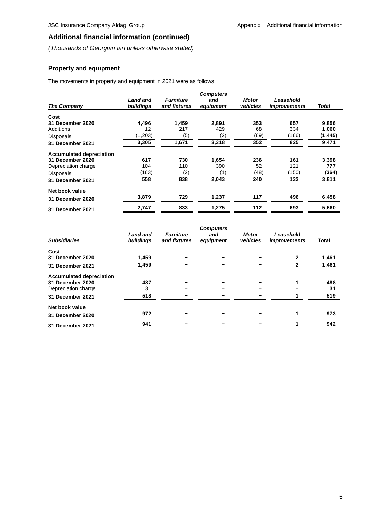*(Thousands of Georgian lari unless otherwise stated)*

### **Property and equipment**

The movements in property and equipment in 2021 were as follows:

| <b>The Company</b>              | Land and<br>buildings | <b>Furniture</b><br>and fixtures | and<br>equipment | <b>Motor</b><br>vehicles | Leasehold<br><i>improvements</i> | <b>Total</b> |
|---------------------------------|-----------------------|----------------------------------|------------------|--------------------------|----------------------------------|--------------|
| Cost                            |                       |                                  |                  |                          |                                  |              |
| 31 December 2020                | 4.496                 | 1.459                            | 2.891            | 353                      | 657                              | 9,856        |
| Additions                       | 12                    | 217                              | 429              | 68                       | 334                              | 1,060        |
| Disposals                       | (1,203)               | (5)                              | (2)              | (69)                     | (166)                            | (1, 445)     |
| 31 December 2021                | 3,305                 | 1,671                            | 3,318            | 352                      | 825                              | 9,471        |
| <b>Accumulated depreciation</b> |                       |                                  |                  |                          |                                  |              |
| 31 December 2020                | 617                   | 730                              | 1.654            | 236                      | 161                              | 3,398        |
| Depreciation charge             | 104                   | 110                              | 390              | 52                       | 121                              | 777          |
| <b>Disposals</b>                | (163)                 | (2)                              | (1)              | (48)                     | (150)                            | (364)        |
| 31 December 2021                | 558                   | 838                              | 2,043            | 240                      | 132                              | 3,811        |
| Net book value                  |                       |                                  |                  |                          |                                  |              |
| 31 December 2020                | 3,879                 | 729                              | 1,237            | 117                      | 496                              | 6,458        |
| 31 December 2021                | 2,747                 | 833                              | 1,275            | $112$                    | 693                              | 5,660        |

|                                 | <b>Land and</b> | <b>Furniture</b> | and       | <b>Motor</b> | Leasehold           |              |
|---------------------------------|-----------------|------------------|-----------|--------------|---------------------|--------------|
| <b>Subsidiaries</b>             | buildings       | and fixtures     | equipment | vehicles     | <i>improvements</i> | <b>Total</b> |
| Cost                            |                 |                  |           |              |                     |              |
| 31 December 2020                | 1,459           |                  |           |              | 2                   | 1,461        |
| 31 December 2021                | 1,459           |                  |           |              | 2                   | 1,461        |
| <b>Accumulated depreciation</b> |                 |                  |           |              |                     |              |
| 31 December 2020                | 487             |                  |           |              |                     | 488          |
| Depreciation charge             | 31              |                  |           |              |                     | 31           |
| 31 December 2021                | 518             |                  |           |              |                     | 519          |
| Net book value                  |                 |                  |           |              |                     |              |
| 31 December 2020                | 972             |                  |           |              |                     | 973          |
| 31 December 2021                | 941             |                  |           |              |                     | 942          |
|                                 |                 |                  |           |              |                     |              |